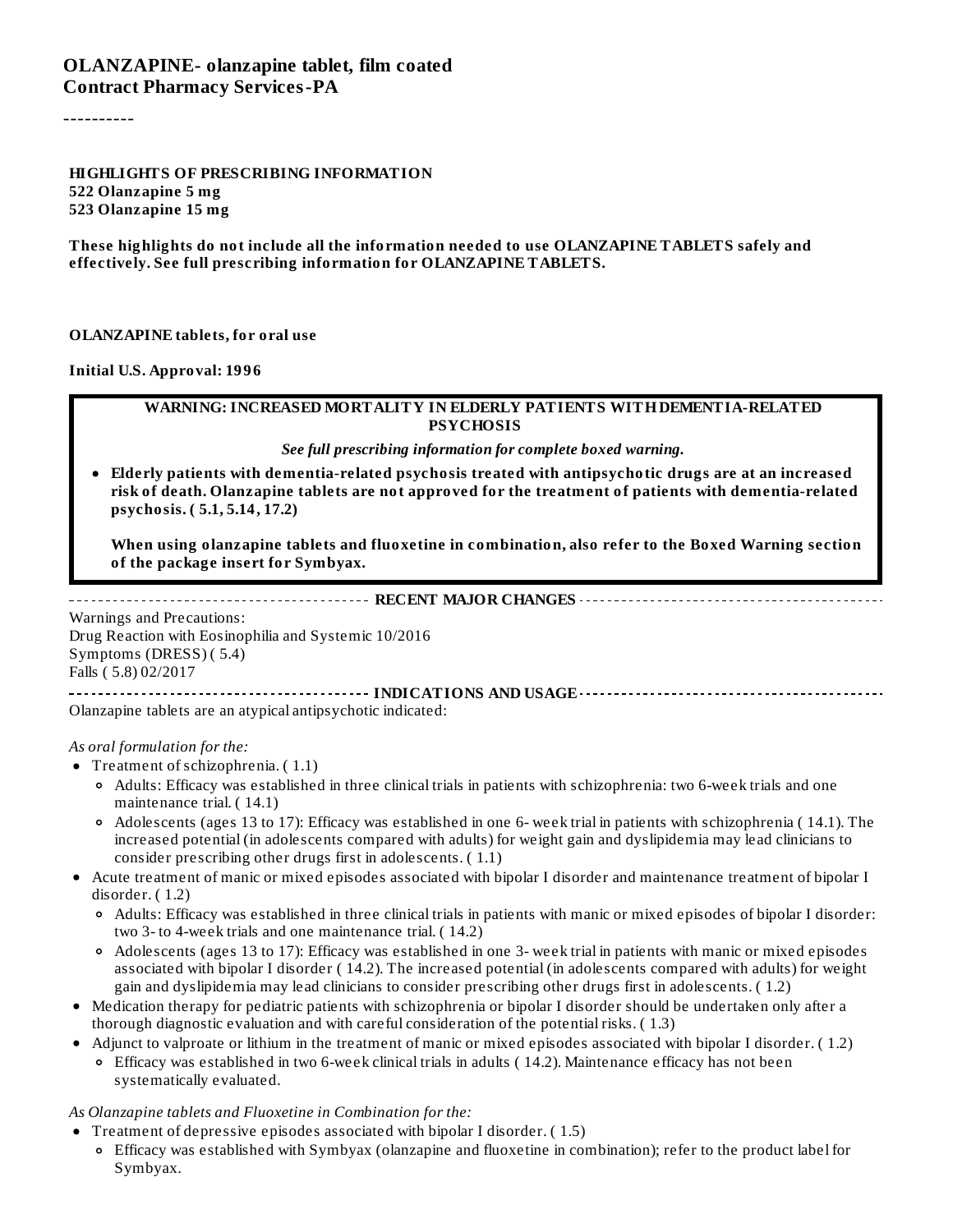#### **OLANZAPINE- olanzapine tablet, film coated Contract Pharmacy Services-PA**

----------

#### **HIGHLIGHTS OF PRESCRIBING INFORMATION 522 Olanzapine 5 mg 523 Olanzapine 15 mg**

**These highlights do not include all the information needed to use OLANZAPINE TABLETS safely and effectively. See full prescribing information for OLANZAPINE TABLETS.**

#### **OLANZAPINE tablets, for oral use**

#### **Initial U.S. Approval: 1996**

**WARNING: INCREASED MORTALITY IN ELDERLY PATIENTS WITHDEMENTIA-RELATED PSYCHOSIS**

*See full prescribing information for complete boxed warning.*

**Elderly patients with dementia-related psychosis treated with antipsychotic drugs are at an increased risk of death. Olanzapine tablets are not approved for the treatment of patients with dementia-related psychosis. ( 5.1, 5.14, 17.2)**

**When using olanzapine tablets and fluoxetine in combination, also refer to the Boxed Warning section of the package insert for Symbyax.**

**RECENT MAJOR CHANGES**

Warnings and Precautions: Drug Reaction with Eosinophilia and Systemic 10/2016 Symptoms (DRESS) ( 5.4) Falls ( 5.8) 02/2017

**INDICATIONS AND USAGE** Olanzapine tablets are an atypical antipsychotic indicated:

#### *As oral formulation for the:*

- Treatment of schizophrenia. (1.1)
	- Adults: Efficacy was established in three clinical trials in patients with schizophrenia: two 6-week trials and one maintenance trial. (14.1)
	- Adolescents (ages 13 to 17): Efficacy was established in one 6- week trial in patients with schizophrenia ( 14.1). The increased potential (in adolescents compared with adults) for weight gain and dyslipidemia may lead clinicians to consider prescribing other drugs first in adolescents. ( 1.1)
- Acute treatment of manic or mixed episodes associated with bipolar I disorder and maintenance treatment of bipolar I disorder. ( 1.2)
	- Adults: Efficacy was established in three clinical trials in patients with manic or mixed episodes of bipolar I disorder: two 3- to 4-week trials and one maintenance trial. ( 14.2)
	- Adolescents (ages 13 to 17): Efficacy was established in one 3- week trial in patients with manic or mixed episodes associated with bipolar I disorder ( 14.2). The increased potential (in adolescents compared with adults) for weight gain and dyslipidemia may lead clinicians to consider prescribing other drugs first in adolescents. ( 1.2)
- Medication therapy for pediatric patients with schizophrenia or bipolar I disorder should be undertaken only after a thorough diagnostic evaluation and with careful consideration of the potential risks. ( 1.3)
- Adjunct to valproate or lithium in the treatment of manic or mixed episodes associated with bipolar I disorder. ( 1.2)
	- Efficacy was established in two 6-week clinical trials in adults ( 14.2). Maintenance efficacy has not been systematically evaluated.

*As Olanzapine tablets and Fluoxetine in Combination for the:*

- Treatment of depressive episodes associated with bipolar I disorder. ( 1.5)
- Efficacy was established with Symbyax (olanzapine and fluoxetine in combination); refer to the product label for Symbyax.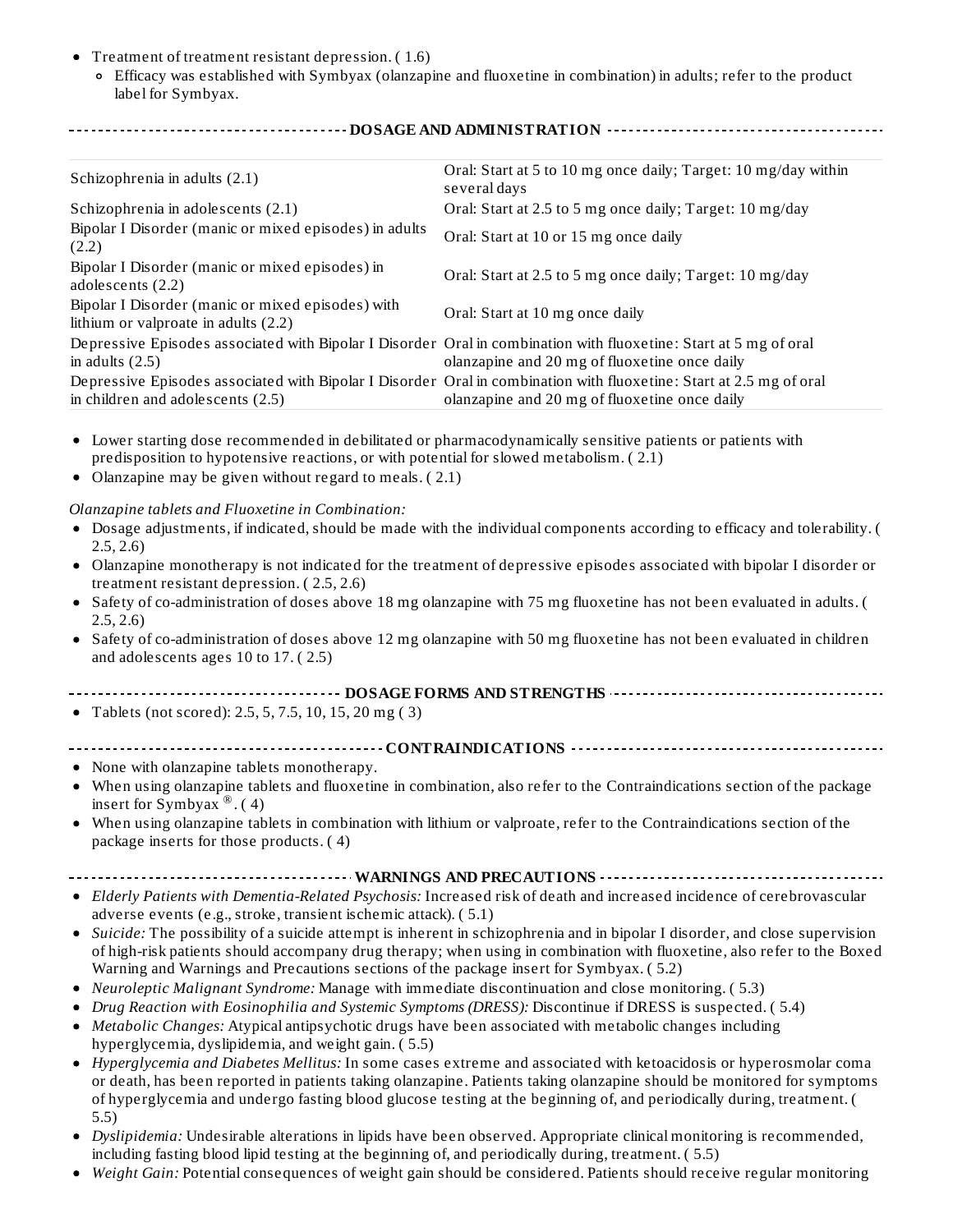- Treatment of treatment resistant depression. ( 1.6)  $\bullet$ 
	- Efficacy was established with Symbyax (olanzapine and fluoxetine in combination) in adults; refer to the product label for Symbyax.

**DOSAGE AND ADMINISTRATION**

| Schizophrenia in adults (2.1)                                                             | Oral: Start at 5 to 10 mg once daily; Target: 10 mg/day within<br>several days                                                                                       |
|-------------------------------------------------------------------------------------------|----------------------------------------------------------------------------------------------------------------------------------------------------------------------|
| Schizophrenia in adolescents (2.1)                                                        | Oral: Start at 2.5 to 5 mg once daily; Target: 10 mg/day                                                                                                             |
| Bipolar I Disorder (manic or mixed episodes) in adults<br>(2.2)                           | Oral: Start at 10 or 15 mg once daily                                                                                                                                |
| Bipolar I Disorder (manic or mixed episodes) in<br>adolescents (2.2)                      | Oral: Start at 2.5 to 5 mg once daily; Target: 10 mg/day                                                                                                             |
| Bipolar I Disorder (manic or mixed episodes) with<br>lithium or valproate in adults (2.2) | Oral: Start at 10 mg once daily                                                                                                                                      |
| in adults $(2.5)$                                                                         | Depressive Episodes associated with Bipolar I Disorder Oral in combination with fluoxetine: Start at 5 mg of oral<br>olanzapine and 20 mg of fluoxetine once daily   |
| in children and adolescents (2.5)                                                         | Depressive Episodes associated with Bipolar I Disorder Oral in combination with fluoxetine: Start at 2.5 mg of oral<br>olanzapine and 20 mg of fluoxetine once daily |

- Lower starting dose recommended in debilitated or pharmacodynamically sensitive patients or patients with  $\bullet$ predisposition to hypotensive reactions, or with potential for slowed metabolism. ( 2.1)
- Olanzapine may be given without regard to meals. ( 2.1)  $\bullet$

*Olanzapine tablets and Fluoxetine in Combination:*

- Dosage adjustments, if indicated, should be made with the individual components according to efficacy and tolerability. ( 2.5, 2.6)
- Olanzapine monotherapy is not indicated for the treatment of depressive episodes associated with bipolar I disorder or treatment resistant depression. ( 2.5, 2.6)
- Safety of co-administration of doses above 18 mg olanzapine with 75 mg fluoxetine has not been evaluated in adults. (  $\bullet$ 2.5, 2.6)
- $\bullet$ Safety of co-administration of doses above 12 mg olanzapine with 50 mg fluoxetine has not been evaluated in children and adolescents ages 10 to 17. ( 2.5)

#### **DOSAGE FORMS AND STRENGTHS**

- Tablets (not scored): 2.5, 5, 7.5, 10, 15, 20 mg ( 3)
- **CONTRAINDICATIONS**
- None with olanzapine tablets monotherapy.
- When using olanzapine tablets and fluoxetine in combination, also refer to the Contraindications section of the package insert for Symbyax<sup>®</sup>.  $(4)$
- When using olanzapine tablets in combination with lithium or valproate, refer to the Contraindications section of the  $\bullet$ package inserts for those products. ( 4)

**WARNINGS AND PRECAUTIONS**

- *Elderly Patients with Dementia-Related Psychosis:* Increased risk of death and increased incidence of cerebrovascular adverse events (e.g., stroke, transient ischemic attack). ( 5.1)
- *Suicide:* The possibility of a suicide attempt is inherent in schizophrenia and in bipolar I disorder, and close supervision of high-risk patients should accompany drug therapy; when using in combination with fluoxetine, also refer to the Boxed Warning and Warnings and Precautions sections of the package insert for Symbyax. ( 5.2)
- *Neuroleptic Malignant Syndrome:* Manage with immediate discontinuation and close monitoring. ( 5.3)
- *Drug Reaction with Eosinophilia and Systemic Symptoms (DRESS):* Discontinue if DRESS is suspected. ( 5.4)
- *Metabolic Changes:* Atypical antipsychotic drugs have been associated with metabolic changes including hyperglycemia, dyslipidemia, and weight gain. ( 5.5)
- *Hyperglycemia and Diabetes Mellitus:* In some cases extreme and associated with ketoacidosis or hyperosmolar coma or death, has been reported in patients taking olanzapine. Patients taking olanzapine should be monitored for symptoms of hyperglycemia and undergo fasting blood glucose testing at the beginning of, and periodically during, treatment. ( 5.5)
- *Dyslipidemia:* Undesirable alterations in lipids have been observed. Appropriate clinical monitoring is recommended, including fasting blood lipid testing at the beginning of, and periodically during, treatment. ( 5.5)
- *Weight Gain:* Potential consequences of weight gain should be considered. Patients should receive regular monitoring  $\bullet$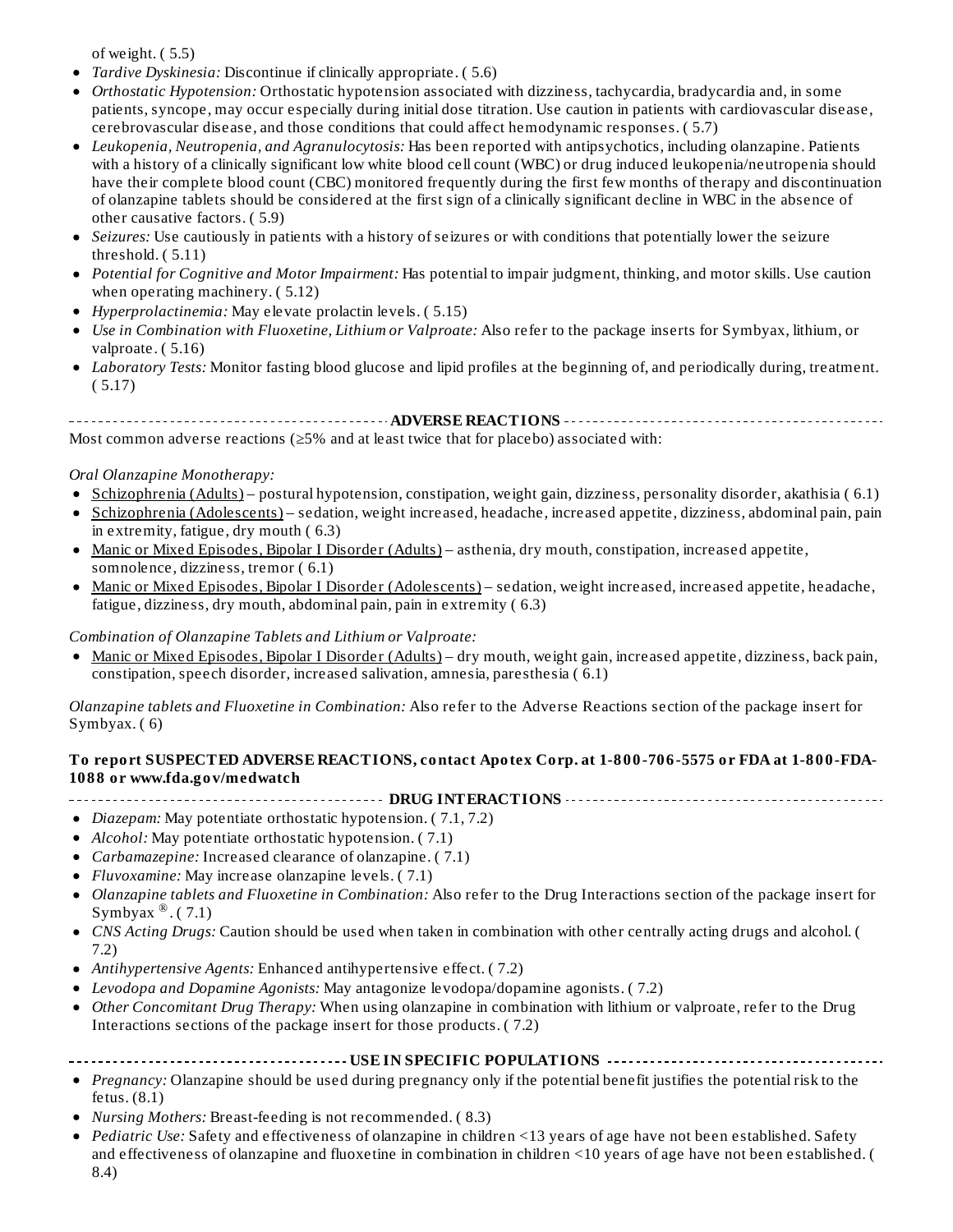of weight. ( 5.5)

- *Tardive Dyskinesia:* Discontinue if clinically appropriate. ( 5.6)
- *Orthostatic Hypotension:* Orthostatic hypotension associated with dizziness, tachycardia, bradycardia and, in some patients, syncope, may occur especially during initial dose titration. Use caution in patients with cardiovascular disease, cerebrovascular disease, and those conditions that could affect hemodynamic responses. ( 5.7)
- *Leukopenia, Neutropenia, and Agranulocytosis:* Has been reported with antipsychotics, including olanzapine. Patients with a history of a clinically significant low white blood cell count (WBC) or drug induced leukopenia/neutropenia should have their complete blood count (CBC) monitored frequently during the first few months of therapy and discontinuation of olanzapine tablets should be considered at the first sign of a clinically significant decline in WBC in the absence of other causative factors. ( 5.9)
- *Seizures:* Use cautiously in patients with a history of seizures or with conditions that potentially lower the seizure threshold. ( 5.11)
- *Potential for Cognitive and Motor Impairment:* Has potential to impair judgment, thinking, and motor skills. Use caution when operating machinery. ( 5.12)
- *Hyperprolactinemia:* May elevate prolactin levels. ( 5.15)
- *Use in Combination with Fluoxetine, Lithium or Valproate:* Also refer to the package inserts for Symbyax, lithium, or valproate. ( 5.16)
- *Laboratory Tests:* Monitor fasting blood glucose and lipid profiles at the beginning of, and periodically during, treatment. ( 5.17)

**ADVERSE REACTIONS**

Most common adverse reactions ( $\geq$ 5% and at least twice that for placebo) associated with:

#### *Oral Olanzapine Monotherapy:*

- Schizophrenia (Adults) postural hypotension, constipation, weight gain, dizziness, personality disorder, akathisia ( 6.1)
- Schizophrenia (Adolescents) sedation, weight increased, headache, increased appetite, dizziness, abdominal pain, pain in extremity, fatigue, dry mouth ( 6.3)
- Manic or Mixed Episodes, Bipolar I Disorder (Adults) asthenia, dry mouth, constipation, increased appetite, somnolence, dizziness, tremor ( 6.1)
- $\bullet$ Manic or Mixed Episodes, Bipolar I Disorder (Adolescents) – sedation, weight increased, increased appetite, headache, fatigue, dizziness, dry mouth, abdominal pain, pain in extremity ( 6.3)

*Combination of Olanzapine Tablets and Lithium or Valproate:*

Manic or Mixed Episodes, Bipolar I Disorder (Adults) – dry mouth, weight gain, increased appetite, dizziness, back pain, constipation, speech disorder, increased salivation, amnesia, paresthesia ( 6.1)

*Olanzapine tablets and Fluoxetine in Combination:* Also refer to the Adverse Reactions section of the package insert for Symbyax. ( 6)

#### **To report SUSPECTED ADVERSE REACTIONS, contact Apotex Corp. at 1-800-706-5575 or FDA at 1-800-FDA-1088 or www.fda.gov/medwatch**

**DRUG INTERACTIONS**

- *Diazepam:* May potentiate orthostatic hypotension. ( 7.1, 7.2)
- *Alcohol:* May potentiate orthostatic hypotension. ( 7.1)
- *Carbamazepine:* Increased clearance of olanzapine. ( 7.1)
- *Fluvoxamine:* May increase olanzapine levels. ( 7.1)
- *Olanzapine tablets and Fluoxetine in Combination:* Also refer to the Drug Interactions section of the package insert for Symbyax $^{\circ}$ . (7.1)
- *CNS Acting Drugs:* Caution should be used when taken in combination with other centrally acting drugs and alcohol. ( 7.2)
- *Antihypertensive Agents:* Enhanced antihypertensive effect. ( 7.2)
- *Levodopa and Dopamine Agonists:* May antagonize levodopa/dopamine agonists. ( 7.2)
- *Other Concomitant Drug Therapy:* When using olanzapine in combination with lithium or valproate, refer to the Drug Interactions sections of the package insert for those products. ( 7.2)
- **USE IN SPECIFIC POPULATIONS**
- *Pregnancy:* Olanzapine should be used during pregnancy only if the potential benefit justifies the potential risk to the fetus. (8.1)
- *Nursing Mothers:* Breast-feeding is not recommended. ( 8.3)
- *Pediatric Use:* Safety and effectiveness of olanzapine in children <13 years of age have not been established. Safety and effectiveness of olanzapine and fluoxetine in combination in children <10 years of age have not been established. ( 8.4)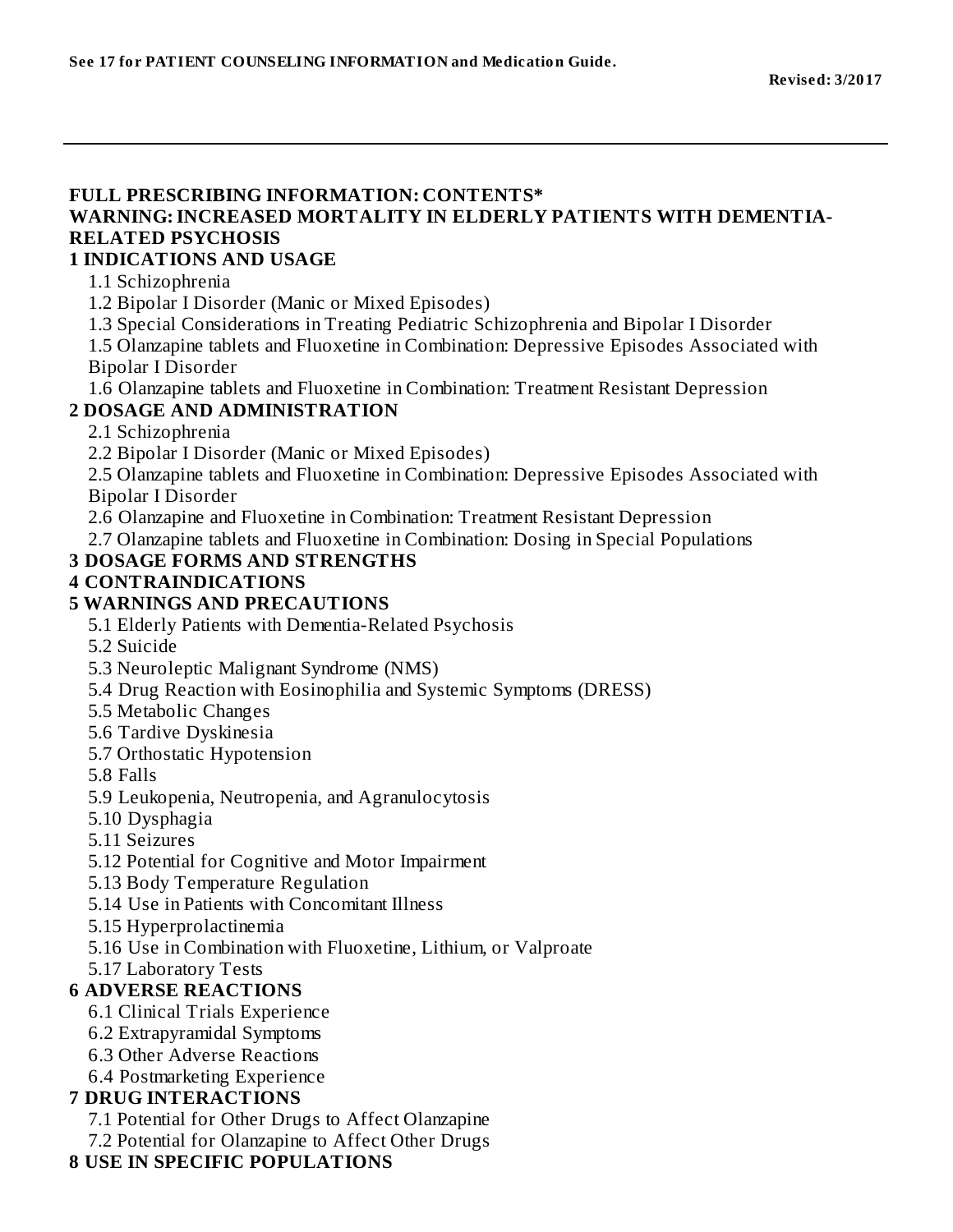# **FULL PRESCRIBING INFORMATION: CONTENTS\* WARNING:INCREASED MORTALITY IN ELDERLY PATIENTS WITH DEMENTIA-RELATED PSYCHOSIS**

# **1 INDICATIONS AND USAGE**

1.1 Schizophrenia

1.2 Bipolar I Disorder (Manic or Mixed Episodes)

1.3 Special Considerations in Treating Pediatric Schizophrenia and Bipolar I Disorder

1.5 Olanzapine tablets and Fluoxetine in Combination: Depressive Episodes Associated with Bipolar I Disorder

1.6 Olanzapine tablets and Fluoxetine in Combination: Treatment Resistant Depression

### **2 DOSAGE AND ADMINISTRATION**

2.1 Schizophrenia

2.2 Bipolar I Disorder (Manic or Mixed Episodes)

2.5 Olanzapine tablets and Fluoxetine in Combination: Depressive Episodes Associated with Bipolar I Disorder

2.6 Olanzapine and Fluoxetine in Combination: Treatment Resistant Depression

2.7 Olanzapine tablets and Fluoxetine in Combination: Dosing in Special Populations

### **3 DOSAGE FORMS AND STRENGTHS**

### **4 CONTRAINDICATIONS**

### **5 WARNINGS AND PRECAUTIONS**

5.1 Elderly Patients with Dementia-Related Psychosis

- 5.2 Suicide
- 5.3 Neuroleptic Malignant Syndrome (NMS)
- 5.4 Drug Reaction with Eosinophilia and Systemic Symptoms (DRESS)
- 5.5 Metabolic Changes
- 5.6 Tardive Dyskinesia
- 5.7 Orthostatic Hypotension
- 5.8 Falls
- 5.9 Leukopenia, Neutropenia, and Agranulocytosis
- 5.10 Dysphagia
- 5.11 Seizures
- 5.12 Potential for Cognitive and Motor Impairment
- 5.13 Body Temperature Regulation
- 5.14 Use in Patients with Concomitant Illness
- 5.15 Hyperprolactinemia
- 5.16 Use in Combination with Fluoxetine, Lithium, or Valproate
- 5.17 Laboratory Tests

### **6 ADVERSE REACTIONS**

- 6.1 Clinical Trials Experience
- 6.2 Extrapyramidal Symptoms
- 6.3 Other Adverse Reactions
- 6.4 Postmarketing Experience

### **7 DRUG INTERACTIONS**

7.1 Potential for Other Drugs to Affect Olanzapine

7.2 Potential for Olanzapine to Affect Other Drugs

#### **8 USE IN SPECIFIC POPULATIONS**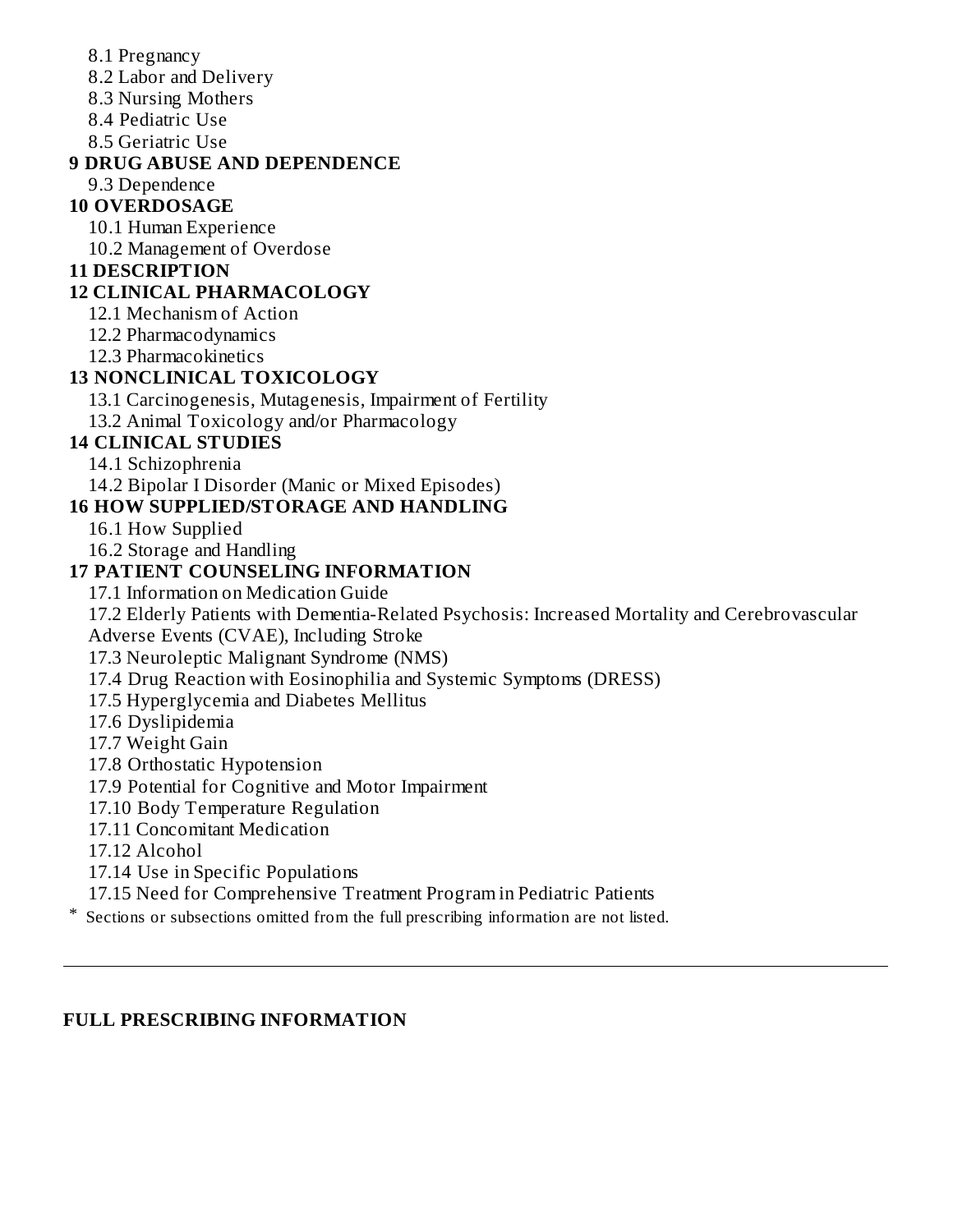- 8.1 Pregnancy
- 8.2 Labor and Delivery
- 8.3 Nursing Mothers
- 8.4 Pediatric Use
- 8.5 Geriatric Use

### **9 DRUG ABUSE AND DEPENDENCE**

9.3 Dependence

# **10 OVERDOSAGE**

- 10.1 Human Experience
- 10.2 Management of Overdose

# **11 DESCRIPTION**

# **12 CLINICAL PHARMACOLOGY**

- 12.1 Mechanism of Action
- 12.2 Pharmacodynamics
- 12.3 Pharmacokinetics

# **13 NONCLINICAL TOXICOLOGY**

- 13.1 Carcinogenesis, Mutagenesis, Impairment of Fertility
- 13.2 Animal Toxicology and/or Pharmacology

# **14 CLINICAL STUDIES**

- 14.1 Schizophrenia
- 14.2 Bipolar I Disorder (Manic or Mixed Episodes)

# **16 HOW SUPPLIED/STORAGE AND HANDLING**

- 16.1 How Supplied
- 16.2 Storage and Handling

# **17 PATIENT COUNSELING INFORMATION**

- 17.1 Information on Medication Guide
- 17.2 Elderly Patients with Dementia-Related Psychosis: Increased Mortality and Cerebrovascular Adverse Events (CVAE), Including Stroke
- 17.3 Neuroleptic Malignant Syndrome (NMS)
- 17.4 Drug Reaction with Eosinophilia and Systemic Symptoms (DRESS)
- 17.5 Hyperglycemia and Diabetes Mellitus
- 17.6 Dyslipidemia
- 17.7 Weight Gain
- 17.8 Orthostatic Hypotension
- 17.9 Potential for Cognitive and Motor Impairment
- 17.10 Body Temperature Regulation
- 17.11 Concomitant Medication
- 17.12 Alcohol
- 17.14 Use in Specific Populations
- 17.15 Need for Comprehensive Treatment Program in Pediatric Patients
- \* Sections or subsections omitted from the full prescribing information are not listed.

# **FULL PRESCRIBING INFORMATION**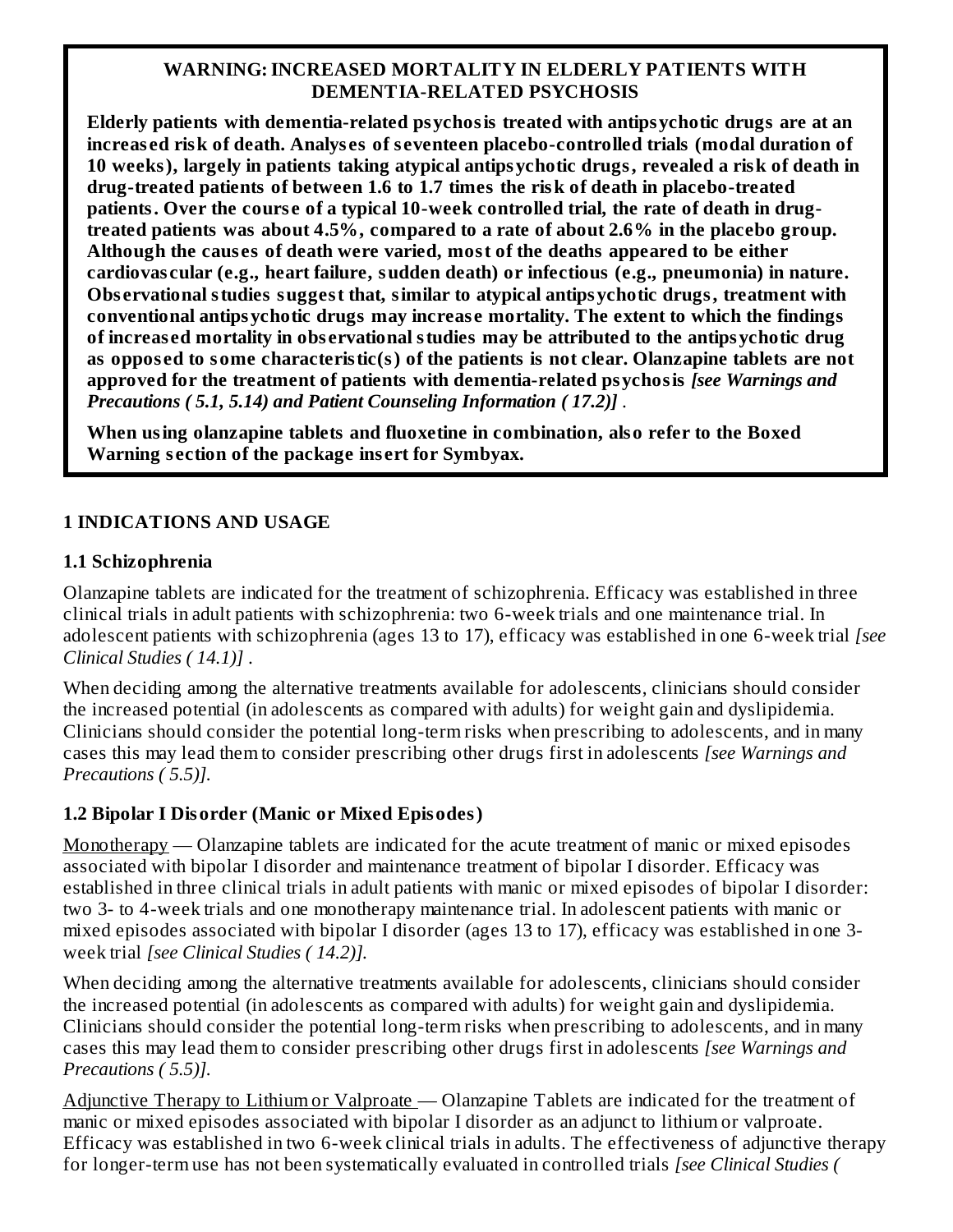### **WARNING:INCREASED MORTALITY IN ELDERLY PATIENTS WITH DEMENTIA-RELATED PSYCHOSIS**

**Elderly patients with dementia-related psychosis treated with antipsychotic drugs are at an increas ed risk of death. Analys es of s eventeen placebo-controlled trials (modal duration of 10 weeks), largely in patients taking atypical antipsychotic drugs, revealed a risk of death in drug-treated patients of between 1.6 to 1.7 times the risk of death in placebo-treated patients. Over the cours e of a typical 10-week controlled trial, the rate of death in drugtreated patients was about 4.5%, compared to a rate of about 2.6% in the placebo group. Although the caus es of death were varied, most of the deaths appeared to be either cardiovas cular (e.g., heart failure, sudden death) or infectious (e.g., pneumonia) in nature. Obs ervational studies suggest that, similar to atypical antipsychotic drugs, treatment with conventional antipsychotic drugs may increas e mortality. The extent to which the findings of increas ed mortality in obs ervational studies may be attributed to the antipsychotic drug as oppos ed to some characteristic(s) of the patients is not clear. Olanzapine tablets are not approved for the treatment of patients with dementia-related psychosis** *[see Warnings and Precautions ( 5.1, 5.14) and Patient Counseling Information ( 17.2)]* .

**When using olanzapine tablets and fluoxetine in combination, also refer to the Boxed Warning s ection of the package ins ert for Symbyax.**

### **1 INDICATIONS AND USAGE**

### **1.1 Schizophrenia**

Olanzapine tablets are indicated for the treatment of schizophrenia. Efficacy was established in three clinical trials in adult patients with schizophrenia: two 6-week trials and one maintenance trial. In adolescent patients with schizophrenia (ages 13 to 17), efficacy was established in one 6-week trial *[see Clinical Studies ( 14.1)]* .

When deciding among the alternative treatments available for adolescents, clinicians should consider the increased potential (in adolescents as compared with adults) for weight gain and dyslipidemia. Clinicians should consider the potential long-term risks when prescribing to adolescents, and in many cases this may lead them to consider prescribing other drugs first in adolescents *[see Warnings and Precautions ( 5.5)].*

# **1.2 Bipolar I Disorder (Manic or Mixed Episodes)**

Monotherapy — Olanzapine tablets are indicated for the acute treatment of manic or mixed episodes associated with bipolar I disorder and maintenance treatment of bipolar I disorder. Efficacy was established in three clinical trials in adult patients with manic or mixed episodes of bipolar I disorder: two 3- to 4-week trials and one monotherapy maintenance trial. In adolescent patients with manic or mixed episodes associated with bipolar I disorder (ages 13 to 17), efficacy was established in one 3 week trial *[see Clinical Studies ( 14.2)].*

When deciding among the alternative treatments available for adolescents, clinicians should consider the increased potential (in adolescents as compared with adults) for weight gain and dyslipidemia. Clinicians should consider the potential long-term risks when prescribing to adolescents, and in many cases this may lead them to consider prescribing other drugs first in adolescents *[see Warnings and Precautions ( 5.5)].*

Adjunctive Therapy to Lithium or Valproate — Olanzapine Tablets are indicated for the treatment of manic or mixed episodes associated with bipolar I disorder as an adjunct to lithium or valproate. Efficacy was established in two 6-week clinical trials in adults. The effectiveness of adjunctive therapy for longer-term use has not been systematically evaluated in controlled trials *[see Clinical Studies (*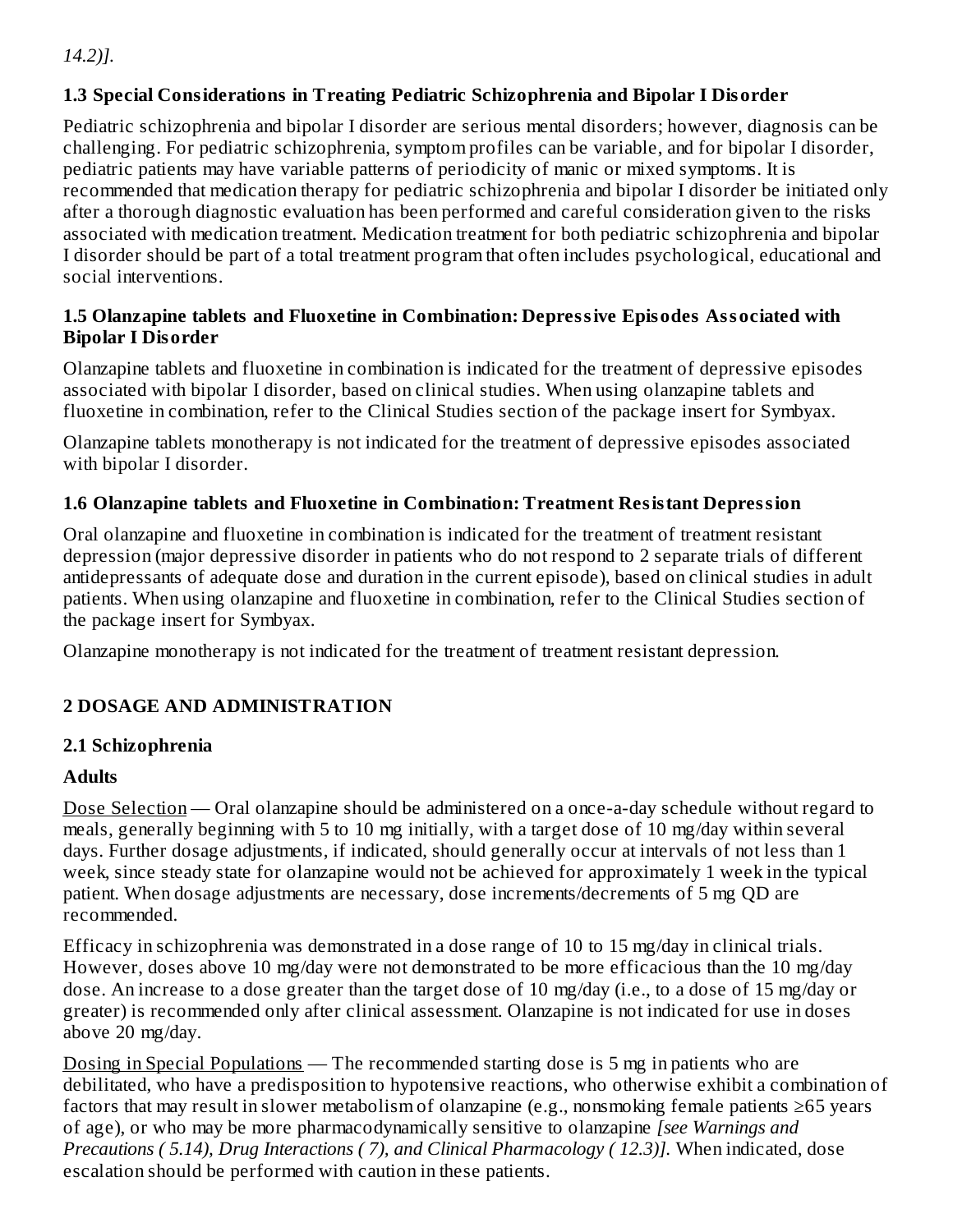# *14.2)].*

# **1.3 Special Considerations in Treating Pediatric Schizophrenia and Bipolar I Disorder**

Pediatric schizophrenia and bipolar I disorder are serious mental disorders; however, diagnosis can be challenging. For pediatric schizophrenia, symptom profiles can be variable, and for bipolar I disorder, pediatric patients may have variable patterns of periodicity of manic or mixed symptoms. It is recommended that medication therapy for pediatric schizophrenia and bipolar I disorder be initiated only after a thorough diagnostic evaluation has been performed and careful consideration given to the risks associated with medication treatment. Medication treatment for both pediatric schizophrenia and bipolar I disorder should be part of a total treatment program that often includes psychological, educational and social interventions.

#### **1.5 Olanzapine tablets and Fluoxetine in Combination: Depressive Episodes Associated with Bipolar I Disorder**

Olanzapine tablets and fluoxetine in combination is indicated for the treatment of depressive episodes associated with bipolar I disorder, based on clinical studies. When using olanzapine tablets and fluoxetine in combination, refer to the Clinical Studies section of the package insert for Symbyax.

Olanzapine tablets monotherapy is not indicated for the treatment of depressive episodes associated with bipolar I disorder.

### **1.6 Olanzapine tablets and Fluoxetine in Combination: Treatment Resistant Depression**

Oral olanzapine and fluoxetine in combination is indicated for the treatment of treatment resistant depression (major depressive disorder in patients who do not respond to 2 separate trials of different antidepressants of adequate dose and duration in the current episode), based on clinical studies in adult patients. When using olanzapine and fluoxetine in combination, refer to the Clinical Studies section of the package insert for Symbyax.

Olanzapine monotherapy is not indicated for the treatment of treatment resistant depression.

# **2 DOSAGE AND ADMINISTRATION**

### **2.1 Schizophrenia**

### **Adults**

Dose Selection — Oral olanzapine should be administered on a once-a-day schedule without regard to meals, generally beginning with 5 to 10 mg initially, with a target dose of 10 mg/day within several days. Further dosage adjustments, if indicated, should generally occur at intervals of not less than 1 week, since steady state for olanzapine would not be achieved for approximately 1 week in the typical patient. When dosage adjustments are necessary, dose increments/decrements of 5 mg QD are recommended.

Efficacy in schizophrenia was demonstrated in a dose range of 10 to 15 mg/day in clinical trials. However, doses above 10 mg/day were not demonstrated to be more efficacious than the 10 mg/day dose. An increase to a dose greater than the target dose of 10 mg/day (i.e., to a dose of 15 mg/day or greater) is recommended only after clinical assessment. Olanzapine is not indicated for use in doses above 20 mg/day.

Dosing in Special Populations — The recommended starting dose is 5 mg in patients who are debilitated, who have a predisposition to hypotensive reactions, who otherwise exhibit a combination of factors that may result in slower metabolism of olanzapine (e.g., nonsmoking female patients ≥65 years of age), or who may be more pharmacodynamically sensitive to olanzapine *[see Warnings and Precautions ( 5.14), Drug Interactions ( 7), and Clinical Pharmacology ( 12.3)].* When indicated, dose escalation should be performed with caution in these patients.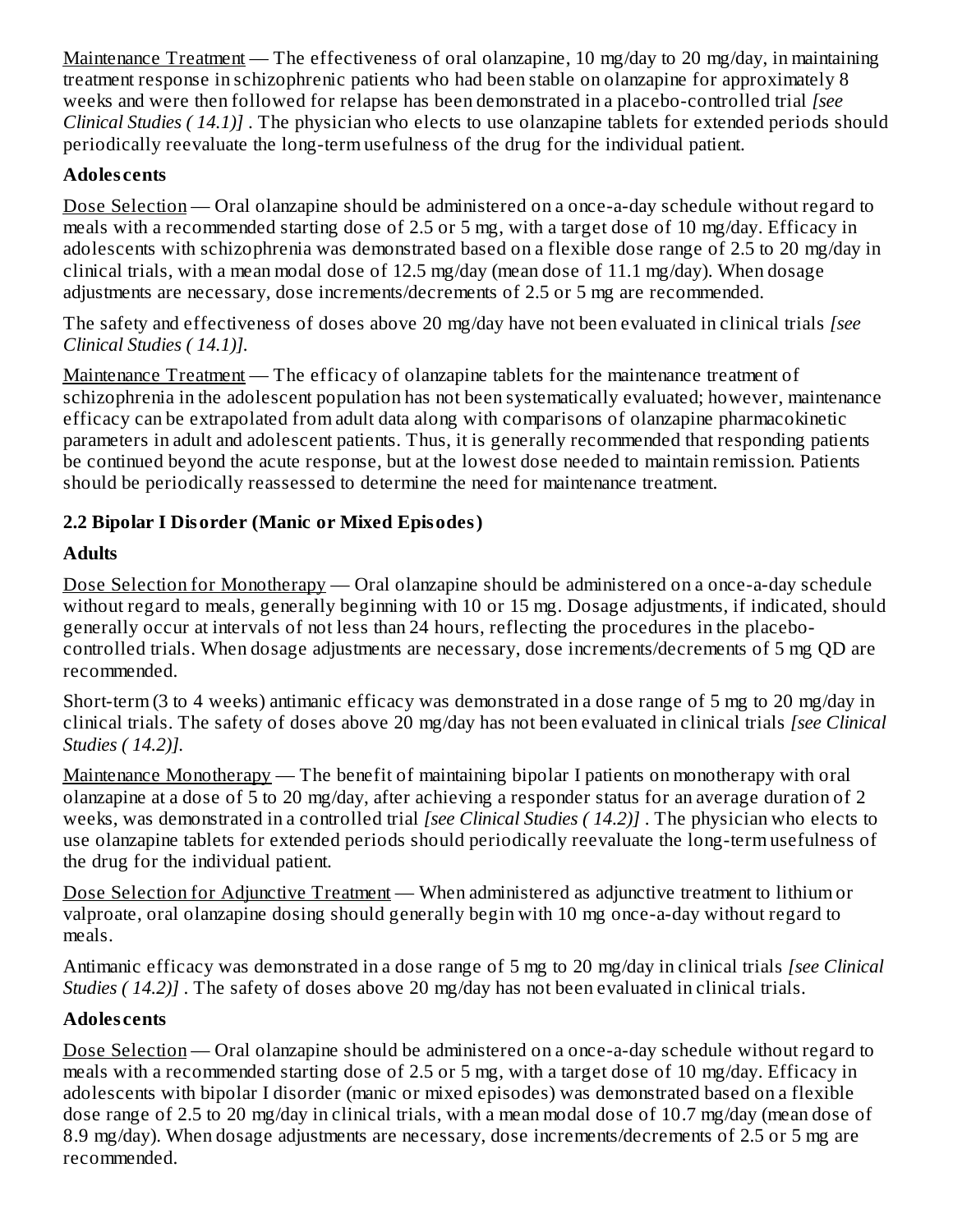Maintenance Treatment — The effectiveness of oral olanzapine, 10 mg/day to 20 mg/day, in maintaining treatment response in schizophrenic patients who had been stable on olanzapine for approximately 8 weeks and were then followed for relapse has been demonstrated in a placebo-controlled trial *[see Clinical Studies ( 14.1)]* . The physician who elects to use olanzapine tablets for extended periods should periodically reevaluate the long-term usefulness of the drug for the individual patient.

# **Adoles cents**

Dose Selection — Oral olanzapine should be administered on a once-a-day schedule without regard to meals with a recommended starting dose of 2.5 or 5 mg, with a target dose of 10 mg/day. Efficacy in adolescents with schizophrenia was demonstrated based on a flexible dose range of 2.5 to 20 mg/day in clinical trials, with a mean modal dose of 12.5 mg/day (mean dose of 11.1 mg/day). When dosage adjustments are necessary, dose increments/decrements of 2.5 or 5 mg are recommended.

The safety and effectiveness of doses above 20 mg/day have not been evaluated in clinical trials *[see Clinical Studies ( 14.1)].*

Maintenance Treatment — The efficacy of olanzapine tablets for the maintenance treatment of schizophrenia in the adolescent population has not been systematically evaluated; however, maintenance efficacy can be extrapolated from adult data along with comparisons of olanzapine pharmacokinetic parameters in adult and adolescent patients. Thus, it is generally recommended that responding patients be continued beyond the acute response, but at the lowest dose needed to maintain remission. Patients should be periodically reassessed to determine the need for maintenance treatment.

# **2.2 Bipolar I Disorder (Manic or Mixed Episodes)**

# **Adults**

Dose Selection for Monotherapy — Oral olanzapine should be administered on a once-a-day schedule without regard to meals, generally beginning with 10 or 15 mg. Dosage adjustments, if indicated, should generally occur at intervals of not less than 24 hours, reflecting the procedures in the placebocontrolled trials. When dosage adjustments are necessary, dose increments/decrements of 5 mg QD are recommended.

Short-term (3 to 4 weeks) antimanic efficacy was demonstrated in a dose range of 5 mg to 20 mg/day in clinical trials. The safety of doses above 20 mg/day has not been evaluated in clinical trials *[see Clinical Studies ( 14.2)].*

Maintenance Monotherapy — The benefit of maintaining bipolar I patients on monotherapy with oral olanzapine at a dose of 5 to 20 mg/day, after achieving a responder status for an average duration of 2 weeks, was demonstrated in a controlled trial *[see Clinical Studies ( 14.2)]* . The physician who elects to use olanzapine tablets for extended periods should periodically reevaluate the long-term usefulness of the drug for the individual patient.

Dose Selection for Adjunctive Treatment — When administered as adjunctive treatment to lithium or valproate, oral olanzapine dosing should generally begin with 10 mg once-a-day without regard to meals.

Antimanic efficacy was demonstrated in a dose range of 5 mg to 20 mg/day in clinical trials *[see Clinical Studies ( 14.2)]* . The safety of doses above 20 mg/day has not been evaluated in clinical trials.

# **Adoles cents**

Dose Selection — Oral olanzapine should be administered on a once-a-day schedule without regard to meals with a recommended starting dose of 2.5 or 5 mg, with a target dose of 10 mg/day. Efficacy in adolescents with bipolar I disorder (manic or mixed episodes) was demonstrated based on a flexible dose range of 2.5 to 20 mg/day in clinical trials, with a mean modal dose of 10.7 mg/day (mean dose of 8.9 mg/day). When dosage adjustments are necessary, dose increments/decrements of 2.5 or 5 mg are recommended.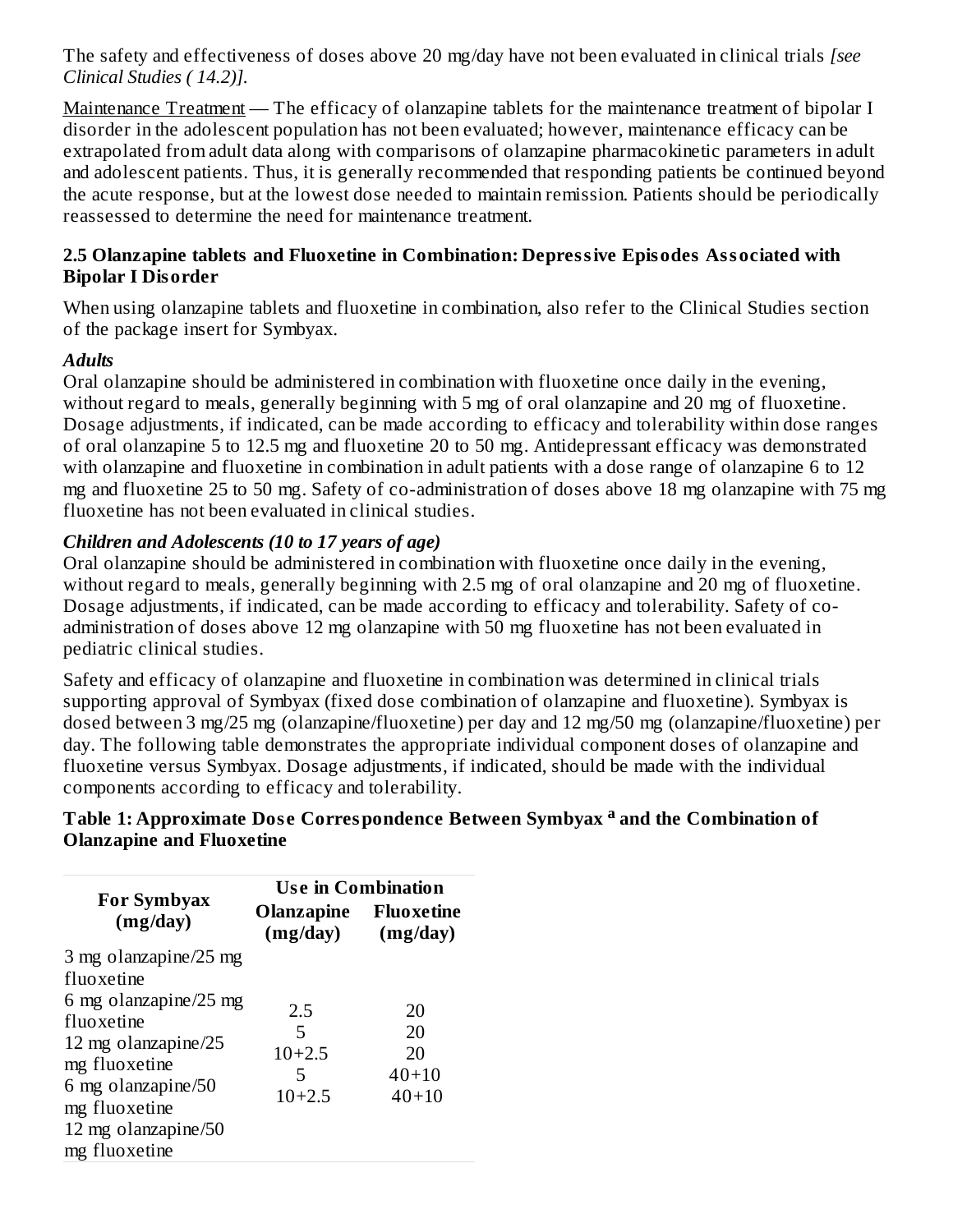The safety and effectiveness of doses above 20 mg/day have not been evaluated in clinical trials *[see Clinical Studies ( 14.2)].*

Maintenance Treatment — The efficacy of olanzapine tablets for the maintenance treatment of bipolar I disorder in the adolescent population has not been evaluated; however, maintenance efficacy can be extrapolated from adult data along with comparisons of olanzapine pharmacokinetic parameters in adult and adolescent patients. Thus, it is generally recommended that responding patients be continued beyond the acute response, but at the lowest dose needed to maintain remission. Patients should be periodically reassessed to determine the need for maintenance treatment.

#### **2.5 Olanzapine tablets and Fluoxetine in Combination: Depressive Episodes Associated with Bipolar I Disorder**

When using olanzapine tablets and fluoxetine in combination, also refer to the Clinical Studies section of the package insert for Symbyax.

### *Adults*

Oral olanzapine should be administered in combination with fluoxetine once daily in the evening, without regard to meals, generally beginning with 5 mg of oral olanzapine and 20 mg of fluoxetine. Dosage adjustments, if indicated, can be made according to efficacy and tolerability within dose ranges of oral olanzapine 5 to 12.5 mg and fluoxetine 20 to 50 mg. Antidepressant efficacy was demonstrated with olanzapine and fluoxetine in combination in adult patients with a dose range of olanzapine 6 to 12 mg and fluoxetine 25 to 50 mg. Safety of co-administration of doses above 18 mg olanzapine with 75 mg fluoxetine has not been evaluated in clinical studies.

### *Children and Adolescents (10 to 17 years of age)*

Oral olanzapine should be administered in combination with fluoxetine once daily in the evening, without regard to meals, generally beginning with 2.5 mg of oral olanzapine and 20 mg of fluoxetine. Dosage adjustments, if indicated, can be made according to efficacy and tolerability. Safety of coadministration of doses above 12 mg olanzapine with 50 mg fluoxetine has not been evaluated in pediatric clinical studies.

Safety and efficacy of olanzapine and fluoxetine in combination was determined in clinical trials supporting approval of Symbyax (fixed dose combination of olanzapine and fluoxetine). Symbyax is dosed between 3 mg/25 mg (olanzapine/fluoxetine) per day and 12 mg/50 mg (olanzapine/fluoxetine) per day. The following table demonstrates the appropriate individual component doses of olanzapine and fluoxetine versus Symbyax. Dosage adjustments, if indicated, should be made with the individual components according to efficacy and tolerability.

#### **Table 1: Approximate Dos e Correspondence Between Symbyax and the Combination of a Olanzapine and Fluoxetine**

|                                                                                                                    | <b>Use in Combination</b>             |                                        |  |  |  |
|--------------------------------------------------------------------------------------------------------------------|---------------------------------------|----------------------------------------|--|--|--|
| <b>For Symbyax</b><br>(mg/day)                                                                                     | Olanzapine<br>(mg/day)                | <b>Fluoxetine</b><br>(mg/day)          |  |  |  |
| 3 mg olanzapine/25 mg                                                                                              |                                       |                                        |  |  |  |
| fluoxetine                                                                                                         |                                       |                                        |  |  |  |
| 6 mg olanzapine/25 mg<br>fluoxetine<br>12 mg olanzapine/25<br>mg fluoxetine<br>6 mg olanzapine/50<br>mg fluoxetine | 2.5<br>5<br>$10+2.5$<br>5<br>$10+2.5$ | 20<br>20<br>20<br>$40 + 10$<br>$40+10$ |  |  |  |
| 12 mg olanzapine/50<br>mg fluoxetine                                                                               |                                       |                                        |  |  |  |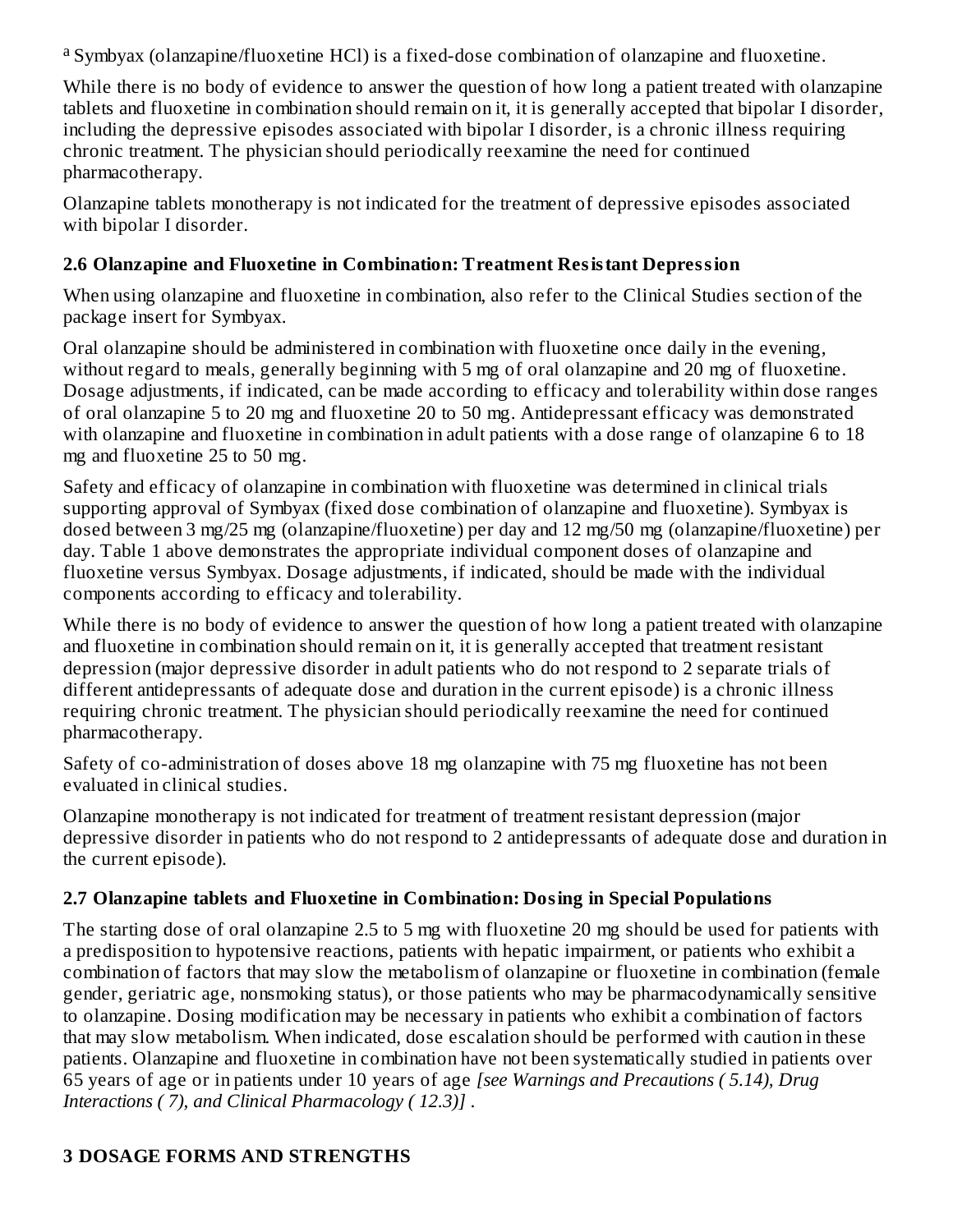<sup>a</sup> Symbyax (olanzapine/fluoxetine HCl) is a fixed-dose combination of olanzapine and fluoxetine.

While there is no body of evidence to answer the question of how long a patient treated with olanzapine tablets and fluoxetine in combination should remain on it, it is generally accepted that bipolar I disorder, including the depressive episodes associated with bipolar I disorder, is a chronic illness requiring chronic treatment. The physician should periodically reexamine the need for continued pharmacotherapy.

Olanzapine tablets monotherapy is not indicated for the treatment of depressive episodes associated with bipolar I disorder.

# **2.6 Olanzapine and Fluoxetine in Combination: Treatment Resistant Depression**

When using olanzapine and fluoxetine in combination, also refer to the Clinical Studies section of the package insert for Symbyax.

Oral olanzapine should be administered in combination with fluoxetine once daily in the evening, without regard to meals, generally beginning with 5 mg of oral olanzapine and 20 mg of fluoxetine. Dosage adjustments, if indicated, can be made according to efficacy and tolerability within dose ranges of oral olanzapine 5 to 20 mg and fluoxetine 20 to 50 mg. Antidepressant efficacy was demonstrated with olanzapine and fluoxetine in combination in adult patients with a dose range of olanzapine 6 to 18 mg and fluoxetine 25 to 50 mg.

Safety and efficacy of olanzapine in combination with fluoxetine was determined in clinical trials supporting approval of Symbyax (fixed dose combination of olanzapine and fluoxetine). Symbyax is dosed between 3 mg/25 mg (olanzapine/fluoxetine) per day and 12 mg/50 mg (olanzapine/fluoxetine) per day. Table 1 above demonstrates the appropriate individual component doses of olanzapine and fluoxetine versus Symbyax. Dosage adjustments, if indicated, should be made with the individual components according to efficacy and tolerability.

While there is no body of evidence to answer the question of how long a patient treated with olanzapine and fluoxetine in combination should remain on it, it is generally accepted that treatment resistant depression (major depressive disorder in adult patients who do not respond to 2 separate trials of different antidepressants of adequate dose and duration in the current episode) is a chronic illness requiring chronic treatment. The physician should periodically reexamine the need for continued pharmacotherapy.

Safety of co-administration of doses above 18 mg olanzapine with 75 mg fluoxetine has not been evaluated in clinical studies.

Olanzapine monotherapy is not indicated for treatment of treatment resistant depression (major depressive disorder in patients who do not respond to 2 antidepressants of adequate dose and duration in the current episode).

# **2.7 Olanzapine tablets and Fluoxetine in Combination: Dosing in Special Populations**

The starting dose of oral olanzapine 2.5 to 5 mg with fluoxetine 20 mg should be used for patients with a predisposition to hypotensive reactions, patients with hepatic impairment, or patients who exhibit a combination of factors that may slow the metabolism of olanzapine or fluoxetine in combination (female gender, geriatric age, nonsmoking status), or those patients who may be pharmacodynamically sensitive to olanzapine. Dosing modification may be necessary in patients who exhibit a combination of factors that may slow metabolism. When indicated, dose escalation should be performed with caution in these patients. Olanzapine and fluoxetine in combination have not been systematically studied in patients over 65 years of age or in patients under 10 years of age *[see Warnings and Precautions ( 5.14), Drug Interactions ( 7), and Clinical Pharmacology ( 12.3)]* .

# **3 DOSAGE FORMS AND STRENGTHS**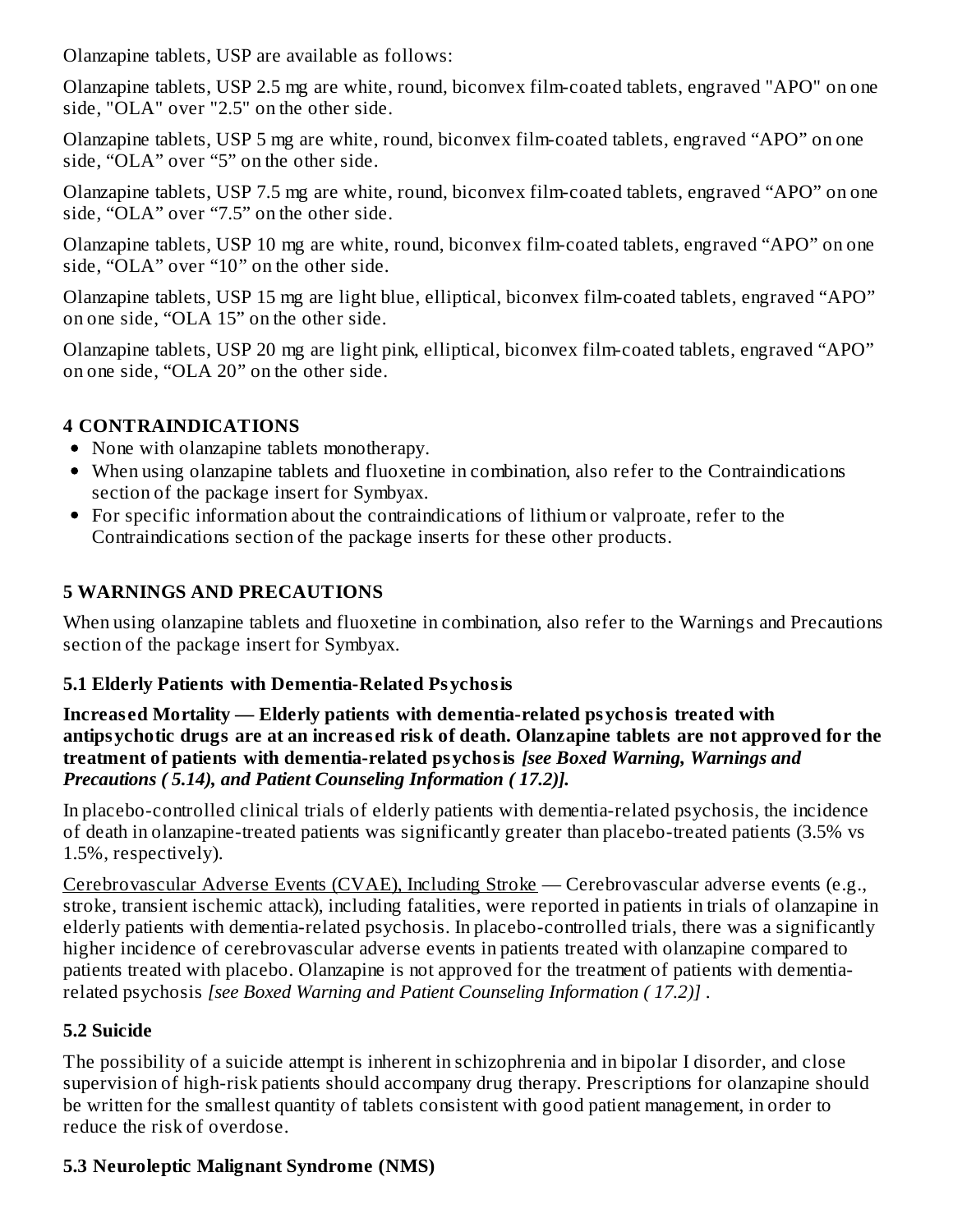Olanzapine tablets, USP are available as follows:

Olanzapine tablets, USP 2.5 mg are white, round, biconvex film-coated tablets, engraved "APO" on one side, "OLA" over "2.5" on the other side.

Olanzapine tablets, USP 5 mg are white, round, biconvex film-coated tablets, engraved "APO" on one side, "OLA" over "5" on the other side.

Olanzapine tablets, USP 7.5 mg are white, round, biconvex film-coated tablets, engraved "APO" on one side, "OLA" over "7.5" on the other side.

Olanzapine tablets, USP 10 mg are white, round, biconvex film-coated tablets, engraved "APO" on one side, "OLA" over "10" on the other side.

Olanzapine tablets, USP 15 mg are light blue, elliptical, biconvex film-coated tablets, engraved "APO" on one side, "OLA 15" on the other side.

Olanzapine tablets, USP 20 mg are light pink, elliptical, biconvex film-coated tablets, engraved "APO" on one side, "OLA 20" on the other side.

# **4 CONTRAINDICATIONS**

- None with olanzapine tablets monotherapy.
- When using olanzapine tablets and fluoxetine in combination, also refer to the Contraindications section of the package insert for Symbyax.
- For specific information about the contraindications of lithium or valproate, refer to the Contraindications section of the package inserts for these other products.

# **5 WARNINGS AND PRECAUTIONS**

When using olanzapine tablets and fluoxetine in combination, also refer to the Warnings and Precautions section of the package insert for Symbyax.

# **5.1 Elderly Patients with Dementia-Related Psychosis**

**Increas ed Mortality — Elderly patients with dementia-related psychosis treated with antipsychotic drugs are at an increas ed risk of death. Olanzapine tablets are not approved for the treatment of patients with dementia-related psychosis** *[see Boxed Warning, Warnings and Precautions ( 5.14), and Patient Counseling Information ( 17.2)].*

In placebo-controlled clinical trials of elderly patients with dementia-related psychosis, the incidence of death in olanzapine-treated patients was significantly greater than placebo-treated patients (3.5% vs 1.5%, respectively).

Cerebrovascular Adverse Events (CVAE), Including Stroke — Cerebrovascular adverse events (e.g., stroke, transient ischemic attack), including fatalities, were reported in patients in trials of olanzapine in elderly patients with dementia-related psychosis. In placebo-controlled trials, there was a significantly higher incidence of cerebrovascular adverse events in patients treated with olanzapine compared to patients treated with placebo. Olanzapine is not approved for the treatment of patients with dementiarelated psychosis *[see Boxed Warning and Patient Counseling Information ( 17.2)]* .

# **5.2 Suicide**

The possibility of a suicide attempt is inherent in schizophrenia and in bipolar I disorder, and close supervision of high-risk patients should accompany drug therapy. Prescriptions for olanzapine should be written for the smallest quantity of tablets consistent with good patient management, in order to reduce the risk of overdose.

# **5.3 Neuroleptic Malignant Syndrome (NMS)**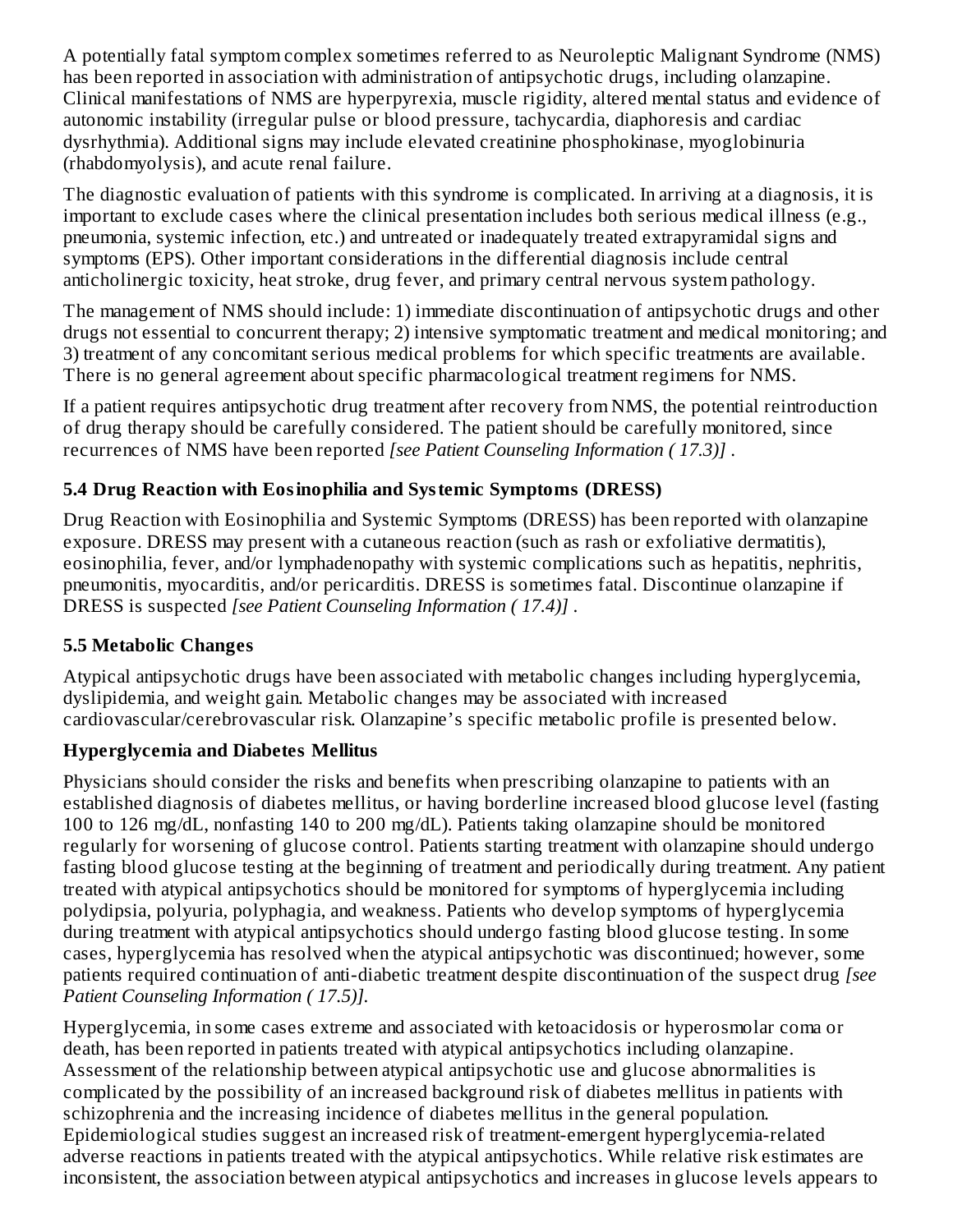A potentially fatal symptom complex sometimes referred to as Neuroleptic Malignant Syndrome (NMS) has been reported in association with administration of antipsychotic drugs, including olanzapine. Clinical manifestations of NMS are hyperpyrexia, muscle rigidity, altered mental status and evidence of autonomic instability (irregular pulse or blood pressure, tachycardia, diaphoresis and cardiac dysrhythmia). Additional signs may include elevated creatinine phosphokinase, myoglobinuria (rhabdomyolysis), and acute renal failure.

The diagnostic evaluation of patients with this syndrome is complicated. In arriving at a diagnosis, it is important to exclude cases where the clinical presentation includes both serious medical illness (e.g., pneumonia, systemic infection, etc.) and untreated or inadequately treated extrapyramidal signs and symptoms (EPS). Other important considerations in the differential diagnosis include central anticholinergic toxicity, heat stroke, drug fever, and primary central nervous system pathology.

The management of NMS should include: 1) immediate discontinuation of antipsychotic drugs and other drugs not essential to concurrent therapy; 2) intensive symptomatic treatment and medical monitoring; and 3) treatment of any concomitant serious medical problems for which specific treatments are available. There is no general agreement about specific pharmacological treatment regimens for NMS.

If a patient requires antipsychotic drug treatment after recovery from NMS, the potential reintroduction of drug therapy should be carefully considered. The patient should be carefully monitored, since recurrences of NMS have been reported *[see Patient Counseling Information ( 17.3)]* .

# **5.4 Drug Reaction with Eosinophilia and Systemic Symptoms (DRESS)**

Drug Reaction with Eosinophilia and Systemic Symptoms (DRESS) has been reported with olanzapine exposure. DRESS may present with a cutaneous reaction (such as rash or exfoliative dermatitis), eosinophilia, fever, and/or lymphadenopathy with systemic complications such as hepatitis, nephritis, pneumonitis, myocarditis, and/or pericarditis. DRESS is sometimes fatal. Discontinue olanzapine if DRESS is suspected *[see Patient Counseling Information ( 17.4)]* .

# **5.5 Metabolic Changes**

Atypical antipsychotic drugs have been associated with metabolic changes including hyperglycemia, dyslipidemia, and weight gain. Metabolic changes may be associated with increased cardiovascular/cerebrovascular risk. Olanzapine's specific metabolic profile is presented below.

# **Hyperglycemia and Diabetes Mellitus**

Physicians should consider the risks and benefits when prescribing olanzapine to patients with an established diagnosis of diabetes mellitus, or having borderline increased blood glucose level (fasting 100 to 126 mg/dL, nonfasting 140 to 200 mg/dL). Patients taking olanzapine should be monitored regularly for worsening of glucose control. Patients starting treatment with olanzapine should undergo fasting blood glucose testing at the beginning of treatment and periodically during treatment. Any patient treated with atypical antipsychotics should be monitored for symptoms of hyperglycemia including polydipsia, polyuria, polyphagia, and weakness. Patients who develop symptoms of hyperglycemia during treatment with atypical antipsychotics should undergo fasting blood glucose testing. In some cases, hyperglycemia has resolved when the atypical antipsychotic was discontinued; however, some patients required continuation of anti-diabetic treatment despite discontinuation of the suspect drug *[see Patient Counseling Information ( 17.5)].*

Hyperglycemia, in some cases extreme and associated with ketoacidosis or hyperosmolar coma or death, has been reported in patients treated with atypical antipsychotics including olanzapine. Assessment of the relationship between atypical antipsychotic use and glucose abnormalities is complicated by the possibility of an increased background risk of diabetes mellitus in patients with schizophrenia and the increasing incidence of diabetes mellitus in the general population. Epidemiological studies suggest an increased risk of treatment-emergent hyperglycemia-related adverse reactions in patients treated with the atypical antipsychotics. While relative risk estimates are inconsistent, the association between atypical antipsychotics and increases in glucose levels appears to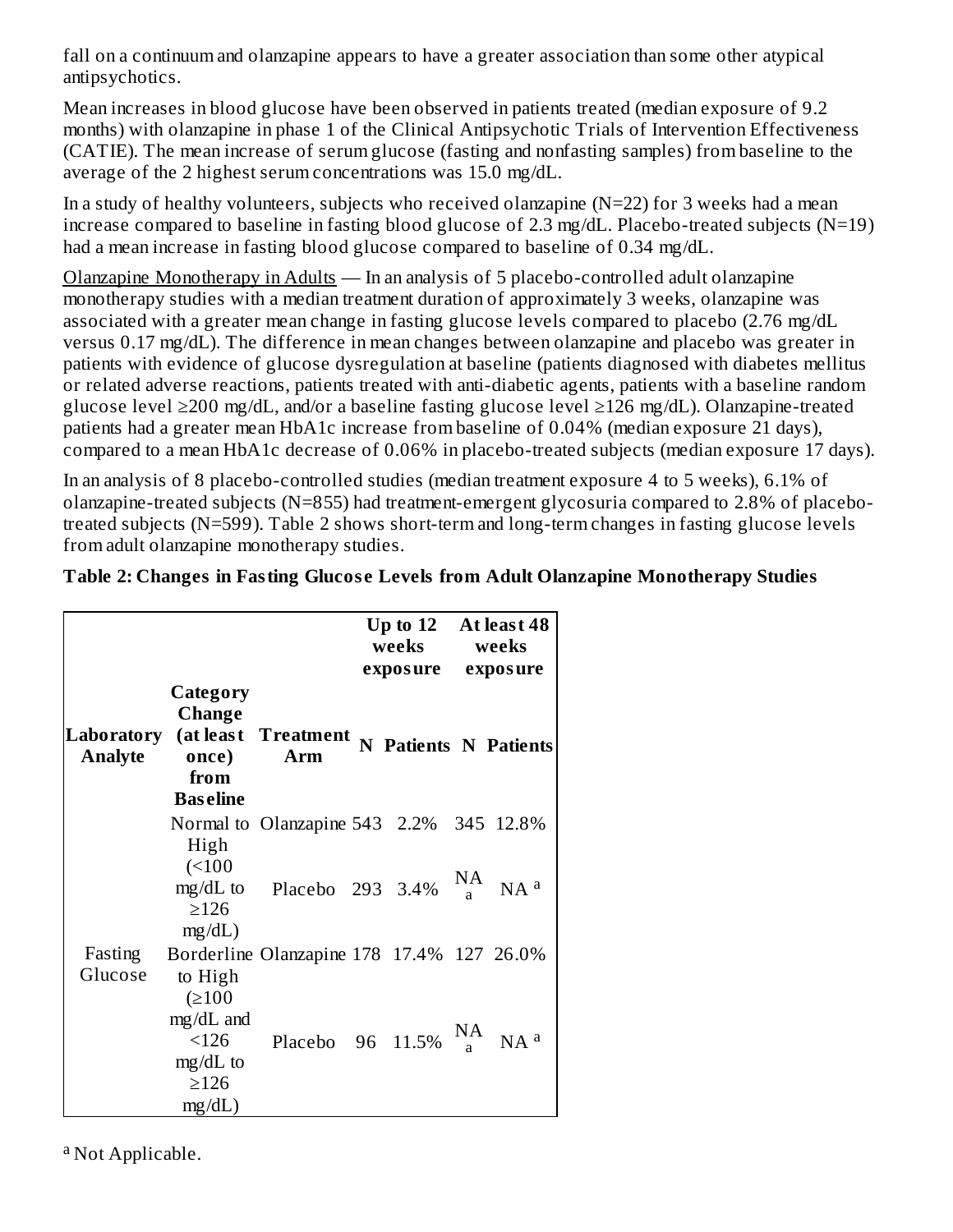fall on a continuum and olanzapine appears to have a greater association than some other atypical antipsychotics.

Mean increases in blood glucose have been observed in patients treated (median exposure of 9.2 months) with olanzapine in phase 1 of the Clinical Antipsychotic Trials of Intervention Effectiveness (CATIE). The mean increase of serum glucose (fasting and nonfasting samples) from baseline to the average of the 2 highest serum concentrations was 15.0 mg/dL.

In a study of healthy volunteers, subjects who received olanzapine  $(N=22)$  for 3 weeks had a mean increase compared to baseline in fasting blood glucose of 2.3 mg/dL. Placebo-treated subjects (N=19) had a mean increase in fasting blood glucose compared to baseline of 0.34 mg/dL.

Olanzapine Monotherapy in Adults — In an analysis of 5 placebo-controlled adult olanzapine monotherapy studies with a median treatment duration of approximately 3 weeks, olanzapine was associated with a greater mean change in fasting glucose levels compared to placebo (2.76 mg/dL versus 0.17 mg/dL). The difference in mean changes between olanzapine and placebo was greater in patients with evidence of glucose dysregulation at baseline (patients diagnosed with diabetes mellitus or related adverse reactions, patients treated with anti-diabetic agents, patients with a baseline random glucose level ≥200 mg/dL, and/or a baseline fasting glucose level ≥126 mg/dL). Olanzapine-treated patients had a greater mean HbA1c increase from baseline of 0.04% (median exposure 21 days), compared to a mean HbA1c decrease of 0.06% in placebo-treated subjects (median exposure 17 days).

In an analysis of 8 placebo-controlled studies (median treatment exposure 4 to 5 weeks), 6.1% of olanzapine-treated subjects (N=855) had treatment-emergent glycosuria compared to 2.8% of placebotreated subjects (N=599). Table 2 shows short-term and long-term changes in fasting glucose levels from adult olanzapine monotherapy studies.

|  | Table 2: Changes in Fasting Glucose Levels from Adult Olanzapine Monotherapy Studies |  |  |  |
|--|--------------------------------------------------------------------------------------|--|--|--|
|  |                                                                                      |  |  |  |

|                                                  |                                                                                |                                           | Up to 12 At least 48<br>weeks<br>exposure |    | weeks<br>exposure |
|--------------------------------------------------|--------------------------------------------------------------------------------|-------------------------------------------|-------------------------------------------|----|-------------------|
| Laboratory (at least Treatment<br><b>Analyte</b> | Category<br><b>Change</b><br>once)<br>from<br><b>Baseline</b>                  | Arm                                       | <b>N</b> Patients N Patients              |    |                   |
|                                                  |                                                                                | Normal to Olanzapine 543 2.2% 345 12.8%   |                                           |    |                   |
|                                                  | High<br>$($ < 100<br>$mg/dL$ to<br>$\geq$ 126<br>mg/dL)                        | Placebo 293 3.4%                          |                                           | NA | NA <sup>a</sup>   |
| Fasting                                          |                                                                                | Borderline Olanzapine 178 17.4% 127 26.0% |                                           |    |                   |
| Glucose                                          | to High<br>(≥100<br>$mg/dL$ and<br>< 126<br>$mg/dL$ to<br>$\geq$ 126<br>mg/dL) | Placebo 96 11.5%                          |                                           | NA | NA <sup>a</sup>   |

<sup>a</sup> Not Applicable.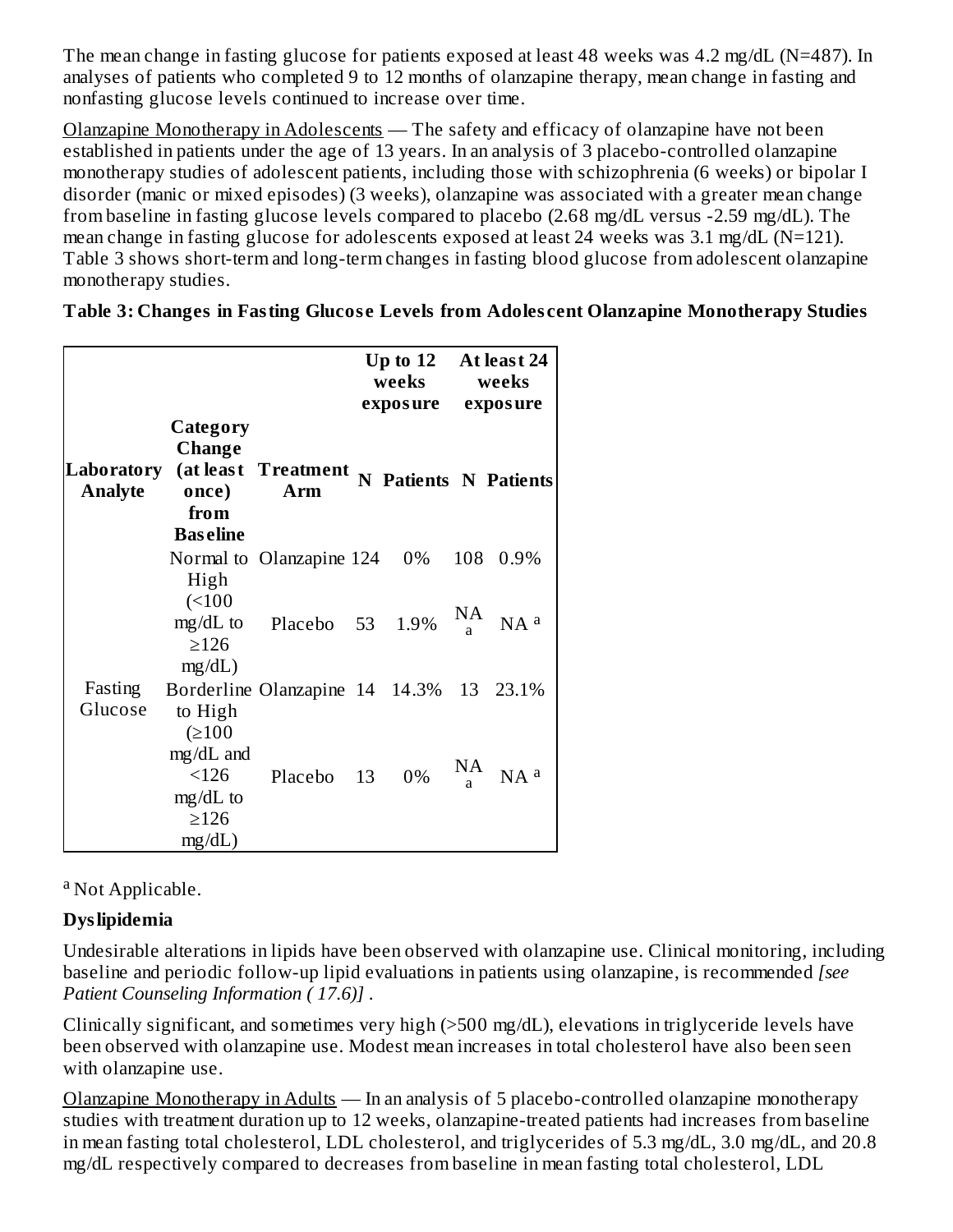The mean change in fasting glucose for patients exposed at least 48 weeks was 4.2 mg/dL (N=487). In analyses of patients who completed 9 to 12 months of olanzapine therapy, mean change in fasting and nonfasting glucose levels continued to increase over time.

Olanzapine Monotherapy in Adolescents — The safety and efficacy of olanzapine have not been established in patients under the age of 13 years. In an analysis of 3 placebo-controlled olanzapine monotherapy studies of adolescent patients, including those with schizophrenia (6 weeks) or bipolar I disorder (manic or mixed episodes) (3 weeks), olanzapine was associated with a greater mean change from baseline in fasting glucose levels compared to placebo (2.68 mg/dL versus -2.59 mg/dL). The mean change in fasting glucose for adolescents exposed at least 24 weeks was 3.1 mg/dL (N=121). Table 3 shows short-term and long-term changes in fasting blood glucose from adolescent olanzapine monotherapy studies.

### **Table 3: Changes in Fasting Glucos e Levels from Adoles cent Olanzapine Monotherapy Studies**

|                              |                                                                                |                                | Up to $12$<br>weeks<br>exposure |         | At least 24<br>weeks<br>exposure |
|------------------------------|--------------------------------------------------------------------------------|--------------------------------|---------------------------------|---------|----------------------------------|
| Laboratory<br><b>Analyte</b> | Category<br><b>Change</b><br>once)<br>from<br><b>Baseline</b>                  | (at least Treatment<br>Arm     |                                 |         | <b>N</b> Patients N Patients     |
|                              |                                                                                | Normal to Olanzapine 124       | 0%                              |         | 108 0.9%                         |
|                              | High<br>$($ < 100<br>$mg/dL$ to<br>$\geq$ 126<br>mg/dL)                        | Placebo 53 1.9%                |                                 | NA      | NA <sup>a</sup>                  |
| Fasting                      |                                                                                | Borderline Olanzapine 14 14.3% |                                 |         | 13 23.1%                         |
| Glucose                      | to High<br>(≥100<br>$mg/dL$ and<br>< 126<br>$mg/dL$ to<br>$\geq$ 126<br>mg/dL) | Placebo 13                     | 0%                              | NΑ<br>a | NA <sup>a</sup>                  |

<sup>a</sup> Not Applicable.

# **Dyslipidemia**

Undesirable alterations in lipids have been observed with olanzapine use. Clinical monitoring, including baseline and periodic follow-up lipid evaluations in patients using olanzapine, is recommended *[see Patient Counseling Information ( 17.6)]* .

Clinically significant, and sometimes very high (>500 mg/dL), elevations in triglyceride levels have been observed with olanzapine use. Modest mean increases in total cholesterol have also been seen with olanzapine use.

Olanzapine Monotherapy in Adults — In an analysis of 5 placebo-controlled olanzapine monotherapy studies with treatment duration up to 12 weeks, olanzapine-treated patients had increases from baseline in mean fasting total cholesterol, LDL cholesterol, and triglycerides of 5.3 mg/dL, 3.0 mg/dL, and 20.8 mg/dL respectively compared to decreases from baseline in mean fasting total cholesterol, LDL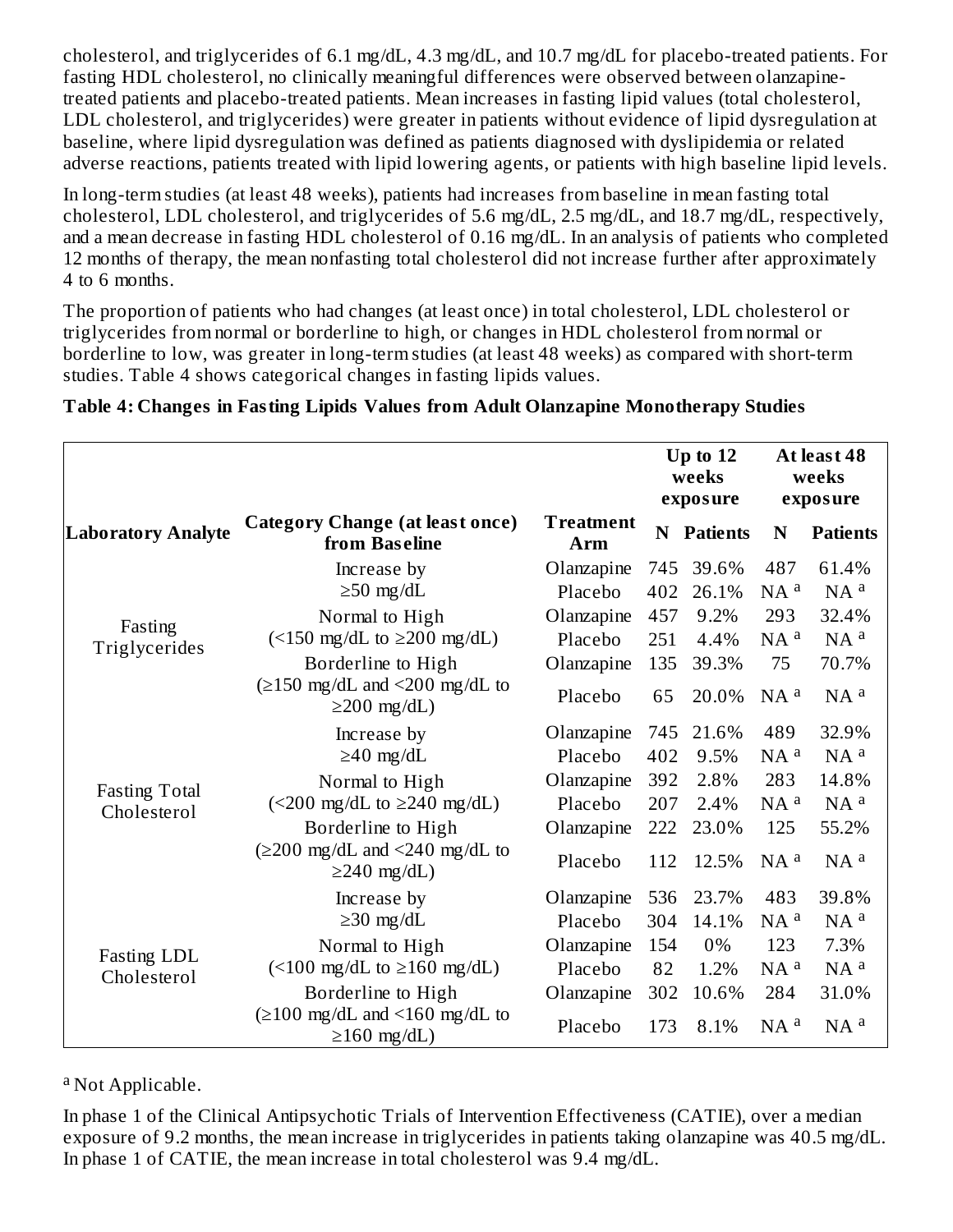cholesterol, and triglycerides of 6.1 mg/dL, 4.3 mg/dL, and 10.7 mg/dL for placebo-treated patients. For fasting HDL cholesterol, no clinically meaningful differences were observed between olanzapinetreated patients and placebo-treated patients. Mean increases in fasting lipid values (total cholesterol, LDL cholesterol, and triglycerides) were greater in patients without evidence of lipid dysregulation at baseline, where lipid dysregulation was defined as patients diagnosed with dyslipidemia or related adverse reactions, patients treated with lipid lowering agents, or patients with high baseline lipid levels.

In long-term studies (at least 48 weeks), patients had increases from baseline in mean fasting total cholesterol, LDL cholesterol, and triglycerides of 5.6 mg/dL, 2.5 mg/dL, and 18.7 mg/dL, respectively, and a mean decrease in fasting HDL cholesterol of 0.16 mg/dL. In an analysis of patients who completed 12 months of therapy, the mean nonfasting total cholesterol did not increase further after approximately 4 to 6 months.

The proportion of patients who had changes (at least once) in total cholesterol, LDL cholesterol or triglycerides from normal or borderline to high, or changes in HDL cholesterol from normal or borderline to low, was greater in long-term studies (at least 48 weeks) as compared with short-term studies. Table 4 shows categorical changes in fasting lipids values.

**Table 4: Changes in Fasting Lipids Values from Adult Olanzapine Monotherapy Studies**

|                            |                                                                                                |                         |     | Up to $12$<br>weeks<br>exposure |                 | At least 48<br>weeks<br>exposure |
|----------------------------|------------------------------------------------------------------------------------------------|-------------------------|-----|---------------------------------|-----------------|----------------------------------|
| <b>Laboratory Analyte</b>  | <b>Category Change (at least once)</b><br>from Baseline                                        | <b>Treatment</b><br>Arm | N   | <b>Patients</b>                 | $\mathbf N$     | <b>Patients</b>                  |
|                            | Increase by                                                                                    | Olanzapine              | 745 | 39.6%                           | 487             | 61.4%                            |
|                            | $\geq$ 50 mg/dL                                                                                | Placebo                 | 402 | 26.1%                           | NA <sup>a</sup> | NA <sup>a</sup>                  |
| Fasting                    | Normal to High                                                                                 | Olanzapine              | 457 | 9.2%                            | 293             | 32.4%                            |
| Triglycerides              | $($ <150 mg/dL to $\geq$ 200 mg/dL)                                                            | Placebo                 | 251 | 4.4%                            | NA <sup>a</sup> | NA <sup>a</sup>                  |
|                            | Borderline to High                                                                             | Olanzapine              | 135 | 39.3%                           | 75              | 70.7%                            |
|                            | $(\geq 150 \text{ mg/dL}$ and <200 mg/dL to<br>$\geq$ 200 mg/dL)                               | Placebo                 | 65  | 20.0%                           | NA <sup>a</sup> | NA <sup>a</sup>                  |
|                            | Increase by                                                                                    | Olanzapine              | 745 | 21.6%                           | 489             | 32.9%                            |
|                            | $\geq$ 40 mg/dL                                                                                | Placebo                 | 402 | 9.5%                            | NA <sup>a</sup> | NA <sup>a</sup>                  |
| <b>Fasting Total</b>       | Normal to High                                                                                 | Olanzapine              | 392 | 2.8%                            | 283             | 14.8%                            |
| Cholesterol                | $(<200 \text{ mg/dL to } \geq 240 \text{ mg/dL})$                                              | Placebo                 | 207 | 2.4%                            | NA <sup>a</sup> | NA <sup>a</sup>                  |
|                            | Borderline to High                                                                             | Olanzapine              | 222 | 23.0%                           | 125             | 55.2%                            |
|                            | $(\geq 200 \text{ mg/dL} \text{ and } \leq 240 \text{ mg/dL} \text{ to }$<br>$\geq$ 240 mg/dL) | Placebo                 | 112 | 12.5%                           | NA <sup>a</sup> | NA <sup>a</sup>                  |
|                            | Increase by                                                                                    | Olanzapine              | 536 | 23.7%                           | 483             | 39.8%                            |
|                            | $\geq$ 30 mg/dL                                                                                | Placebo                 | 304 | 14.1%                           | NA <sup>a</sup> | NA <sup>a</sup>                  |
|                            | Normal to High                                                                                 | Olanzapine              | 154 | 0%                              | 123             | 7.3%                             |
| Fasting LDL<br>Cholesterol | $($ < 100 mg/dL to $\geq$ 160 mg/dL)                                                           | Placebo                 | 82  | 1.2%                            | NA <sup>a</sup> | NA <sup>a</sup>                  |
|                            | Borderline to High                                                                             | Olanzapine              | 302 | 10.6%                           | 284             | 31.0%                            |
|                            | $(\geq 100 \text{ mg/dL} \text{ and } \leq 160 \text{ mg/dL} \text{ to }$<br>$\geq$ 160 mg/dL) | Placebo                 | 173 | 8.1%                            | NA <sup>a</sup> | NA <sup>a</sup>                  |

<sup>a</sup> Not Applicable.

In phase 1 of the Clinical Antipsychotic Trials of Intervention Effectiveness (CATIE), over a median exposure of 9.2 months, the mean increase in triglycerides in patients taking olanzapine was 40.5 mg/dL. In phase 1 of CATIE, the mean increase in total cholesterol was 9.4 mg/dL.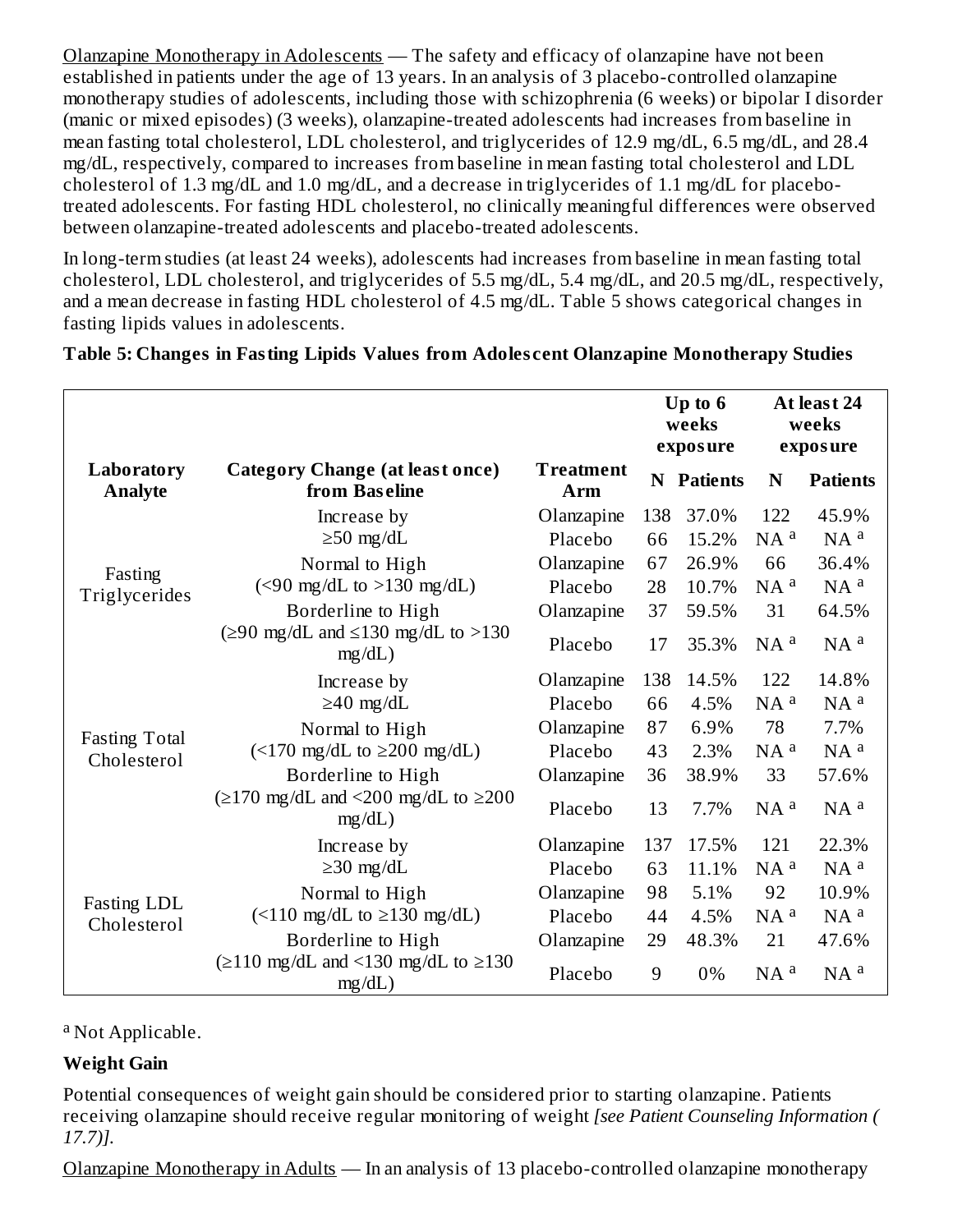Olanzapine Monotherapy in Adolescents — The safety and efficacy of olanzapine have not been established in patients under the age of 13 years. In an analysis of 3 placebo-controlled olanzapine monotherapy studies of adolescents, including those with schizophrenia (6 weeks) or bipolar I disorder (manic or mixed episodes) (3 weeks), olanzapine-treated adolescents had increases from baseline in mean fasting total cholesterol, LDL cholesterol, and triglycerides of 12.9 mg/dL, 6.5 mg/dL, and 28.4 mg/dL, respectively, compared to increases from baseline in mean fasting total cholesterol and LDL cholesterol of 1.3 mg/dL and 1.0 mg/dL, and a decrease in triglycerides of 1.1 mg/dL for placebotreated adolescents. For fasting HDL cholesterol, no clinically meaningful differences were observed between olanzapine-treated adolescents and placebo-treated adolescents.

In long-term studies (at least 24 weeks), adolescents had increases from baseline in mean fasting total cholesterol, LDL cholesterol, and triglycerides of 5.5 mg/dL, 5.4 mg/dL, and 20.5 mg/dL, respectively, and a mean decrease in fasting HDL cholesterol of 4.5 mg/dL. Table 5 shows categorical changes in fasting lipids values in adolescents.

|  | Table 5: Changes in Fasting Lipids Values from Adolescent Olanzapine Monotherapy Studies |  |
|--|------------------------------------------------------------------------------------------|--|
|  |                                                                                          |  |

|                              |                                                                                              |                         |     | Up to $6$<br>weeks<br>exposure |                 | At least 24<br>weeks<br>exposure |
|------------------------------|----------------------------------------------------------------------------------------------|-------------------------|-----|--------------------------------|-----------------|----------------------------------|
| Laboratory<br><b>Analyte</b> | <b>Category Change (at least once)</b><br>from Baseline                                      | <b>Treatment</b><br>Arm |     | <b>N</b> Patients              | N               | <b>Patients</b>                  |
|                              | Increase by                                                                                  | Olanzapine              | 138 | 37.0%                          | 122             | 45.9%                            |
|                              | $\geq$ 50 mg/dL                                                                              | Placebo                 | 66  | 15.2%                          | NA <sup>a</sup> | NA <sup>a</sup>                  |
| Fasting                      | Normal to High                                                                               | Olanzapine              | 67  | 26.9%                          | 66              | 36.4%                            |
| Triglycerides                | $(\leq 90 \text{ mg/dL to } > 130 \text{ mg/dL})$                                            | Placebo                 | 28  | 10.7%                          | NA <sup>a</sup> | NA <sup>a</sup>                  |
|                              | Borderline to High                                                                           | Olanzapine              | 37  | 59.5%                          | 31              | 64.5%                            |
|                              | $(\geq 90 \text{ mg/dL} \text{ and } \leq 130 \text{ mg/dL} \text{ to } >130$<br>mg/dL)      | Placebo                 | 17  | 35.3%                          | NA <sup>a</sup> | NA <sup>a</sup>                  |
|                              | Increase by                                                                                  | Olanzapine              | 138 | 14.5%                          | 122             | 14.8%                            |
|                              | $\geq$ 40 mg/dL                                                                              | Placebo                 | 66  | 4.5%                           | NA <sup>a</sup> | NA <sup>a</sup>                  |
| <b>Fasting Total</b>         | Normal to High                                                                               | Olanzapine              | 87  | 6.9%                           | 78              | 7.7%                             |
| Cholesterol                  | $($ <170 mg/dL to $\geq$ 200 mg/dL)                                                          | Placebo                 | 43  | 2.3%                           | NA <sup>a</sup> | NA <sup>a</sup>                  |
|                              | Borderline to High                                                                           | Olanzapine              | 36  | 38.9%                          | 33              | 57.6%                            |
|                              | $(\geq 170 \text{ mg/dL} \text{ and } \leq 200 \text{ mg/dL} \text{ to } \geq 200$<br>mg/dL) | Placebo                 | 13  | 7.7%                           | NA <sup>a</sup> | NA <sup>a</sup>                  |
|                              | Increase by                                                                                  | Olanzapine              | 137 | 17.5%                          | 121             | 22.3%                            |
|                              | $\geq$ 30 mg/dL                                                                              | Placebo                 | 63  | 11.1%                          | NA <sup>a</sup> | NA <sup>a</sup>                  |
| Fasting LDL                  | Normal to High                                                                               | Olanzapine              | 98  | 5.1%                           | 92              | 10.9%                            |
| Cholesterol                  | $($ < 110 mg/dL to $\geq$ 130 mg/dL)                                                         | Placebo                 | 44  | 4.5%                           | NA <sup>a</sup> | NA <sup>a</sup>                  |
|                              | Borderline to High                                                                           | Olanzapine              | 29  | 48.3%                          | 21              | 47.6%                            |
|                              | $(\geq 110 \text{ mg/dL} \text{ and } \leq 130 \text{ mg/dL} \text{ to } \geq 130$<br>mg/dL) | Placebo                 | 9   | 0%                             | NA <sup>a</sup> | NA <sup>a</sup>                  |

<sup>a</sup> Not Applicable.

# **Weight Gain**

Potential consequences of weight gain should be considered prior to starting olanzapine. Patients receiving olanzapine should receive regular monitoring of weight *[see Patient Counseling Information ( 17.7)].*

Olanzapine Monotherapy in Adults — In an analysis of 13 placebo-controlled olanzapine monotherapy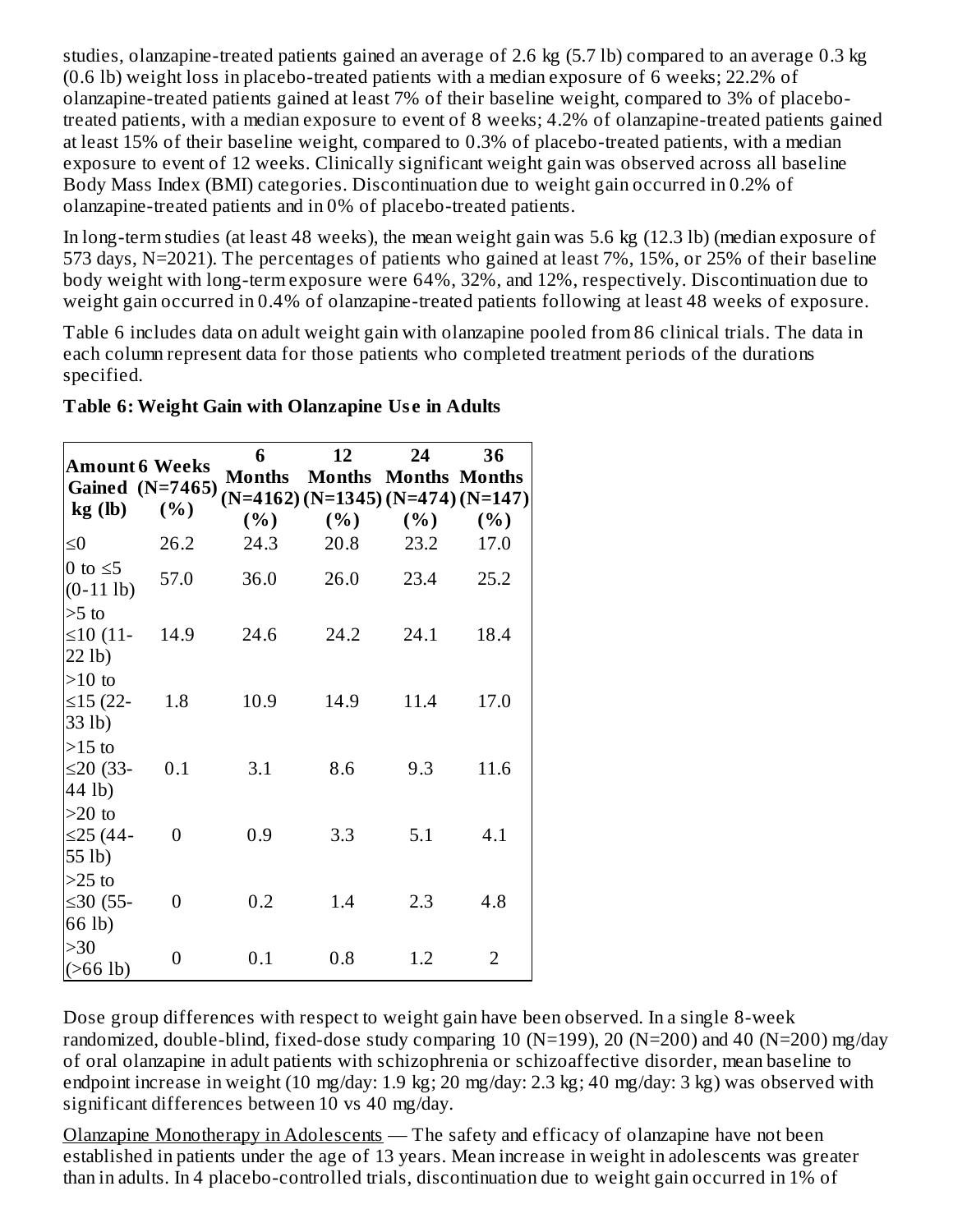studies, olanzapine-treated patients gained an average of 2.6 kg (5.7 lb) compared to an average 0.3 kg (0.6 lb) weight loss in placebo-treated patients with a median exposure of 6 weeks; 22.2% of olanzapine-treated patients gained at least 7% of their baseline weight, compared to 3% of placebotreated patients, with a median exposure to event of 8 weeks; 4.2% of olanzapine-treated patients gained at least 15% of their baseline weight, compared to 0.3% of placebo-treated patients, with a median exposure to event of 12 weeks. Clinically significant weight gain was observed across all baseline Body Mass Index (BMI) categories. Discontinuation due to weight gain occurred in 0.2% of olanzapine-treated patients and in 0% of placebo-treated patients.

In long-term studies (at least 48 weeks), the mean weight gain was 5.6 kg (12.3 lb) (median exposure of 573 days, N=2021). The percentages of patients who gained at least 7%, 15%, or 25% of their baseline body weight with long-term exposure were 64%, 32%, and 12%, respectively. Discontinuation due to weight gain occurred in 0.4% of olanzapine-treated patients following at least 48 weeks of exposure.

Table 6 includes data on adult weight gain with olanzapine pooled from 86 clinical trials. The data in each column represent data for those patients who completed treatment periods of the durations specified.

|                                  | <b>Amount 6 Weeks</b>          | 6       | 12<br><b>Months Months Months Months</b> | 24            | 36             |
|----------------------------------|--------------------------------|---------|------------------------------------------|---------------|----------------|
| kg(h)                            | <b>Gained (N=7465)</b><br>(% ) | $(\% )$ | $(N=4162) (N=1345) (N=474) (N=147)$      | $(\%)$ $(\%)$ | (% )           |
| $\leq 0$                         | 26.2                           | 24.3    | 20.8                                     | 23.2          | 17.0           |
| 0 to $\leq$ 5<br>$(0-11$ lb)     | 57.0                           | 36.0    | 26.0                                     | 23.4          | 25.2           |
| $>5$ to<br>≤10 (11-<br>22 lb)    | 14.9                           | 24.6    | 24.2                                     | 24.1          | 18.4           |
| $>10$ to<br>≤15 $(22-$<br>33 lb) | 1.8                            | 10.9    | 14.9                                     | 11.4          | 17.0           |
| $>15$ to<br>≤20 (33-<br>44 lb)   | 0.1                            | 3.1     | 8.6                                      | 9.3           | 11.6           |
| $>20$ to<br>≤25 (44-<br>55 lb)   | 0                              | 0.9     | 3.3                                      | 5.1           | 4.1            |
| $>25$ to<br>≤30 $(55-$<br>66 lb) | 0                              | 0.2     | 1.4                                      | 2.3           | 4.8            |
| $>30$<br>$( >66$ lb)             | $\overline{0}$                 | 0.1     | 0.8                                      | 1.2           | $\overline{2}$ |

# **Table 6: Weight Gain with Olanzapine Us e in Adults**

Dose group differences with respect to weight gain have been observed. In a single 8-week randomized, double-blind, fixed-dose study comparing 10 (N=199), 20 (N=200) and 40 (N=200) mg/day of oral olanzapine in adult patients with schizophrenia or schizoaffective disorder, mean baseline to endpoint increase in weight (10 mg/day: 1.9 kg; 20 mg/day: 2.3 kg; 40 mg/day: 3 kg) was observed with significant differences between 10 vs 40 mg/day.

Olanzapine Monotherapy in Adolescents — The safety and efficacy of olanzapine have not been established in patients under the age of 13 years. Mean increase in weight in adolescents was greater than in adults. In 4 placebo-controlled trials, discontinuation due to weight gain occurred in 1% of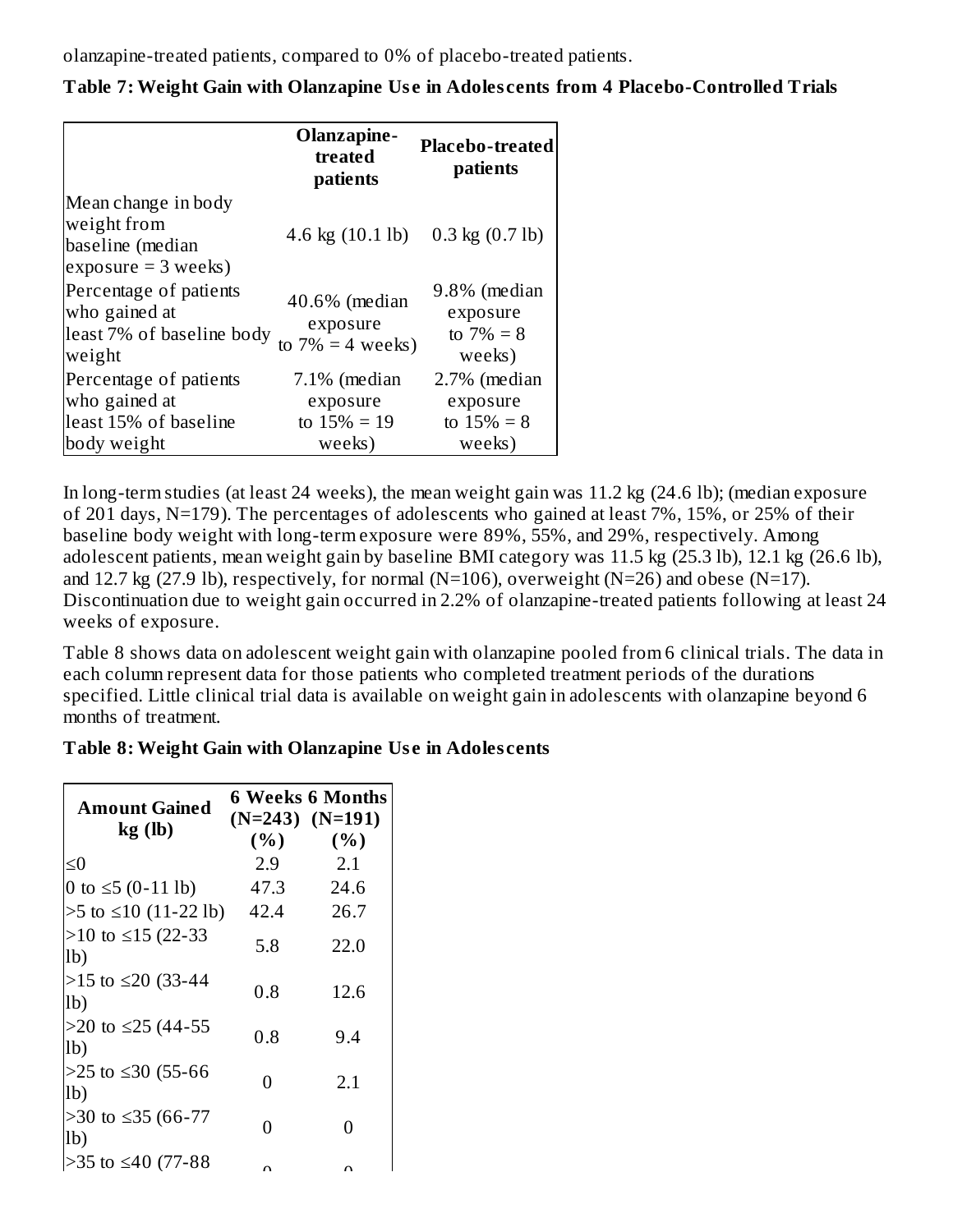olanzapine-treated patients, compared to 0% of placebo-treated patients.

|                                                                                 | Olanzapine-<br>treated<br>patients                      | <b>Placebo-treated</b><br>patients                 |
|---------------------------------------------------------------------------------|---------------------------------------------------------|----------------------------------------------------|
| Mean change in body<br>weight from<br>baseline (median<br>$exposure = 3 weeks)$ | 4.6 kg $(10.1 \text{ lb})$ 0.3 kg $(0.7 \text{ lb})$    |                                                    |
| Percentage of patients<br>who gained at<br>least 7% of baseline body<br>weight  | 40.6% (median<br>exposure<br>to $7\% = 4$ weeks)        | 9.8% (median<br>exposure<br>to $7\% = 8$<br>weeks) |
| Percentage of patients<br>who gained at<br>least 15% of baseline<br>body weight | $7.1\%$ (median<br>exposure<br>to $15\% = 19$<br>weeks) | 2.7% (median<br>exposure<br>to $15% = 8$<br>weeks) |

**Table 7: Weight Gain with Olanzapine Us e in Adoles cents from 4 Placebo-Controlled Trials**

In long-term studies (at least 24 weeks), the mean weight gain was 11.2 kg (24.6 lb); (median exposure of 201 days, N=179). The percentages of adolescents who gained at least 7%, 15%, or 25% of their baseline body weight with long-term exposure were 89%, 55%, and 29%, respectively. Among adolescent patients, mean weight gain by baseline BMI category was 11.5 kg (25.3 lb), 12.1 kg (26.6 lb), and 12.7 kg (27.9 lb), respectively, for normal (N=106), overweight (N=26) and obese (N=17). Discontinuation due to weight gain occurred in 2.2% of olanzapine-treated patients following at least 24 weeks of exposure.

Table 8 shows data on adolescent weight gain with olanzapine pooled from 6 clinical trials. The data in each column represent data for those patients who completed treatment periods of the durations specified. Little clinical trial data is available on weight gain in adolescents with olanzapine beyond 6 months of treatment.

| Table 8: Weight Gain with Olanzapine Use in Adolescents |  |  |  |
|---------------------------------------------------------|--|--|--|
|---------------------------------------------------------|--|--|--|

| <b>Amount Gained</b><br>kg (lb)   | $(N=243)$ $(N=191)$<br>(% ) | <b>6 Weeks 6 Months</b><br>(% ) |
|-----------------------------------|-----------------------------|---------------------------------|
| $\leq$ 0                          | 2.9                         | 2.1                             |
| 0 to $\leq$ 5 (0-11 lb)           | 47.3                        | 24.6                            |
| $>5$ to $\leq 10$ (11-22 lb) 42.4 |                             | 26.7                            |
| $>10$ to ≤15 (22-33<br>lb)        | 5.8                         | 22.0                            |
| $>15$ to ≤20 (33-44)<br>lb)       | 0.8                         | 12.6                            |
| >20 to ≤25 (44-55<br>lb)          | 0.8                         | 9.4                             |
| >25 to ≤30 (55-66<br>lb)          | 0                           | 2.1                             |
| $>$ 30 to ≤35 (66-77<br>lb)       | O                           | 0                               |
| $>$ 35 to ≤40 (77-88              |                             |                                 |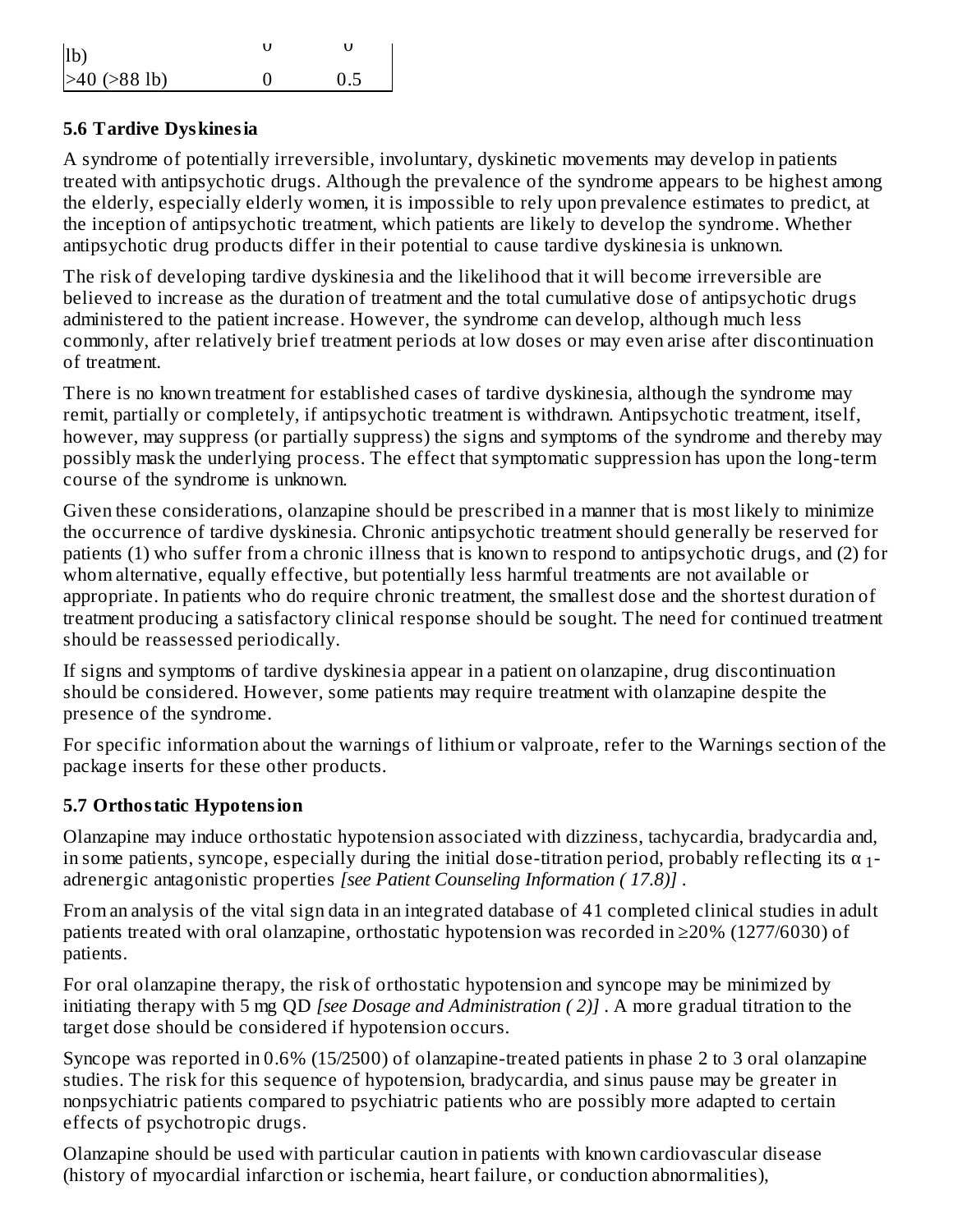| $\vert$ lb)       | U |     |
|-------------------|---|-----|
| $>40$ ( $>88$ lb) |   | 0.5 |

### **5.6 Tardive Dyskinesia**

A syndrome of potentially irreversible, involuntary, dyskinetic movements may develop in patients treated with antipsychotic drugs. Although the prevalence of the syndrome appears to be highest among the elderly, especially elderly women, it is impossible to rely upon prevalence estimates to predict, at the inception of antipsychotic treatment, which patients are likely to develop the syndrome. Whether antipsychotic drug products differ in their potential to cause tardive dyskinesia is unknown.

The risk of developing tardive dyskinesia and the likelihood that it will become irreversible are believed to increase as the duration of treatment and the total cumulative dose of antipsychotic drugs administered to the patient increase. However, the syndrome can develop, although much less commonly, after relatively brief treatment periods at low doses or may even arise after discontinuation of treatment.

There is no known treatment for established cases of tardive dyskinesia, although the syndrome may remit, partially or completely, if antipsychotic treatment is withdrawn. Antipsychotic treatment, itself, however, may suppress (or partially suppress) the signs and symptoms of the syndrome and thereby may possibly mask the underlying process. The effect that symptomatic suppression has upon the long-term course of the syndrome is unknown.

Given these considerations, olanzapine should be prescribed in a manner that is most likely to minimize the occurrence of tardive dyskinesia. Chronic antipsychotic treatment should generally be reserved for patients (1) who suffer from a chronic illness that is known to respond to antipsychotic drugs, and (2) for whom alternative, equally effective, but potentially less harmful treatments are not available or appropriate. In patients who do require chronic treatment, the smallest dose and the shortest duration of treatment producing a satisfactory clinical response should be sought. The need for continued treatment should be reassessed periodically.

If signs and symptoms of tardive dyskinesia appear in a patient on olanzapine, drug discontinuation should be considered. However, some patients may require treatment with olanzapine despite the presence of the syndrome.

For specific information about the warnings of lithium or valproate, refer to the Warnings section of the package inserts for these other products.

### **5.7 Orthostatic Hypotension**

Olanzapine may induce orthostatic hypotension associated with dizziness, tachycardia, bradycardia and, in some patients, syncope, especially during the initial dose-titration period, probably reflecting its  $\alpha$  <sub>1</sub>adrenergic antagonistic properties *[see Patient Counseling Information ( 17.8)]* .

From an analysis of the vital sign data in an integrated database of 41 completed clinical studies in adult patients treated with oral olanzapine, orthostatic hypotension was recorded in ≥20% (1277/6030) of patients.

For oral olanzapine therapy, the risk of orthostatic hypotension and syncope may be minimized by initiating therapy with 5 mg QD *[see Dosage and Administration ( 2)]* . A more gradual titration to the target dose should be considered if hypotension occurs.

Syncope was reported in 0.6% (15/2500) of olanzapine-treated patients in phase 2 to 3 oral olanzapine studies. The risk for this sequence of hypotension, bradycardia, and sinus pause may be greater in nonpsychiatric patients compared to psychiatric patients who are possibly more adapted to certain effects of psychotropic drugs.

Olanzapine should be used with particular caution in patients with known cardiovascular disease (history of myocardial infarction or ischemia, heart failure, or conduction abnormalities),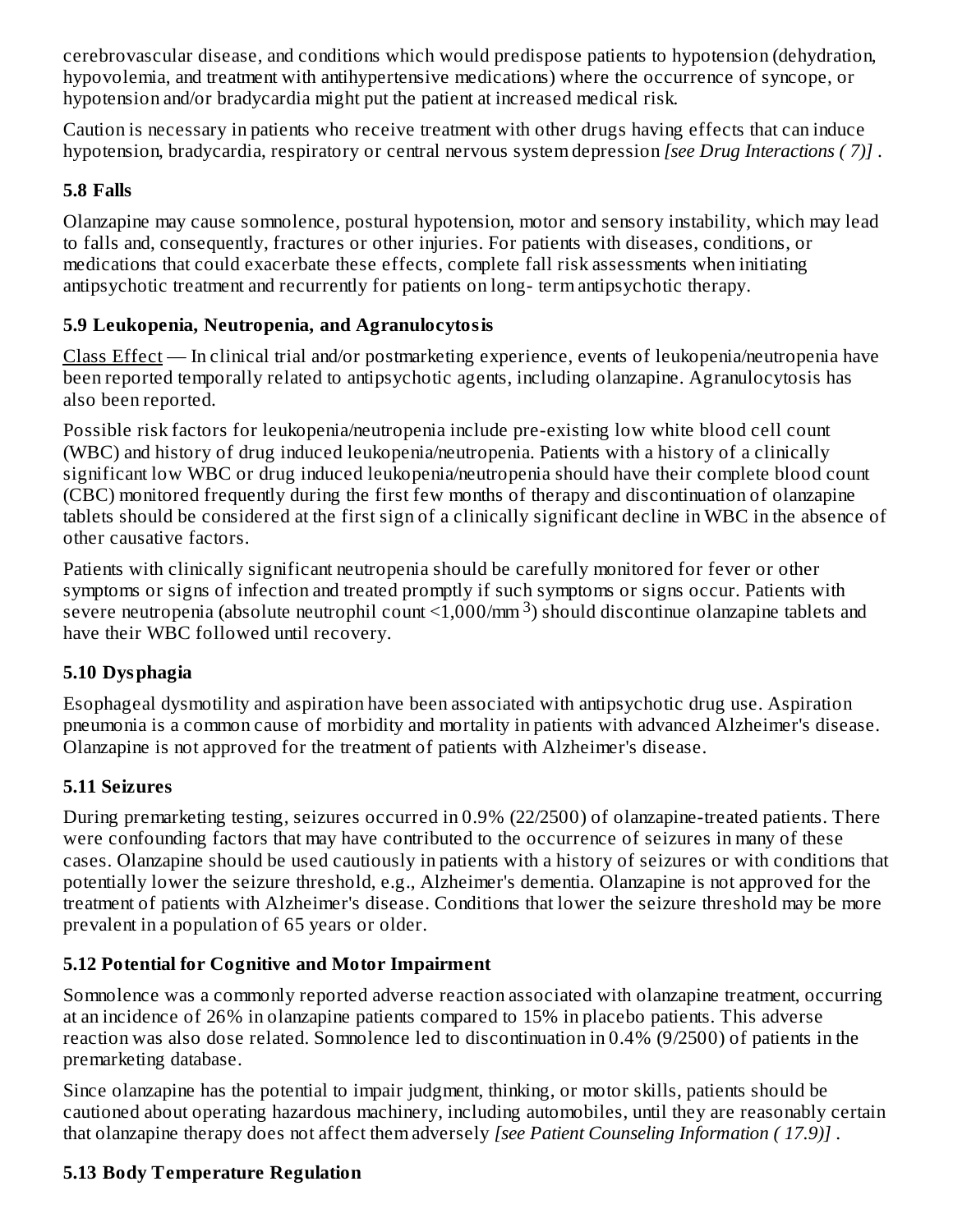cerebrovascular disease, and conditions which would predispose patients to hypotension (dehydration, hypovolemia, and treatment with antihypertensive medications) where the occurrence of syncope, or hypotension and/or bradycardia might put the patient at increased medical risk.

Caution is necessary in patients who receive treatment with other drugs having effects that can induce hypotension, bradycardia, respiratory or central nervous system depression *[see Drug Interactions ( 7)]* .

# **5.8 Falls**

Olanzapine may cause somnolence, postural hypotension, motor and sensory instability, which may lead to falls and, consequently, fractures or other injuries. For patients with diseases, conditions, or medications that could exacerbate these effects, complete fall risk assessments when initiating antipsychotic treatment and recurrently for patients on long- term antipsychotic therapy.

# **5.9 Leukopenia, Neutropenia, and Agranulocytosis**

Class Effect — In clinical trial and/or postmarketing experience, events of leukopenia/neutropenia have been reported temporally related to antipsychotic agents, including olanzapine. Agranulocytosis has also been reported.

Possible risk factors for leukopenia/neutropenia include pre-existing low white blood cell count (WBC) and history of drug induced leukopenia/neutropenia. Patients with a history of a clinically significant low WBC or drug induced leukopenia/neutropenia should have their complete blood count (CBC) monitored frequently during the first few months of therapy and discontinuation of olanzapine tablets should be considered at the first sign of a clinically significant decline in WBC in the absence of other causative factors.

Patients with clinically significant neutropenia should be carefully monitored for fever or other symptoms or signs of infection and treated promptly if such symptoms or signs occur. Patients with severe neutropenia (absolute neutrophil count  $\leq 1,000$ /mm  $^3$ ) should discontinue olanzapine tablets and have their WBC followed until recovery.

# **5.10 Dysphagia**

Esophageal dysmotility and aspiration have been associated with antipsychotic drug use. Aspiration pneumonia is a common cause of morbidity and mortality in patients with advanced Alzheimer's disease. Olanzapine is not approved for the treatment of patients with Alzheimer's disease.

# **5.11 Seizures**

During premarketing testing, seizures occurred in 0.9% (22/2500) of olanzapine-treated patients. There were confounding factors that may have contributed to the occurrence of seizures in many of these cases. Olanzapine should be used cautiously in patients with a history of seizures or with conditions that potentially lower the seizure threshold, e.g., Alzheimer's dementia. Olanzapine is not approved for the treatment of patients with Alzheimer's disease. Conditions that lower the seizure threshold may be more prevalent in a population of 65 years or older.

# **5.12 Potential for Cognitive and Motor Impairment**

Somnolence was a commonly reported adverse reaction associated with olanzapine treatment, occurring at an incidence of 26% in olanzapine patients compared to 15% in placebo patients. This adverse reaction was also dose related. Somnolence led to discontinuation in 0.4% (9/2500) of patients in the premarketing database.

Since olanzapine has the potential to impair judgment, thinking, or motor skills, patients should be cautioned about operating hazardous machinery, including automobiles, until they are reasonably certain that olanzapine therapy does not affect them adversely *[see Patient Counseling Information ( 17.9)]* .

# **5.13 Body Temperature Regulation**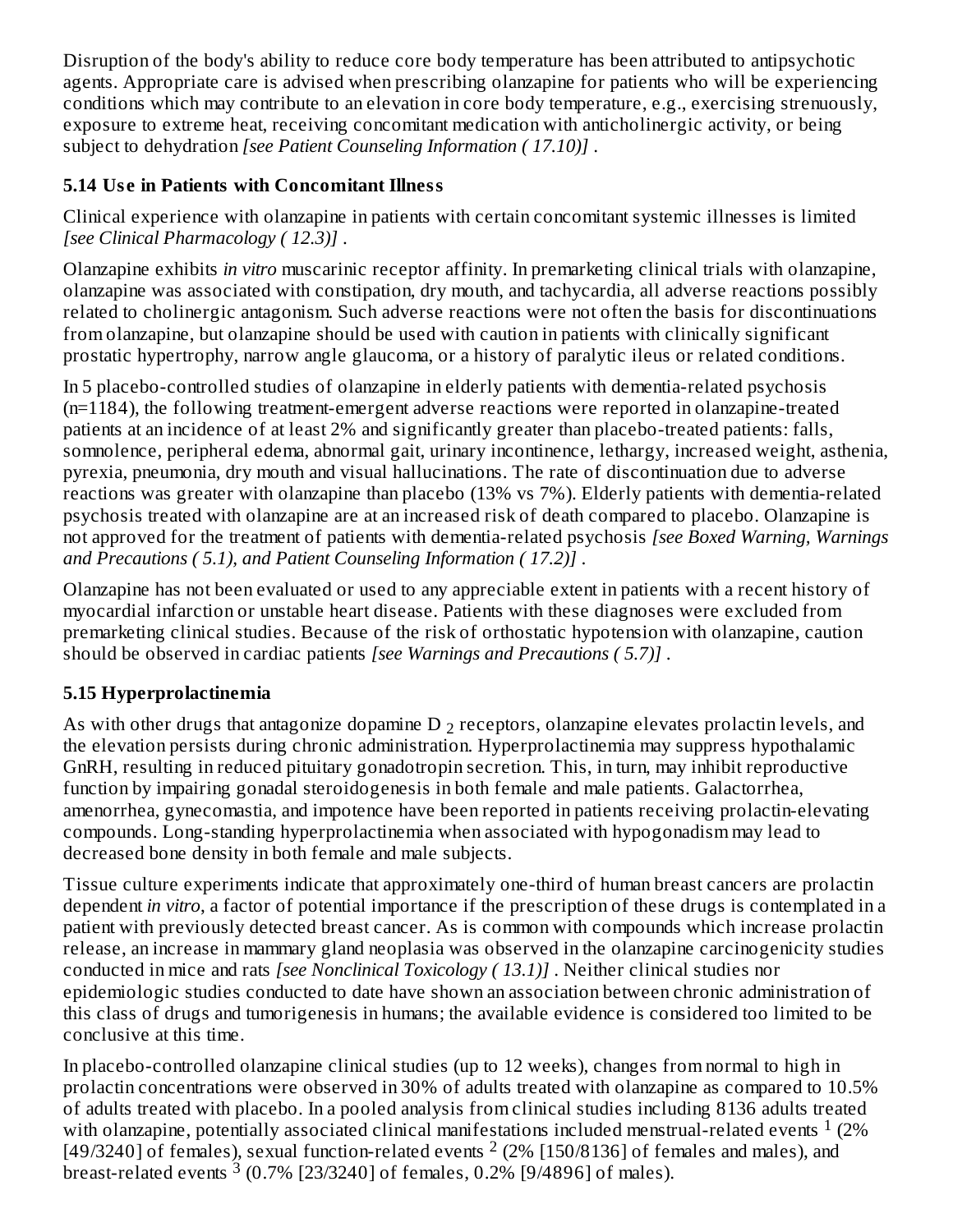Disruption of the body's ability to reduce core body temperature has been attributed to antipsychotic agents. Appropriate care is advised when prescribing olanzapine for patients who will be experiencing conditions which may contribute to an elevation in core body temperature, e.g., exercising strenuously, exposure to extreme heat, receiving concomitant medication with anticholinergic activity, or being subject to dehydration *[see Patient Counseling Information ( 17.10)]* .

# **5.14 Us e in Patients with Concomitant Illness**

Clinical experience with olanzapine in patients with certain concomitant systemic illnesses is limited *[see Clinical Pharmacology ( 12.3)]* .

Olanzapine exhibits *in vitro* muscarinic receptor affinity. In premarketing clinical trials with olanzapine, olanzapine was associated with constipation, dry mouth, and tachycardia, all adverse reactions possibly related to cholinergic antagonism. Such adverse reactions were not often the basis for discontinuations from olanzapine, but olanzapine should be used with caution in patients with clinically significant prostatic hypertrophy, narrow angle glaucoma, or a history of paralytic ileus or related conditions.

In 5 placebo-controlled studies of olanzapine in elderly patients with dementia-related psychosis (n=1184), the following treatment-emergent adverse reactions were reported in olanzapine-treated patients at an incidence of at least 2% and significantly greater than placebo-treated patients: falls, somnolence, peripheral edema, abnormal gait, urinary incontinence, lethargy, increased weight, asthenia, pyrexia, pneumonia, dry mouth and visual hallucinations. The rate of discontinuation due to adverse reactions was greater with olanzapine than placebo (13% vs 7%). Elderly patients with dementia-related psychosis treated with olanzapine are at an increased risk of death compared to placebo. Olanzapine is not approved for the treatment of patients with dementia-related psychosis *[see Boxed Warning, Warnings and Precautions ( 5.1), and Patient Counseling Information ( 17.2)]* .

Olanzapine has not been evaluated or used to any appreciable extent in patients with a recent history of myocardial infarction or unstable heart disease. Patients with these diagnoses were excluded from premarketing clinical studies. Because of the risk of orthostatic hypotension with olanzapine, caution should be observed in cardiac patients *[see Warnings and Precautions ( 5.7)]* .

# **5.15 Hyperprolactinemia**

As with other drugs that antagonize dopamine D  $_2$  receptors, olanzapine elevates prolactin levels, and the elevation persists during chronic administration. Hyperprolactinemia may suppress hypothalamic GnRH, resulting in reduced pituitary gonadotropin secretion. This, in turn, may inhibit reproductive function by impairing gonadal steroidogenesis in both female and male patients. Galactorrhea, amenorrhea, gynecomastia, and impotence have been reported in patients receiving prolactin-elevating compounds. Long-standing hyperprolactinemia when associated with hypogonadism may lead to decreased bone density in both female and male subjects.

Tissue culture experiments indicate that approximately one-third of human breast cancers are prolactin dependent *in vitro*, a factor of potential importance if the prescription of these drugs is contemplated in a patient with previously detected breast cancer. As is common with compounds which increase prolactin release, an increase in mammary gland neoplasia was observed in the olanzapine carcinogenicity studies conducted in mice and rats *[see Nonclinical Toxicology ( 13.1)]* . Neither clinical studies nor epidemiologic studies conducted to date have shown an association between chronic administration of this class of drugs and tumorigenesis in humans; the available evidence is considered too limited to be conclusive at this time.

In placebo-controlled olanzapine clinical studies (up to 12 weeks), changes from normal to high in prolactin concentrations were observed in 30% of adults treated with olanzapine as compared to 10.5% of adults treated with placebo. In a pooled analysis from clinical studies including 8136 adults treated with olanzapine, potentially associated clinical manifestations included menstrual-related events  $^1$  (2% [49/3240] of females), sexual function-related events  $2$  (2% [150/8136] of females and males), and breast-related events  $^{\overline{3}}$  (0.7% [23/3240] of females, 0.2% [9/4896] of males).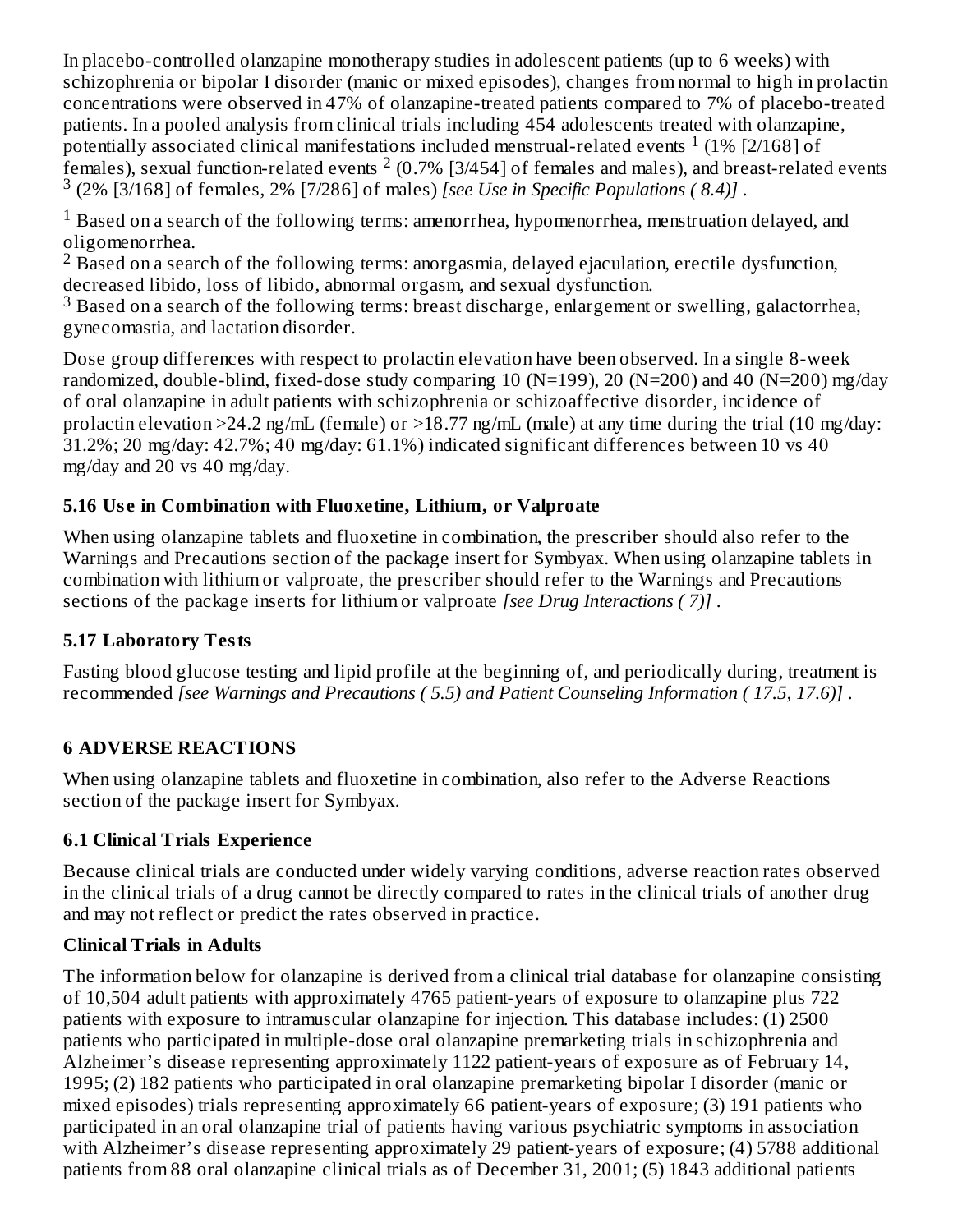In placebo-controlled olanzapine monotherapy studies in adolescent patients (up to 6 weeks) with schizophrenia or bipolar I disorder (manic or mixed episodes), changes from normal to high in prolactin concentrations were observed in 47% of olanzapine-treated patients compared to 7% of placebo-treated patients. In a pooled analysis from clinical trials including 454 adolescents treated with olanzapine, potentially associated clinical manifestations included menstrual-related events  $\frac{1}{1}$  (1% [2/168] of females), sexual function-related events  $^2$  (0.7% [3/454] of females and males), and breast-related events (2% [3/168] of females, 2% [7/286] of males) *[see Use in Specific Populations ( 8.4)]* . 3

 $^1$  Based on a search of the following terms: amenorrhea, hypomenorrhea, menstruation delayed, and oligomenorrhea.

 $2$  Based on a search of the following terms: anorgasmia, delayed ejaculation, erectile dysfunction, decreased libido, loss of libido, abnormal orgasm, and sexual dysfunction.

 $3$  Based on a search of the following terms: breast discharge, enlargement or swelling, galactorrhea, gynecomastia, and lactation disorder.

Dose group differences with respect to prolactin elevation have been observed. In a single 8-week randomized, double-blind, fixed-dose study comparing 10 (N=199), 20 (N=200) and 40 (N=200) mg/day of oral olanzapine in adult patients with schizophrenia or schizoaffective disorder, incidence of prolactin elevation >24.2 ng/mL (female) or >18.77 ng/mL (male) at any time during the trial (10 mg/day: 31.2%; 20 mg/day: 42.7%; 40 mg/day: 61.1%) indicated significant differences between 10 vs 40 mg/day and 20 vs 40 mg/day.

# **5.16 Us e in Combination with Fluoxetine, Lithium, or Valproate**

When using olanzapine tablets and fluoxetine in combination, the prescriber should also refer to the Warnings and Precautions section of the package insert for Symbyax. When using olanzapine tablets in combination with lithium or valproate, the prescriber should refer to the Warnings and Precautions sections of the package inserts for lithium or valproate *[see Drug Interactions ( 7)]* .

# **5.17 Laboratory Tests**

Fasting blood glucose testing and lipid profile at the beginning of, and periodically during, treatment is recommended *[see Warnings and Precautions ( 5.5) and Patient Counseling Information ( 17.5, 17.6)]* .

# **6 ADVERSE REACTIONS**

When using olanzapine tablets and fluoxetine in combination, also refer to the Adverse Reactions section of the package insert for Symbyax.

# **6.1 Clinical Trials Experience**

Because clinical trials are conducted under widely varying conditions, adverse reaction rates observed in the clinical trials of a drug cannot be directly compared to rates in the clinical trials of another drug and may not reflect or predict the rates observed in practice.

# **Clinical Trials in Adults**

The information below for olanzapine is derived from a clinical trial database for olanzapine consisting of 10,504 adult patients with approximately 4765 patient-years of exposure to olanzapine plus 722 patients with exposure to intramuscular olanzapine for injection. This database includes: (1) 2500 patients who participated in multiple-dose oral olanzapine premarketing trials in schizophrenia and Alzheimer's disease representing approximately 1122 patient-years of exposure as of February 14, 1995; (2) 182 patients who participated in oral olanzapine premarketing bipolar I disorder (manic or mixed episodes) trials representing approximately 66 patient-years of exposure; (3) 191 patients who participated in an oral olanzapine trial of patients having various psychiatric symptoms in association with Alzheimer's disease representing approximately 29 patient-years of exposure; (4) 5788 additional patients from 88 oral olanzapine clinical trials as of December 31, 2001; (5) 1843 additional patients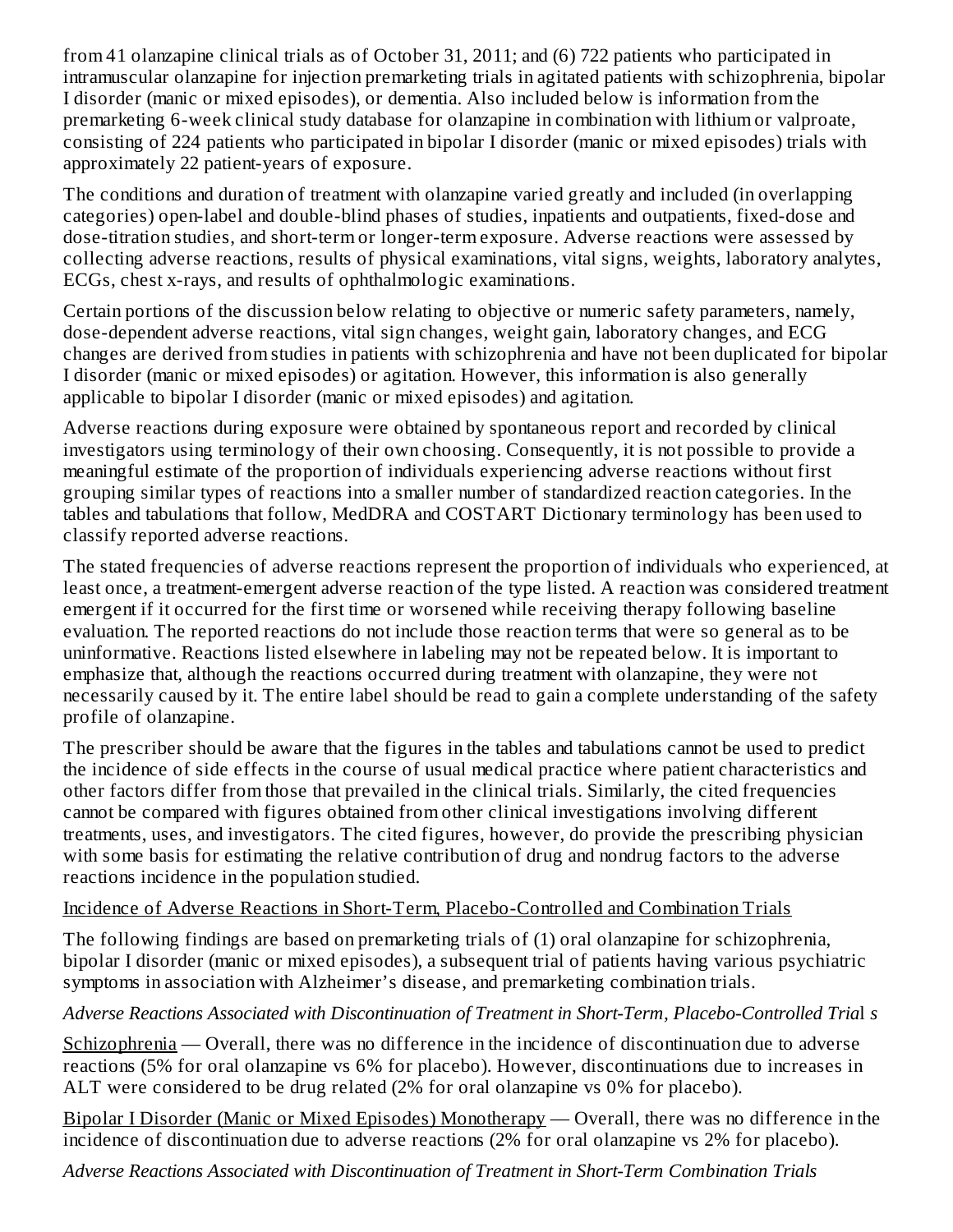from 41 olanzapine clinical trials as of October 31, 2011; and (6) 722 patients who participated in intramuscular olanzapine for injection premarketing trials in agitated patients with schizophrenia, bipolar I disorder (manic or mixed episodes), or dementia. Also included below is information from the premarketing 6-week clinical study database for olanzapine in combination with lithium or valproate, consisting of 224 patients who participated in bipolar I disorder (manic or mixed episodes) trials with approximately 22 patient-years of exposure.

The conditions and duration of treatment with olanzapine varied greatly and included (in overlapping categories) open-label and double-blind phases of studies, inpatients and outpatients, fixed-dose and dose-titration studies, and short-term or longer-term exposure. Adverse reactions were assessed by collecting adverse reactions, results of physical examinations, vital signs, weights, laboratory analytes, ECGs, chest x-rays, and results of ophthalmologic examinations.

Certain portions of the discussion below relating to objective or numeric safety parameters, namely, dose-dependent adverse reactions, vital sign changes, weight gain, laboratory changes, and ECG changes are derived from studies in patients with schizophrenia and have not been duplicated for bipolar I disorder (manic or mixed episodes) or agitation. However, this information is also generally applicable to bipolar I disorder (manic or mixed episodes) and agitation.

Adverse reactions during exposure were obtained by spontaneous report and recorded by clinical investigators using terminology of their own choosing. Consequently, it is not possible to provide a meaningful estimate of the proportion of individuals experiencing adverse reactions without first grouping similar types of reactions into a smaller number of standardized reaction categories. In the tables and tabulations that follow, MedDRA and COSTART Dictionary terminology has been used to classify reported adverse reactions.

The stated frequencies of adverse reactions represent the proportion of individuals who experienced, at least once, a treatment-emergent adverse reaction of the type listed. A reaction was considered treatment emergent if it occurred for the first time or worsened while receiving therapy following baseline evaluation. The reported reactions do not include those reaction terms that were so general as to be uninformative. Reactions listed elsewhere in labeling may not be repeated below. It is important to emphasize that, although the reactions occurred during treatment with olanzapine, they were not necessarily caused by it. The entire label should be read to gain a complete understanding of the safety profile of olanzapine.

The prescriber should be aware that the figures in the tables and tabulations cannot be used to predict the incidence of side effects in the course of usual medical practice where patient characteristics and other factors differ from those that prevailed in the clinical trials. Similarly, the cited frequencies cannot be compared with figures obtained from other clinical investigations involving different treatments, uses, and investigators. The cited figures, however, do provide the prescribing physician with some basis for estimating the relative contribution of drug and nondrug factors to the adverse reactions incidence in the population studied.

### Incidence of Adverse Reactions in Short-Term, Placebo-Controlled and Combination Trials

The following findings are based on premarketing trials of (1) oral olanzapine for schizophrenia, bipolar I disorder (manic or mixed episodes), a subsequent trial of patients having various psychiatric symptoms in association with Alzheimer's disease, and premarketing combination trials.

### *Adverse Reactions Associated with Discontinuation of Treatment in Short-Term, Placebo-Controlled Tria*l *s*

Schizophrenia — Overall, there was no difference in the incidence of discontinuation due to adverse reactions (5% for oral olanzapine vs 6% for placebo). However, discontinuations due to increases in ALT were considered to be drug related (2% for oral olanzapine vs 0% for placebo).

Bipolar I Disorder (Manic or Mixed Episodes) Monotherapy — Overall, there was no difference in the incidence of discontinuation due to adverse reactions (2% for oral olanzapine vs 2% for placebo).

*Adverse Reactions Associated with Discontinuation of Treatment in Short-Term Combination Trials*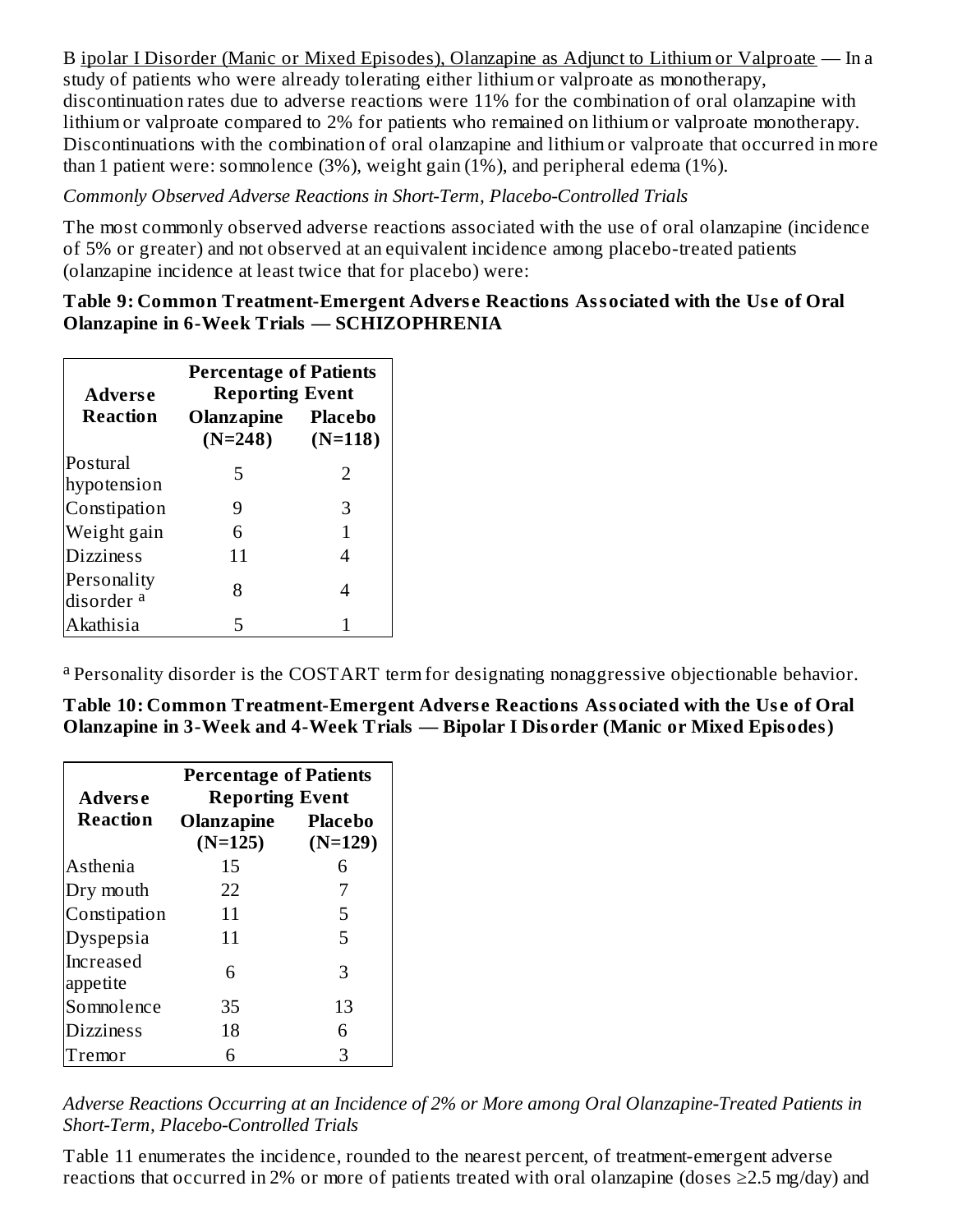B ipolar I Disorder (Manic or Mixed Episodes), Olanzapine as Adjunct to Lithium or Valproate — In a study of patients who were already tolerating either lithium or valproate as monotherapy, discontinuation rates due to adverse reactions were 11% for the combination of oral olanzapine with lithium or valproate compared to 2% for patients who remained on lithium or valproate monotherapy. Discontinuations with the combination of oral olanzapine and lithium or valproate that occurred in more than 1 patient were: somnolence (3%), weight gain (1%), and peripheral edema (1%).

### *Commonly Observed Adverse Reactions in Short-Term, Placebo-Controlled Trials*

The most commonly observed adverse reactions associated with the use of oral olanzapine (incidence of 5% or greater) and not observed at an equivalent incidence among placebo-treated patients (olanzapine incidence at least twice that for placebo) were:

#### **Table 9: Common Treatment-Emergent Advers e Reactions Associated with the Us e of Oral Olanzapine in 6-Week Trials — SCHIZOPHRENIA**

| <b>Adverse</b>                       | <b>Percentage of Patients</b><br><b>Reporting Event</b> |                      |  |
|--------------------------------------|---------------------------------------------------------|----------------------|--|
| Reaction                             | <b>Olanzapine</b><br>$(N=248)$                          | Placebo<br>$(N=118)$ |  |
| Postural<br>hypotension              | 5                                                       | 2                    |  |
| Constipation                         | 9                                                       | З                    |  |
| Weight gain                          | 6                                                       | 1                    |  |
| <b>Dizziness</b>                     | 11                                                      | 4                    |  |
| Personality<br>disorder <sup>a</sup> | 8                                                       |                      |  |
| Akathisia                            | 5                                                       |                      |  |

<sup>a</sup> Personality disorder is the COSTART term for designating nonaggressive objectionable behavior.

### **Table 10: Common Treatment-Emergent Advers e Reactions Associated with the Us e of Oral Olanzapine in 3-Week and 4-Week Trials — Bipolar I Disorder (Manic or Mixed Episodes)**

| Adverse                      | <b>Percentage of Patients</b><br><b>Reporting Event</b> |                             |  |
|------------------------------|---------------------------------------------------------|-----------------------------|--|
| Reaction                     | Olanzapine<br>$(N=125)$                                 | <b>Placebo</b><br>$(N=129)$ |  |
| Asthenia                     | 15                                                      | 6                           |  |
| Dry mouth                    | 22                                                      | 7                           |  |
| Constipation                 | 11                                                      | 5                           |  |
| Dyspepsia                    | 11                                                      | 5                           |  |
| <b>Increased</b><br>appetite | 6                                                       | З                           |  |
| Somnolence                   | 35                                                      | 13                          |  |
| <b>Dizziness</b>             | 18                                                      | 6                           |  |
| Tremor                       |                                                         | З                           |  |

*Adverse Reactions Occurring at an Incidence of 2% or More among Oral Olanzapine-Treated Patients in Short-Term, Placebo-Controlled Trials*

Table 11 enumerates the incidence, rounded to the nearest percent, of treatment-emergent adverse reactions that occurred in 2% or more of patients treated with oral olanzapine (doses ≥2.5 mg/day) and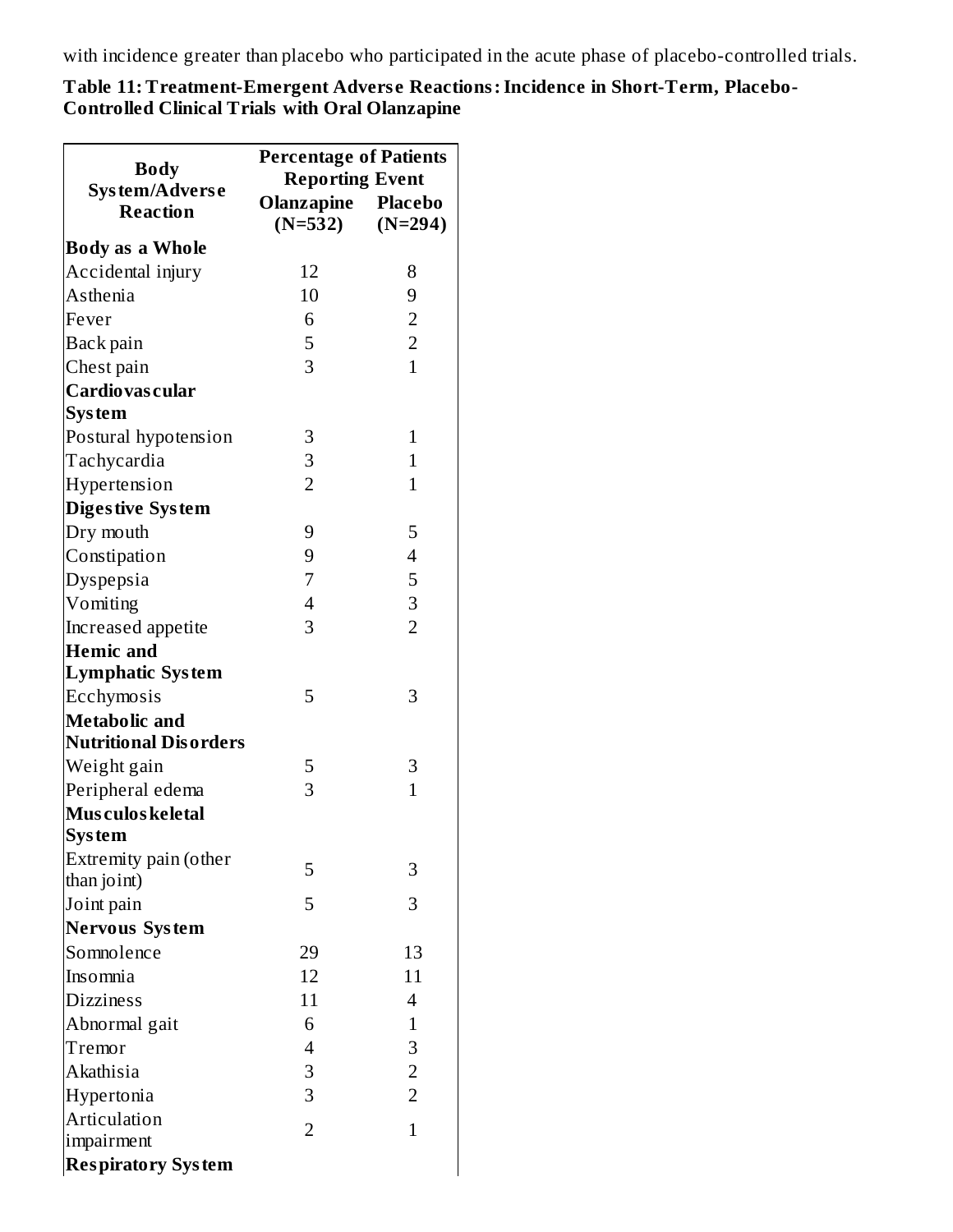with incidence greater than placebo who participated in the acute phase of placebo-controlled trials.

### **Table 11: Treatment-Emergent Advers e Reactions:Incidence in Short-Term, Placebo-Controlled Clinical Trials with Oral Olanzapine**

| <b>Body</b><br><b>Reporting Event</b><br>System/Adverse<br><b>Olanzapine Placebo</b><br><b>Reaction</b><br>$(N=532)$ $(N=294)$<br>Body as a Whole<br>Accidental injury<br>12<br>8<br>Asthenia<br>9<br>10<br>$\overline{2}$<br>6<br>Fever<br>5<br>$\overline{2}$<br>Back pain<br>Chest pain<br>3<br>$\mathbf{1}$<br>Cardiovas cular<br>Sys tem |  |
|-----------------------------------------------------------------------------------------------------------------------------------------------------------------------------------------------------------------------------------------------------------------------------------------------------------------------------------------------|--|
|                                                                                                                                                                                                                                                                                                                                               |  |
|                                                                                                                                                                                                                                                                                                                                               |  |
|                                                                                                                                                                                                                                                                                                                                               |  |
|                                                                                                                                                                                                                                                                                                                                               |  |
|                                                                                                                                                                                                                                                                                                                                               |  |
|                                                                                                                                                                                                                                                                                                                                               |  |
|                                                                                                                                                                                                                                                                                                                                               |  |
|                                                                                                                                                                                                                                                                                                                                               |  |
|                                                                                                                                                                                                                                                                                                                                               |  |
|                                                                                                                                                                                                                                                                                                                                               |  |
| 3<br>$\mathbf{1}$<br>Postural hypotension                                                                                                                                                                                                                                                                                                     |  |
| Tachycardia<br>3<br>$\mathbf{1}$                                                                                                                                                                                                                                                                                                              |  |
| $\overline{2}$<br>Hypertension<br>$\mathbf{1}$                                                                                                                                                                                                                                                                                                |  |
| Digestive System                                                                                                                                                                                                                                                                                                                              |  |
| Dry mouth<br>5<br>9                                                                                                                                                                                                                                                                                                                           |  |
| 9<br>$\overline{\mathbf{4}}$<br>Constipation                                                                                                                                                                                                                                                                                                  |  |
| 7<br>5<br>Dyspepsia                                                                                                                                                                                                                                                                                                                           |  |
| 3<br>$\overline{4}$<br>Vomiting                                                                                                                                                                                                                                                                                                               |  |
| Increased appetite<br>3<br>$\overline{2}$                                                                                                                                                                                                                                                                                                     |  |
| <b>Hemic</b> and                                                                                                                                                                                                                                                                                                                              |  |
| <b>Lymphatic System</b>                                                                                                                                                                                                                                                                                                                       |  |
| 5<br>Ecchymosis<br>3                                                                                                                                                                                                                                                                                                                          |  |
| <b>Metabolic and</b>                                                                                                                                                                                                                                                                                                                          |  |
| <b>Nutritional Disorders</b>                                                                                                                                                                                                                                                                                                                  |  |
| Weight gain<br>5<br>3                                                                                                                                                                                                                                                                                                                         |  |
| 3<br>Peripheral edema<br>$\overline{1}$                                                                                                                                                                                                                                                                                                       |  |
| Mus culos keletal                                                                                                                                                                                                                                                                                                                             |  |
| <b>System</b>                                                                                                                                                                                                                                                                                                                                 |  |
| Extremity pain (other<br>5<br>3<br>than joint)                                                                                                                                                                                                                                                                                                |  |
| 5<br>Joint pain<br>3                                                                                                                                                                                                                                                                                                                          |  |
| Nervous System                                                                                                                                                                                                                                                                                                                                |  |
| Somnolence<br>29<br>13                                                                                                                                                                                                                                                                                                                        |  |
| Insomnia<br>12<br>11                                                                                                                                                                                                                                                                                                                          |  |
| <b>Dizziness</b><br>$\overline{4}$<br>11                                                                                                                                                                                                                                                                                                      |  |
| 6<br>$\mathbf{1}$<br>Abnormal gait                                                                                                                                                                                                                                                                                                            |  |
| 3<br>$\overline{4}$<br>Tremor                                                                                                                                                                                                                                                                                                                 |  |
| Akathisia<br>3<br>$\overline{2}$                                                                                                                                                                                                                                                                                                              |  |
| $\overline{2}$<br>Hypertonia<br>3                                                                                                                                                                                                                                                                                                             |  |
| Articulation                                                                                                                                                                                                                                                                                                                                  |  |
| $\overline{2}$<br>$\overline{1}$<br>impairment                                                                                                                                                                                                                                                                                                |  |
| <b>Respiratory System</b>                                                                                                                                                                                                                                                                                                                     |  |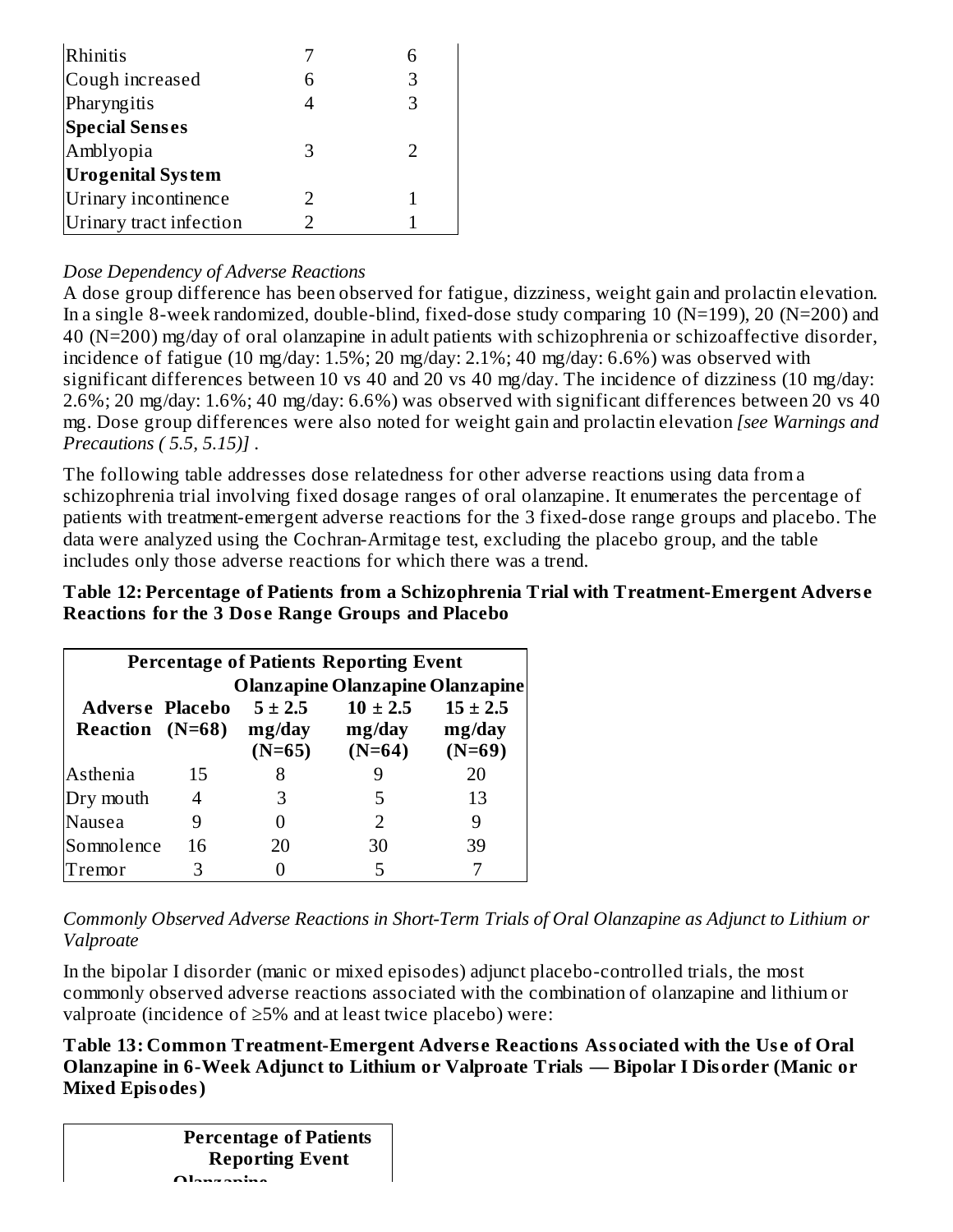| Rhinitis                 |   |   |
|--------------------------|---|---|
| Cough increased          |   | З |
| Pharyngitis              |   | З |
| <b>Special Senses</b>    |   |   |
| Amblyopia                | З | 2 |
| <b>Urogenital System</b> |   |   |
| Urinary incontinence     |   |   |
| Urinary tract infection  |   |   |

### *Dose Dependency of Adverse Reactions*

A dose group difference has been observed for fatigue, dizziness, weight gain and prolactin elevation. In a single 8-week randomized, double-blind, fixed-dose study comparing 10 (N=199), 20 (N=200) and 40 (N=200) mg/day of oral olanzapine in adult patients with schizophrenia or schizoaffective disorder, incidence of fatigue (10 mg/day: 1.5%; 20 mg/day: 2.1%; 40 mg/day: 6.6%) was observed with significant differences between 10 vs 40 and 20 vs 40 mg/day. The incidence of dizziness (10 mg/day: 2.6%; 20 mg/day: 1.6%; 40 mg/day: 6.6%) was observed with significant differences between 20 vs 40 mg. Dose group differences were also noted for weight gain and prolactin elevation *[see Warnings and Precautions ( 5.5, 5.15)]* .

The following table addresses dose relatedness for other adverse reactions using data from a schizophrenia trial involving fixed dosage ranges of oral olanzapine. It enumerates the percentage of patients with treatment-emergent adverse reactions for the 3 fixed-dose range groups and placebo. The data were analyzed using the Cochran-Armitage test, excluding the placebo group, and the table includes only those adverse reactions for which there was a trend.

**Table 12: Percentage of Patients from a Schizophrenia Trial with Treatment-Emergent Advers e Reactions for the 3 Dos e Range Groups and Placebo**

| <b>Percentage of Patients Reporting Event</b><br><b>Olanzapine Olanzapine Olanzapine</b> |    |                                   |                                    |                                    |
|------------------------------------------------------------------------------------------|----|-----------------------------------|------------------------------------|------------------------------------|
| Adverse Placebo<br>Reaction (N=68)                                                       |    | $5 \pm 2.5$<br>mg/day<br>$(N=65)$ | $10 \pm 2.5$<br>mg/day<br>$(N=64)$ | $15 \pm 2.5$<br>mg/day<br>$(N=69)$ |
| Asthenia                                                                                 | 15 |                                   |                                    | 20                                 |
| Dry mouth                                                                                | 4  |                                   | 5                                  | 13                                 |
| Nausea                                                                                   |    |                                   | フ                                  | 9                                  |
| Somnolence                                                                               | 16 | 20                                | 30                                 | 39                                 |
| Tremor                                                                                   |    |                                   | 5                                  |                                    |

*Commonly Observed Adverse Reactions in Short-Term Trials of Oral Olanzapine as Adjunct to Lithium or Valproate*

In the bipolar I disorder (manic or mixed episodes) adjunct placebo-controlled trials, the most commonly observed adverse reactions associated with the combination of olanzapine and lithium or valproate (incidence of ≥5% and at least twice placebo) were:

**Table 13: Common Treatment-Emergent Advers e Reactions Associated with the Us e of Oral Olanzapine in 6-Week Adjunct to Lithium or Valproate Trials — Bipolar I Disorder (Manic or Mixed Episodes)**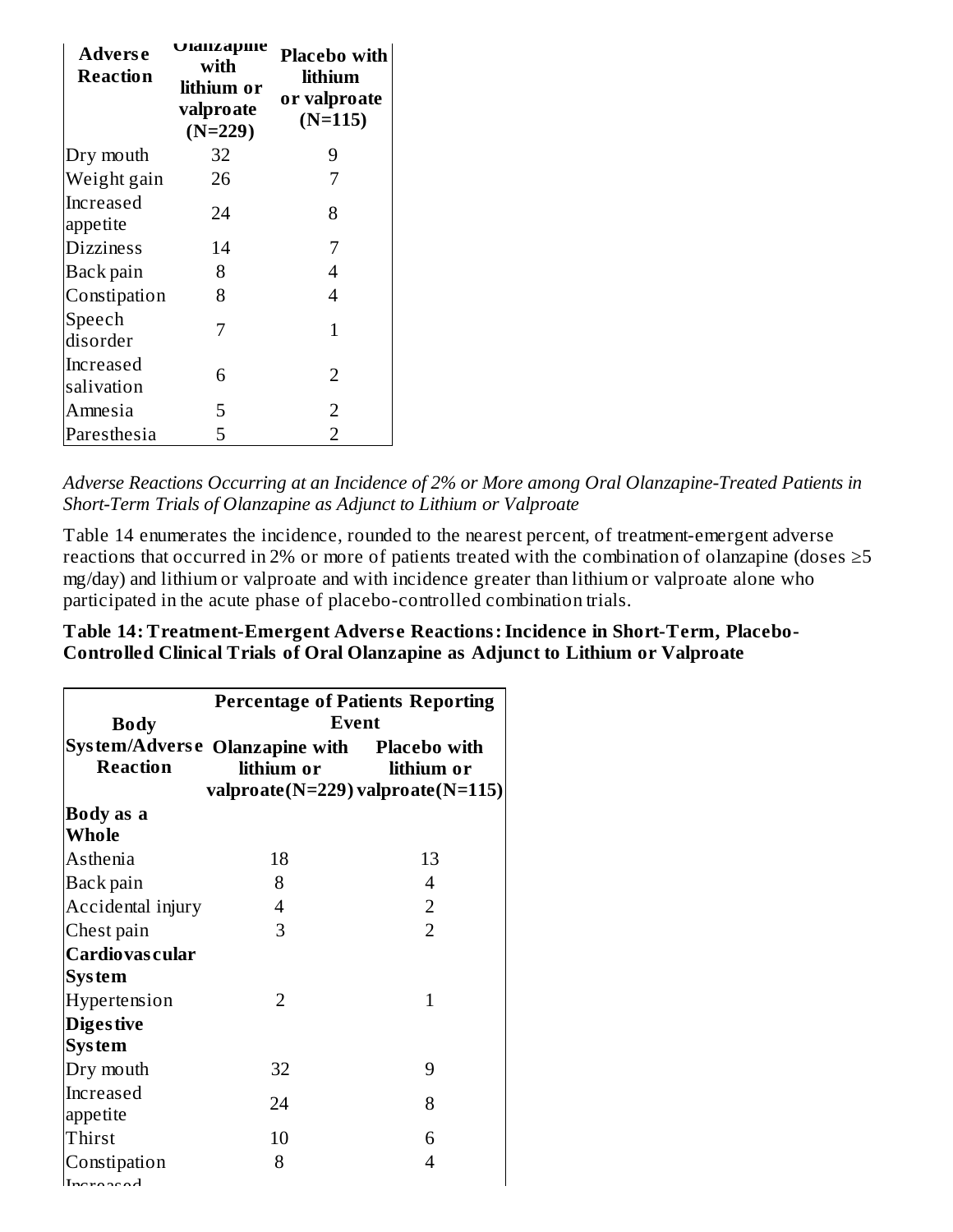| <b>Adverse</b><br><b>Reaction</b> | UldliZdplile<br>with<br>lithium or<br>valproate<br>$(N=229)$ | <b>Placebo</b> with<br>lithium<br>or valproate<br>$(N=115)$ |
|-----------------------------------|--------------------------------------------------------------|-------------------------------------------------------------|
| Dry mouth                         | 32                                                           | 9                                                           |
| Weight gain                       | 26                                                           | 7                                                           |
| Increased<br>appetite             | 24                                                           | 8                                                           |
| <b>Dizziness</b>                  | 14                                                           | 7                                                           |
| Back pain                         | 8                                                            | 4                                                           |
| Constipation                      | 8                                                            | 4                                                           |
| Speech<br>disorder                | 7                                                            | 1                                                           |
| Increased<br>salivation           | 6                                                            | 2                                                           |
| Amnesia                           | 5                                                            | 2                                                           |
| Paresthesia                       | 5                                                            | $\overline{2}$                                              |

*Adverse Reactions Occurring at an Incidence of 2% or More among Oral Olanzapine-Treated Patients in Short-Term Trials of Olanzapine as Adjunct to Lithium or Valproate*

Table 14 enumerates the incidence, rounded to the nearest percent, of treatment-emergent adverse reactions that occurred in 2% or more of patients treated with the combination of olanzapine (doses ≥5 mg/day) and lithium or valproate and with incidence greater than lithium or valproate alone who participated in the acute phase of placebo-controlled combination trials.

**Table 14: Treatment-Emergent Advers e Reactions:Incidence in Short-Term, Placebo-Controlled Clinical Trials of Oral Olanzapine as Adjunct to Lithium or Valproate**

|                           | <b>Percentage of Patients Reporting</b>                                                                |                |  |
|---------------------------|--------------------------------------------------------------------------------------------------------|----------------|--|
| <b>Body</b>               | <b>Event</b>                                                                                           |                |  |
| <b>Reaction</b>           | System/Adverse Olanzapine with Placebo with<br>lithium or<br>valproate( $N=229$ ) valproate( $N=115$ ) | lithium or     |  |
| Body as a                 |                                                                                                        |                |  |
| Whole                     |                                                                                                        |                |  |
| Asthenia                  | 18                                                                                                     | 13             |  |
| Back pain                 | 8                                                                                                      | 4              |  |
| Accidental injury         | 4                                                                                                      | $\overline{2}$ |  |
| Chest pain                | 3                                                                                                      | $\overline{2}$ |  |
| Cardiovas cular           |                                                                                                        |                |  |
| Sys tem                   |                                                                                                        |                |  |
| Hypertension              | $\overline{2}$                                                                                         | $\mathbf{1}$   |  |
| <b>Diges tive</b>         |                                                                                                        |                |  |
| <b>System</b>             |                                                                                                        |                |  |
| Dry mouth                 | 32                                                                                                     | 9              |  |
| Increased                 | 24                                                                                                     | 8              |  |
| appetite<br>Thirst        | 10                                                                                                     | 6              |  |
| Constipation<br>Increased | 8                                                                                                      | 4              |  |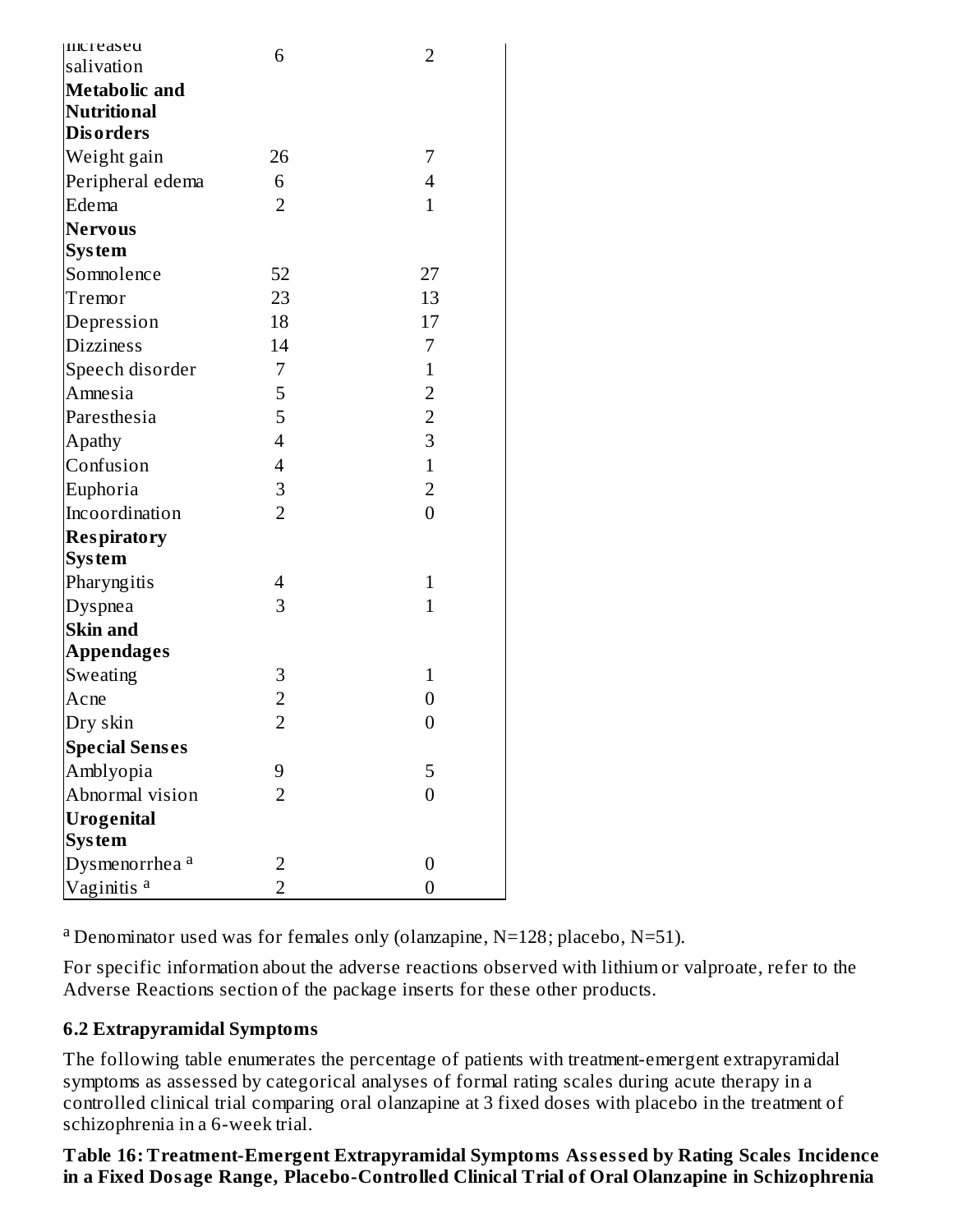| <b>ILICTE aseu</b>        | 6              | $\overline{2}$   |
|---------------------------|----------------|------------------|
| salivation                |                |                  |
| <b>Metabolic and</b>      |                |                  |
| <b>Nutritional</b>        |                |                  |
| <b>Disorders</b>          |                |                  |
| Weight gain               | 26             | 7                |
| Peripheral edema          | 6              | $\overline{4}$   |
| Edema                     | $\overline{2}$ | $\mathbf{1}$     |
| <b>Nervous</b>            |                |                  |
| <b>System</b>             |                |                  |
| Somnolence                | 52             | 27               |
| Tremor                    | 23             | 13               |
| Depression                | 18             | 17               |
| <b>Dizziness</b>          | 14             | 7                |
| Speech disorder           | 7              | $\mathbf{1}$     |
| Amnesia                   | 5              | $\overline{2}$   |
| Paresthesia               | 5              | $\overline{2}$   |
| Apathy                    | $\overline{4}$ | 3                |
| Confusion                 | $\overline{4}$ | $\mathbf{1}$     |
| Euphoria                  | 3              | $\overline{2}$   |
| Incoordination            | $\overline{2}$ | $\overline{0}$   |
| <b>Respiratory</b>        |                |                  |
| <b>System</b>             |                |                  |
| Pharyngitis               | 4              | $\mathbf{1}$     |
| Dyspnea                   | 3              | $\overline{1}$   |
| <b>Skin and</b>           |                |                  |
| <b>Appendages</b>         |                |                  |
| Sweating                  | 3              | 1                |
| Acne                      | 2              | 0                |
| Dry skin                  | $\overline{2}$ | $\boldsymbol{0}$ |
| <b>Special Senses</b>     |                |                  |
| Amblyopia                 | 9              | 5                |
| Abnormal vision           | 2              | $\overline{0}$   |
| <b>Urogenital</b>         |                |                  |
| <b>System</b>             |                |                  |
| Dysmenorrhea <sup>a</sup> | 2              | $\boldsymbol{0}$ |
| Vaginitis <sup>a</sup>    | $\overline{2}$ | 0                |

<sup>a</sup> Denominator used was for females only (olanzapine,  $N=128$ ; placebo,  $N=51$ ).

For specific information about the adverse reactions observed with lithium or valproate, refer to the Adverse Reactions section of the package inserts for these other products.

# **6.2 Extrapyramidal Symptoms**

The following table enumerates the percentage of patients with treatment-emergent extrapyramidal symptoms as assessed by categorical analyses of formal rating scales during acute therapy in a controlled clinical trial comparing oral olanzapine at 3 fixed doses with placebo in the treatment of schizophrenia in a 6-week trial.

**Table 16: Treatment-Emergent Extrapyramidal Symptoms Ass ess ed by Rating Scales Incidence in a Fixed Dosage Range, Placebo-Controlled Clinical Trial of Oral Olanzapine in Schizophrenia**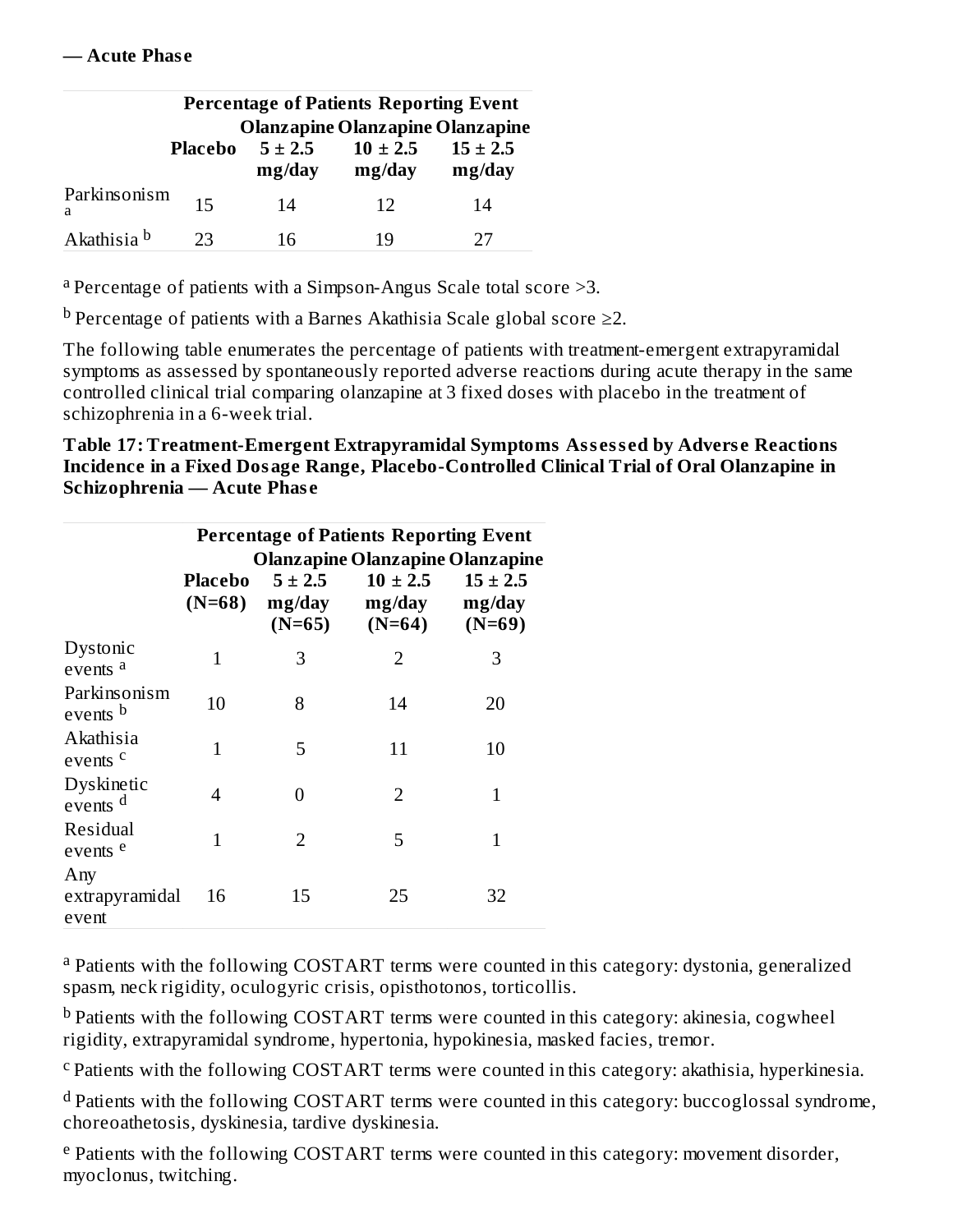|                        | <b>Percentage of Patients Reporting Event</b> |                       |                        |                        |
|------------------------|-----------------------------------------------|-----------------------|------------------------|------------------------|
|                        | <b>Olanzapine Olanzapine Olanzapine</b>       |                       |                        |                        |
|                        | Placebo                                       | $5 \pm 2.5$<br>mg/day | $10 \pm 2.5$<br>mg/day | $15 \pm 2.5$<br>mg/day |
| Parkinsonism<br>a      | 15                                            | 14                    | 12                     | 14                     |
| Akathisia <sup>b</sup> | ንገ                                            | 16                    | 1 Q                    | דר                     |

<sup>a</sup> Percentage of patients with a Simpson-Angus Scale total score >3.

 $^{\rm b}$  Percentage of patients with a Barnes Akathisia Scale global score  $\geq$ 2.

The following table enumerates the percentage of patients with treatment-emergent extrapyramidal symptoms as assessed by spontaneously reported adverse reactions during acute therapy in the same controlled clinical trial comparing olanzapine at 3 fixed doses with placebo in the treatment of schizophrenia in a 6-week trial.

**Table 17: Treatment-Emergent Extrapyramidal Symptoms Ass ess ed by Advers e Reactions Incidence in a Fixed Dosage Range, Placebo-Controlled Clinical Trial of Oral Olanzapine in Schizophrenia — Acute Phas e**

|                                  | <b>Percentage of Patients Reporting Event</b> |               |                                                             |              |
|----------------------------------|-----------------------------------------------|---------------|-------------------------------------------------------------|--------------|
|                                  | Placebo                                       | $5 \pm 2.5$   | <b>Olanzapine Olanzapine Olanzapine</b><br>$10 \pm 2.5$     | $15 \pm 2.5$ |
|                                  |                                               |               | $(N=68)$ mg/day mg/day mg/day<br>$(N=65)$ $(N=64)$ $(N=69)$ |              |
| Dystonic<br>events <sup>a</sup>  | 1                                             | 3             | 2                                                           | 3            |
| Parkinsonism<br>events b         | 10                                            | 8             | 14                                                          | 20           |
| Akathisia<br>events <sup>c</sup> | 1                                             | 5             | 11                                                          | 10           |
| Dyskinetic<br>events d           | 4                                             | 0             | 2                                                           | 1            |
| Residual<br>events <sup>e</sup>  | 1                                             | $\mathcal{P}$ | 5                                                           | 1            |
| Any<br>extrapyramidal<br>event   | 16                                            | 15            | 25                                                          | 32           |

<sup>a</sup> Patients with the following COSTART terms were counted in this category: dystonia, generalized spasm, neck rigidity, oculogyric crisis, opisthotonos, torticollis.

 $^{\rm b}$  Patients with the following COSTART terms were counted in this category: akinesia, cogwheel rigidity, extrapyramidal syndrome, hypertonia, hypokinesia, masked facies, tremor.

<sup>c</sup> Patients with the following COSTART terms were counted in this category: akathisia, hyperkinesia.

<sup>d</sup> Patients with the following COSTART terms were counted in this category: buccoglossal syndrome, choreoathetosis, dyskinesia, tardive dyskinesia.

<sup>e</sup> Patients with the following COSTART terms were counted in this category: movement disorder, myoclonus, twitching.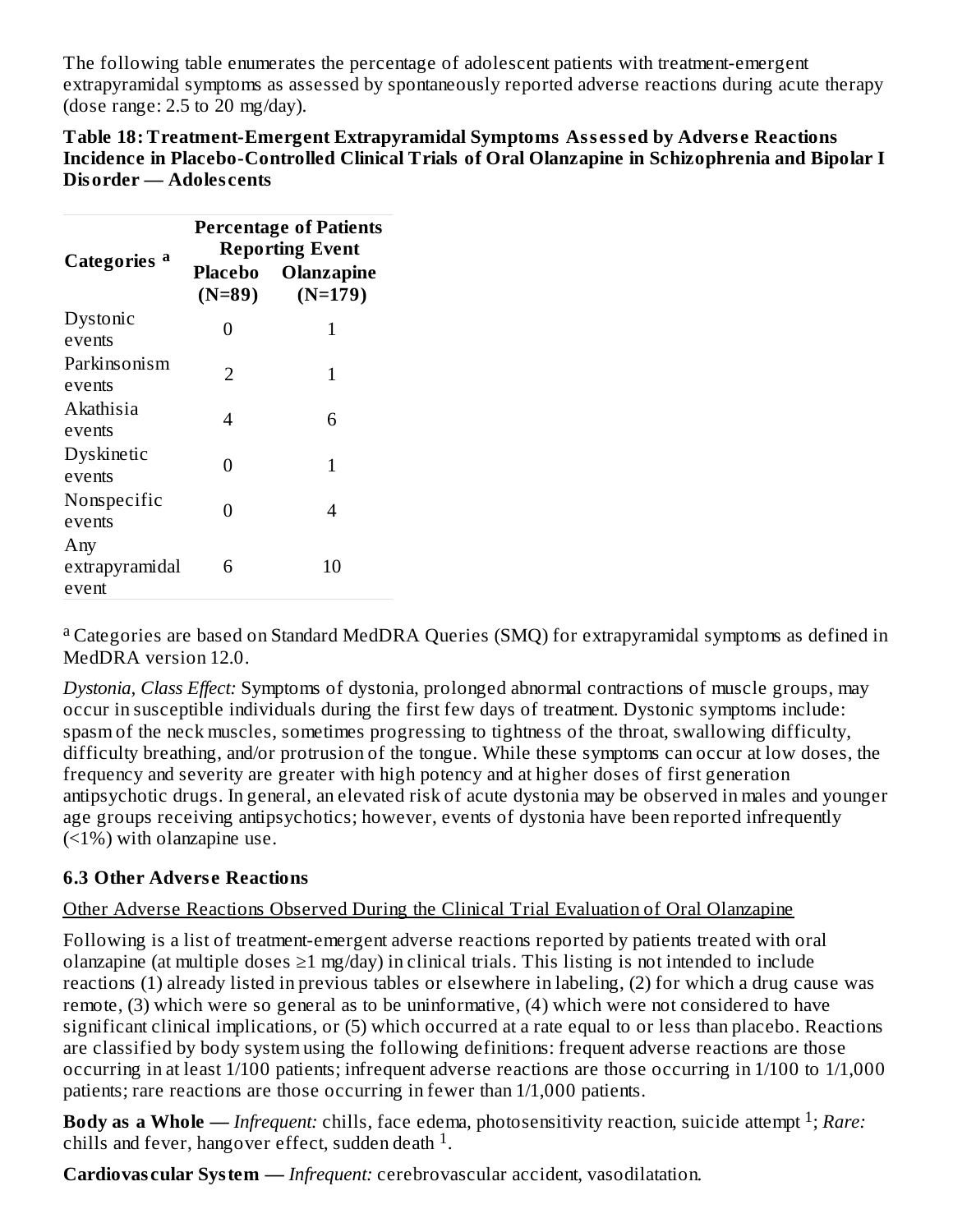The following table enumerates the percentage of adolescent patients with treatment-emergent extrapyramidal symptoms as assessed by spontaneously reported adverse reactions during acute therapy (dose range: 2.5 to 20 mg/day).

**Table 18: Treatment-Emergent Extrapyramidal Symptoms Ass ess ed by Advers e Reactions Incidence in Placebo-Controlled Clinical Trials of Oral Olanzapine in Schizophrenia and Bipolar I Disorder — Adoles cents**

|                                | <b>Percentage of Patients</b><br><b>Reporting Event</b> |                                |  |
|--------------------------------|---------------------------------------------------------|--------------------------------|--|
| Categories <sup>a</sup>        | Placebo<br>(N=89)                                       | <b>Olanzapine</b><br>$(N=179)$ |  |
| Dystonic<br>events             | 0                                                       | 1                              |  |
| Parkinsonism<br>events         | 2                                                       | 1                              |  |
| Akathisia<br>events            | 4                                                       | 6                              |  |
| Dyskinetic<br>events           | 0                                                       | 1                              |  |
| Nonspecific<br>events          | O                                                       | 4                              |  |
| Any<br>extrapyramidal<br>event | 6                                                       | 10                             |  |

<sup>a</sup> Categories are based on Standard MedDRA Queries (SMQ) for extrapyramidal symptoms as defined in MedDRA version 12.0.

*Dystonia, Class Effect:* Symptoms of dystonia, prolonged abnormal contractions of muscle groups, may occur in susceptible individuals during the first few days of treatment. Dystonic symptoms include: spasm of the neck muscles, sometimes progressing to tightness of the throat, swallowing difficulty, difficulty breathing, and/or protrusion of the tongue. While these symptoms can occur at low doses, the frequency and severity are greater with high potency and at higher doses of first generation antipsychotic drugs. In general, an elevated risk of acute dystonia may be observed in males and younger age groups receiving antipsychotics; however, events of dystonia have been reported infrequently (<1%) with olanzapine use.

# **6.3 Other Advers e Reactions**

# Other Adverse Reactions Observed During the Clinical Trial Evaluation of Oral Olanzapine

Following is a list of treatment-emergent adverse reactions reported by patients treated with oral olanzapine (at multiple doses  $\geq 1$  mg/day) in clinical trials. This listing is not intended to include reactions (1) already listed in previous tables or elsewhere in labeling, (2) for which a drug cause was remote, (3) which were so general as to be uninformative, (4) which were not considered to have significant clinical implications, or (5) which occurred at a rate equal to or less than placebo. Reactions are classified by body system using the following definitions: frequent adverse reactions are those occurring in at least 1/100 patients; infrequent adverse reactions are those occurring in 1/100 to 1/1,000 patients; rare reactions are those occurring in fewer than 1/1,000 patients.

**Body as a Whole** — *Infrequent:* chills, face edema, photosensitivity reaction, suicide attempt <sup>1</sup>; *Rare:* chills and fever, hangover effect, sudden death  $1$ .

**Cardiovas cular System —** *Infrequent:* cerebrovascular accident, vasodilatation.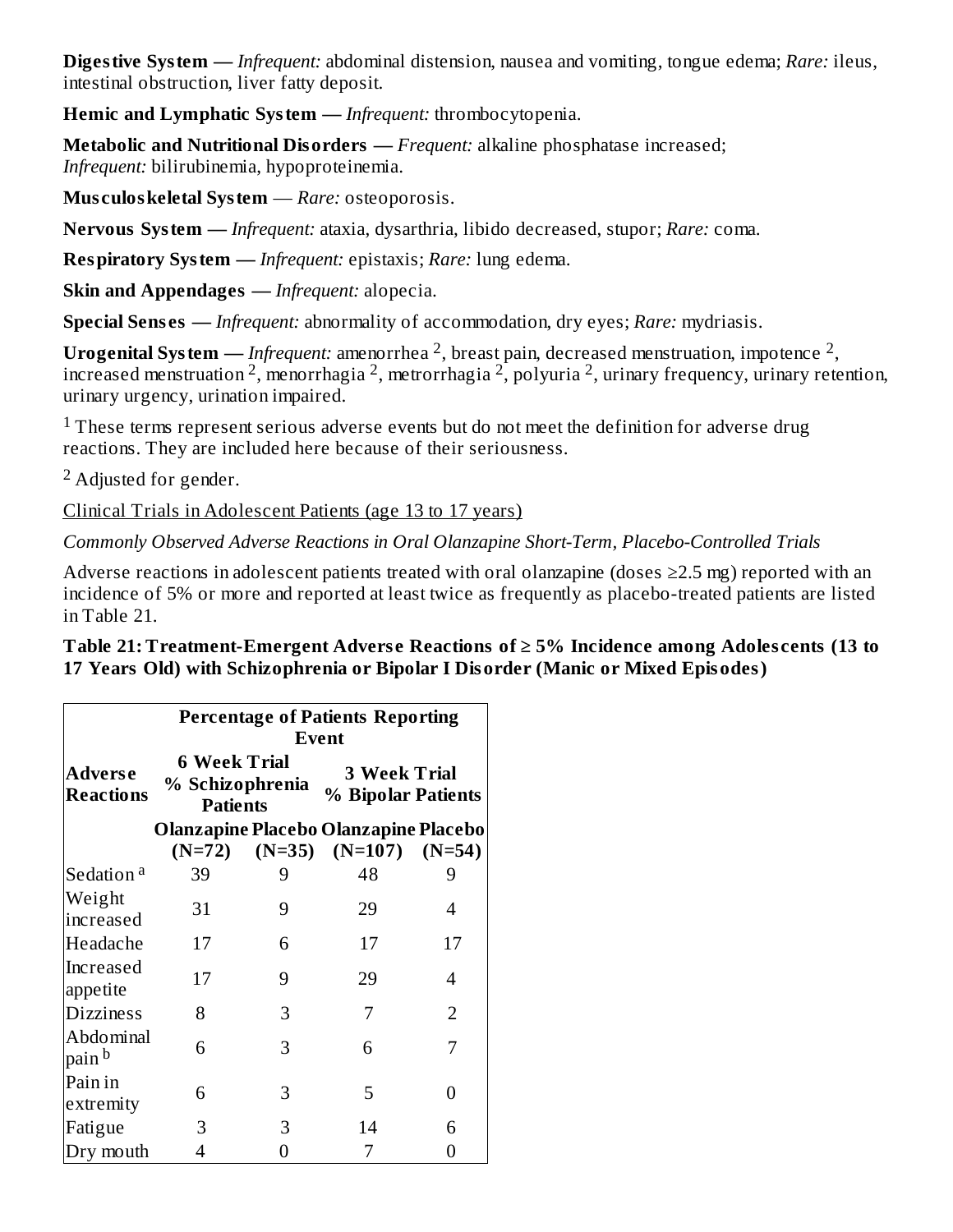**Digestive System —** *Infrequent:* abdominal distension, nausea and vomiting, tongue edema; *Rare:* ileus, intestinal obstruction, liver fatty deposit.

**Hemic and Lymphatic System —** *Infrequent:* thrombocytopenia.

**Metabolic and Nutritional Disorders —** *Frequent:* alkaline phosphatase increased; *Infrequent:* bilirubinemia, hypoproteinemia.

**Mus culoskeletal System** — *Rare:* osteoporosis.

**Nervous System —** *Infrequent:* ataxia, dysarthria, libido decreased, stupor; *Rare:* coma.

**Respiratory System —** *Infrequent:* epistaxis; *Rare:* lung edema.

**Skin and Appendages —** *Infrequent:* alopecia.

**Special Sens es —** *Infrequent:* abnormality of accommodation, dry eyes; *Rare:* mydriasis.

**Urogenital System** — *Infrequent:* amenorrhea <sup>2</sup>, breast pain, decreased menstruation, impotence <sup>2</sup>, increased menstruation <sup>2</sup>, menorrhagia <sup>2</sup>, metrorrhagia <sup>2</sup>, polyuria <sup>2</sup>, urinary frequency, urinary retention, urinary urgency, urination impaired.

 $1$  These terms represent serious adverse events but do not meet the definition for adverse drug reactions. They are included here because of their seriousness.

 $2$  Adjusted for gender.

Clinical Trials in Adolescent Patients (age 13 to 17 years)

*Commonly Observed Adverse Reactions in Oral Olanzapine Short-Term, Placebo-Controlled Trials*

Adverse reactions in adolescent patients treated with oral olanzapine (doses  $\geq$ 2.5 mg) reported with an incidence of 5% or more and reported at least twice as frequently as placebo-treated patients are listed in Table 21.

**Table 21: Treatment-Emergent Advers e Reactions of ≥ 5% Incidence among Adoles cents (13 to 17 Years Old) with Schizophrenia or Bipolar I Disorder (Manic or Mixed Episodes)**

|                             | <b>Percentage of Patients Reporting</b><br><b>Event</b>   |              |                                                                             |                |  |  |
|-----------------------------|-----------------------------------------------------------|--------------|-----------------------------------------------------------------------------|----------------|--|--|
| Adverse<br><b>Reactions</b> | <b>6 Week Trial</b><br>% Schizophrenia<br><b>Patients</b> |              | <b>3 Week Trial</b><br>% Bipolar Patients                                   |                |  |  |
|                             | $(N=72)$                                                  |              | <b>Olanzapine Placebo Olanzapine Placebo</b><br>$(N=35)$ $(N=107)$ $(N=54)$ |                |  |  |
| Sedation <sup>a</sup>       | 39                                                        | 9            | 48                                                                          | 9              |  |  |
| Weight<br>increased         | 31                                                        | 9            | 29                                                                          | 4              |  |  |
| Headache                    | 17                                                        | 6            | 17                                                                          | 17             |  |  |
| Increased<br>appetite       | 17                                                        | 9            | 29                                                                          | 4              |  |  |
| <b>Dizziness</b>            | 8                                                         | 3            | 7                                                                           | $\overline{2}$ |  |  |
| Abdominal<br>pain b         | 6                                                         | 3            | 6                                                                           | 7              |  |  |
| Pain in<br>extremity        | 6                                                         | 3            | 5                                                                           | 0              |  |  |
| Fatigue                     | 3                                                         | 3            | 14                                                                          | 6              |  |  |
| Dry mouth                   | 4                                                         | $\mathbf{0}$ | 7                                                                           | 0              |  |  |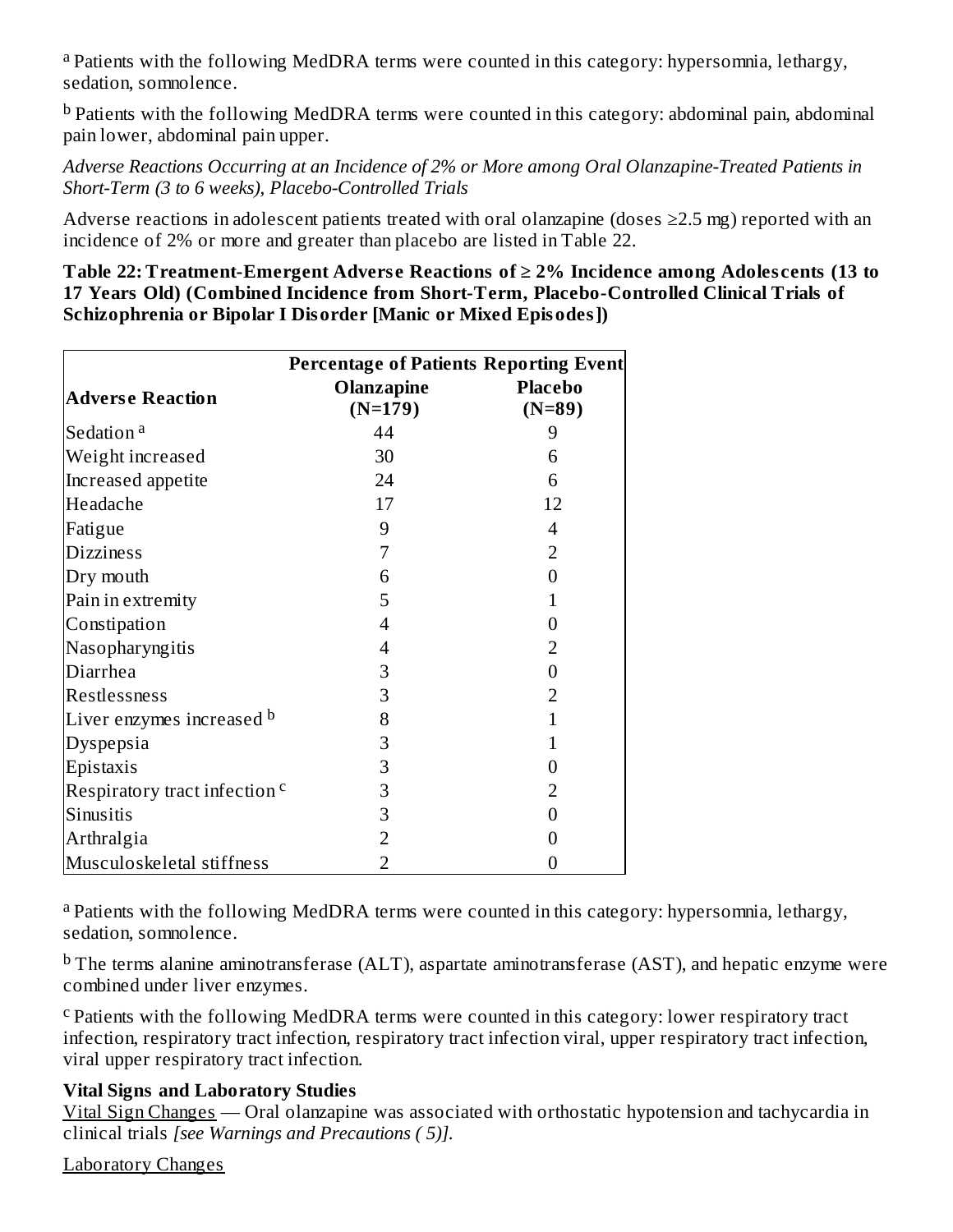<sup>a</sup> Patients with the following MedDRA terms were counted in this category: hypersomnia, lethargy, sedation, somnolence.

<sup>b</sup> Patients with the following MedDRA terms were counted in this category: abdominal pain, abdominal pain lower, abdominal pain upper.

*Adverse Reactions Occurring at an Incidence of 2% or More among Oral Olanzapine-Treated Patients in Short-Term (3 to 6 weeks), Placebo-Controlled Trials*

Adverse reactions in adolescent patients treated with oral olanzapine (doses ≥2.5 mg) reported with an incidence of 2% or more and greater than placebo are listed in Table 22.

**Table 22: Treatment-Emergent Advers e Reactions of ≥ 2% Incidence among Adoles cents (13 to 17 Years Old) (Combined Incidence from Short-Term, Placebo-Controlled Clinical Trials of Schizophrenia or Bipolar I Disorder [Manic or Mixed Episodes])**

|                                          | <b>Percentage of Patients Reporting Event</b> |                            |  |  |  |
|------------------------------------------|-----------------------------------------------|----------------------------|--|--|--|
| <b>Adverse Reaction</b>                  | Olanzapine<br>$(N=179)$                       | <b>Placebo</b><br>$(N=89)$ |  |  |  |
| Sedation <sup>a</sup>                    | 44                                            | 9                          |  |  |  |
| Weight increased                         | 30                                            | 6                          |  |  |  |
| Increased appetite                       | 24                                            | 6                          |  |  |  |
| Headache                                 | 17                                            | 12                         |  |  |  |
| Fatigue                                  | 9                                             | 4                          |  |  |  |
| <b>Dizziness</b>                         | 7                                             | 2                          |  |  |  |
| Dry mouth                                | 6                                             | 0                          |  |  |  |
| Pain in extremity                        | 5                                             | 1                          |  |  |  |
| Constipation                             | 4                                             | 0                          |  |  |  |
| Nasopharyngitis                          | 4                                             | 2                          |  |  |  |
| Diarrhea                                 | 3                                             | 0                          |  |  |  |
| <b>Restlessness</b>                      | 3                                             | $\mathcal{P}$              |  |  |  |
| Liver enzymes increased b                | 8                                             | 1                          |  |  |  |
| Dyspepsia                                | 3                                             | 1                          |  |  |  |
| Epistaxis                                | 3                                             | 0                          |  |  |  |
| Respiratory tract infection <sup>c</sup> | 3                                             | $\mathcal{P}$              |  |  |  |
| Sinusitis                                | 3                                             | 0                          |  |  |  |
| Arthralgia                               | 2                                             | $\mathbf{0}$               |  |  |  |
| Musculoskeletal stiffness                | $\overline{2}$                                | 0                          |  |  |  |

<sup>a</sup> Patients with the following MedDRA terms were counted in this category: hypersomnia, lethargy, sedation, somnolence.

 $^{\rm b}$  The terms alanine aminotransferase (ALT), aspartate aminotransferase (AST), and hepatic enzyme were combined under liver enzymes.

<sup>c</sup> Patients with the following MedDRA terms were counted in this category: lower respiratory tract infection, respiratory tract infection, respiratory tract infection viral, upper respiratory tract infection, viral upper respiratory tract infection.

# **Vital Signs and Laboratory Studies**

Vital Sign Changes — Oral olanzapine was associated with orthostatic hypotension and tachycardia in clinical trials *[see Warnings and Precautions ( 5)].*

Laboratory Changes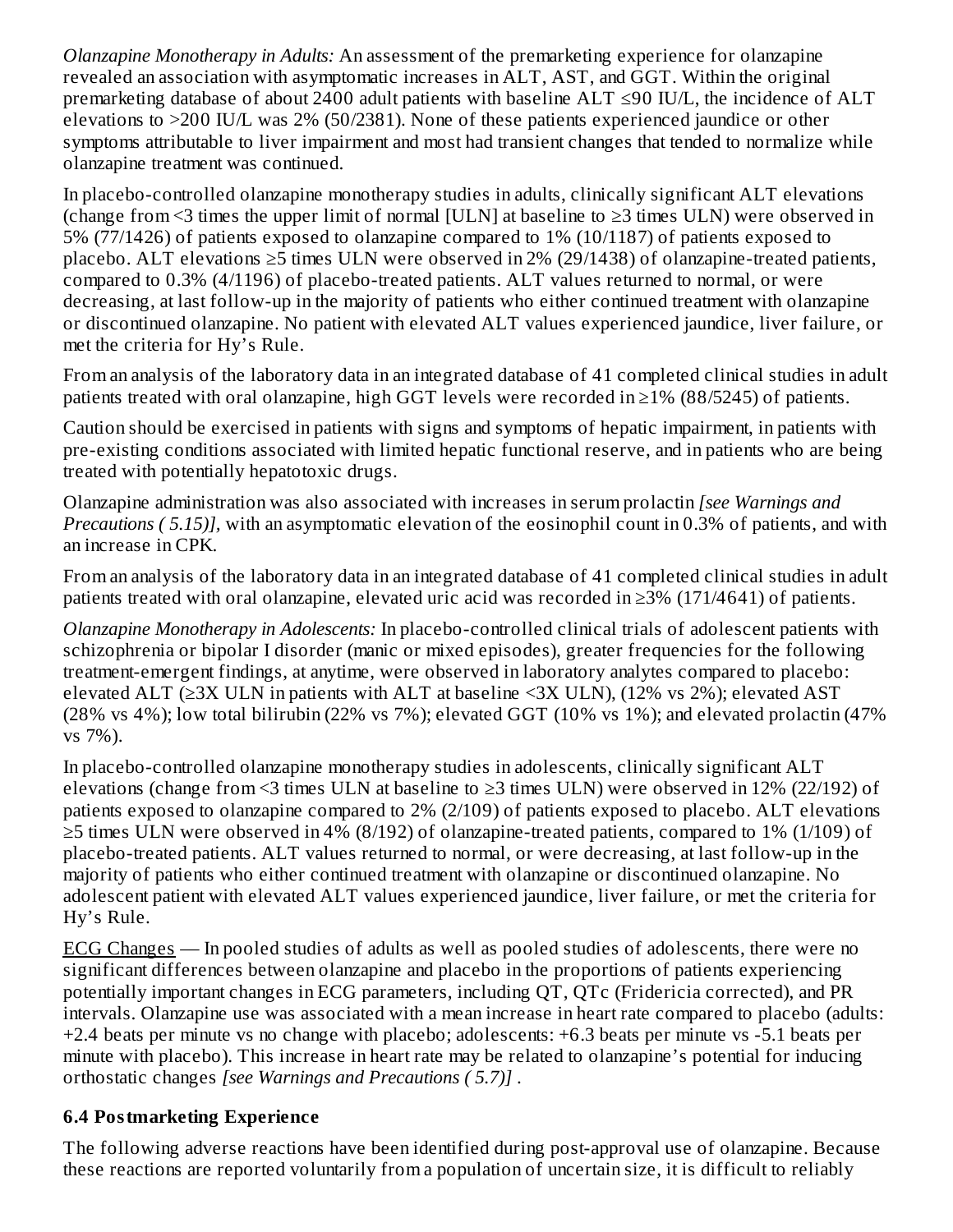*Olanzapine Monotherapy in Adults:* An assessment of the premarketing experience for olanzapine revealed an association with asymptomatic increases in ALT, AST, and GGT. Within the original premarketing database of about 2400 adult patients with baseline ALT ≤90 IU/L, the incidence of ALT elevations to >200 IU/L was 2% (50/2381). None of these patients experienced jaundice or other symptoms attributable to liver impairment and most had transient changes that tended to normalize while olanzapine treatment was continued.

In placebo-controlled olanzapine monotherapy studies in adults, clinically significant ALT elevations (change from <3 times the upper limit of normal [ULN] at baseline to  $\geq$ 3 times ULN) were observed in 5% (77/1426) of patients exposed to olanzapine compared to 1% (10/1187) of patients exposed to placebo. ALT elevations ≥5 times ULN were observed in 2% (29/1438) of olanzapine-treated patients, compared to 0.3% (4/1196) of placebo-treated patients. ALT values returned to normal, or were decreasing, at last follow-up in the majority of patients who either continued treatment with olanzapine or discontinued olanzapine. No patient with elevated ALT values experienced jaundice, liver failure, or met the criteria for Hy's Rule.

From an analysis of the laboratory data in an integrated database of 41 completed clinical studies in adult patients treated with oral olanzapine, high GGT levels were recorded in ≥1% (88/5245) of patients.

Caution should be exercised in patients with signs and symptoms of hepatic impairment, in patients with pre-existing conditions associated with limited hepatic functional reserve, and in patients who are being treated with potentially hepatotoxic drugs.

Olanzapine administration was also associated with increases in serum prolactin *[see Warnings and Precautions ( 5.15)],* with an asymptomatic elevation of the eosinophil count in 0.3% of patients, and with an increase in CPK.

From an analysis of the laboratory data in an integrated database of 41 completed clinical studies in adult patients treated with oral olanzapine, elevated uric acid was recorded in  $\geq$ 3% (171/4641) of patients.

*Olanzapine Monotherapy in Adolescents:* In placebo-controlled clinical trials of adolescent patients with schizophrenia or bipolar I disorder (manic or mixed episodes), greater frequencies for the following treatment-emergent findings, at anytime, were observed in laboratory analytes compared to placebo: elevated ALT (≥3X ULN in patients with ALT at baseline <3X ULN), (12% vs 2%); elevated AST (28% vs 4%); low total bilirubin (22% vs 7%); elevated GGT (10% vs 1%); and elevated prolactin (47% vs 7%).

In placebo-controlled olanzapine monotherapy studies in adolescents, clinically significant ALT elevations (change from <3 times ULN at baseline to ≥3 times ULN) were observed in 12% (22/192) of patients exposed to olanzapine compared to 2% (2/109) of patients exposed to placebo. ALT elevations ≥5 times ULN were observed in 4% (8/192) of olanzapine-treated patients, compared to 1% (1/109) of placebo-treated patients. ALT values returned to normal, or were decreasing, at last follow-up in the majority of patients who either continued treatment with olanzapine or discontinued olanzapine. No adolescent patient with elevated ALT values experienced jaundice, liver failure, or met the criteria for Hy's Rule.

ECG Changes — In pooled studies of adults as well as pooled studies of adolescents, there were no significant differences between olanzapine and placebo in the proportions of patients experiencing potentially important changes in ECG parameters, including QT, QTc (Fridericia corrected), and PR intervals. Olanzapine use was associated with a mean increase in heart rate compared to placebo (adults: +2.4 beats per minute vs no change with placebo; adolescents: +6.3 beats per minute vs -5.1 beats per minute with placebo). This increase in heart rate may be related to olanzapine's potential for inducing orthostatic changes *[see Warnings and Precautions ( 5.7)]* .

# **6.4 Postmarketing Experience**

The following adverse reactions have been identified during post-approval use of olanzapine. Because these reactions are reported voluntarily from a population of uncertain size, it is difficult to reliably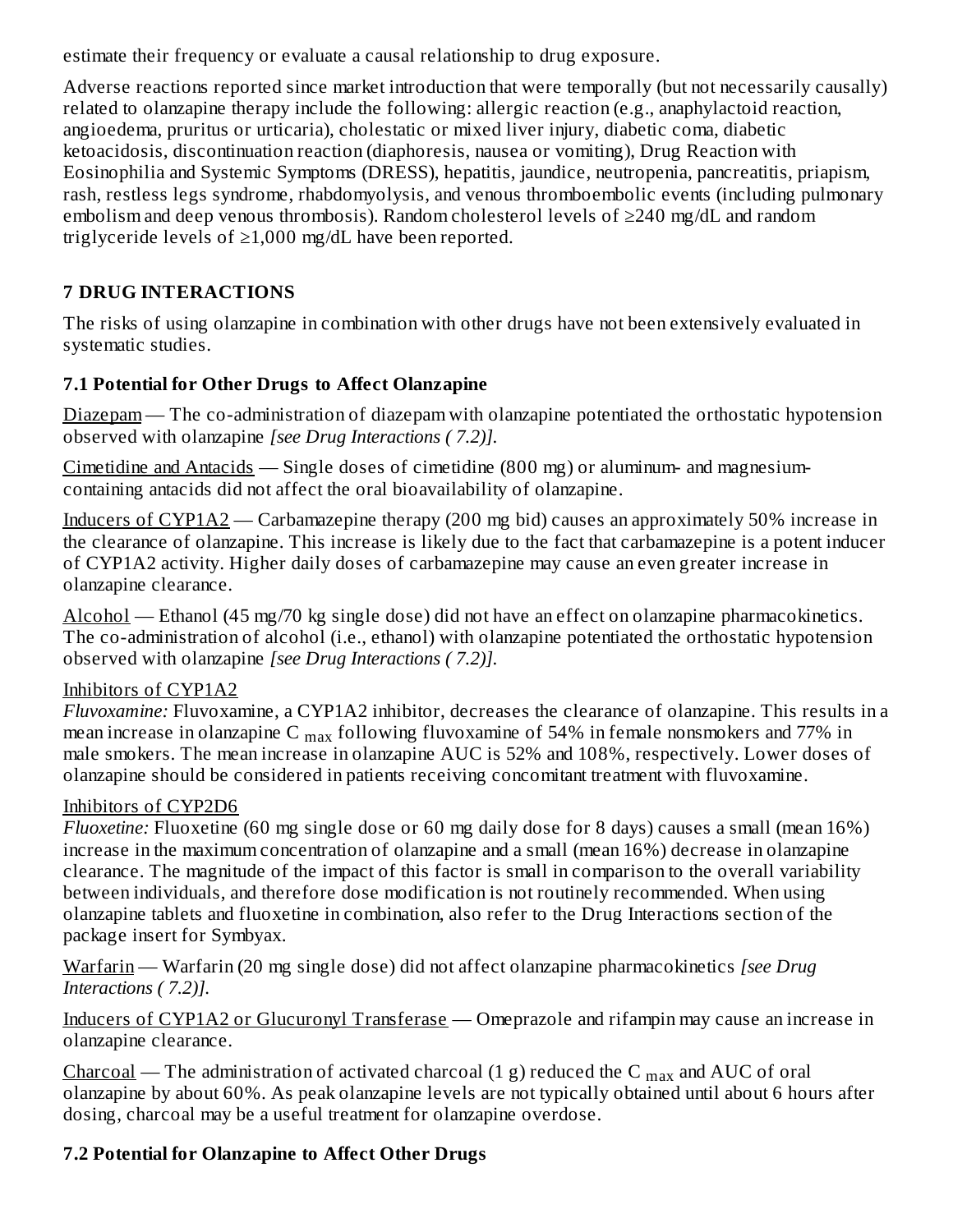estimate their frequency or evaluate a causal relationship to drug exposure.

Adverse reactions reported since market introduction that were temporally (but not necessarily causally) related to olanzapine therapy include the following: allergic reaction (e.g., anaphylactoid reaction, angioedema, pruritus or urticaria), cholestatic or mixed liver injury, diabetic coma, diabetic ketoacidosis, discontinuation reaction (diaphoresis, nausea or vomiting), Drug Reaction with Eosinophilia and Systemic Symptoms (DRESS), hepatitis, jaundice, neutropenia, pancreatitis, priapism, rash, restless legs syndrome, rhabdomyolysis, and venous thromboembolic events (including pulmonary embolism and deep venous thrombosis). Random cholesterol levels of ≥240 mg/dL and random triglyceride levels of  $\geq 1,000$  mg/dL have been reported.

# **7 DRUG INTERACTIONS**

The risks of using olanzapine in combination with other drugs have not been extensively evaluated in systematic studies.

# **7.1 Potential for Other Drugs to Affect Olanzapine**

Diazepam — The co-administration of diazepam with olanzapine potentiated the orthostatic hypotension observed with olanzapine *[see Drug Interactions ( 7.2)].*

Cimetidine and Antacids — Single doses of cimetidine (800 mg) or aluminum- and magnesiumcontaining antacids did not affect the oral bioavailability of olanzapine.

Inducers of CYP1A2 — Carbamazepine therapy (200 mg bid) causes an approximately 50% increase in the clearance of olanzapine. This increase is likely due to the fact that carbamazepine is a potent inducer of CYP1A2 activity. Higher daily doses of carbamazepine may cause an even greater increase in olanzapine clearance.

Alcohol — Ethanol (45 mg/70 kg single dose) did not have an effect on olanzapine pharmacokinetics. The co-administration of alcohol (i.e., ethanol) with olanzapine potentiated the orthostatic hypotension observed with olanzapine *[see Drug Interactions ( 7.2)].*

# Inhibitors of CYP1A2

*Fluvoxamine:* Fluvoxamine, a CYP1A2 inhibitor, decreases the clearance of olanzapine. This results in a mean increase in olanzapine C  $_{\rm max}$  following fluvoxamine of 54% in female nonsmokers and 77% in male smokers. The mean increase in olanzapine AUC is 52% and 108%, respectively. Lower doses of olanzapine should be considered in patients receiving concomitant treatment with fluvoxamine.

# Inhibitors of CYP2D6

*Fluoxetine:* Fluoxetine (60 mg single dose or 60 mg daily dose for 8 days) causes a small (mean 16%) increase in the maximum concentration of olanzapine and a small (mean 16%) decrease in olanzapine clearance. The magnitude of the impact of this factor is small in comparison to the overall variability between individuals, and therefore dose modification is not routinely recommended. When using olanzapine tablets and fluoxetine in combination, also refer to the Drug Interactions section of the package insert for Symbyax.

Warfarin — Warfarin (20 mg single dose) did not affect olanzapine pharmacokinetics *[see Drug Interactions ( 7.2)].*

Inducers of CYP1A2 or Glucuronyl Transferase — Omeprazole and rifampin may cause an increase in olanzapine clearance.

<u>Charcoal</u> — The administration of activated charcoal (1 g) reduced the C  $_{\rm max}$  and AUC of oral olanzapine by about 60%. As peak olanzapine levels are not typically obtained until about 6 hours after dosing, charcoal may be a useful treatment for olanzapine overdose.

# **7.2 Potential for Olanzapine to Affect Other Drugs**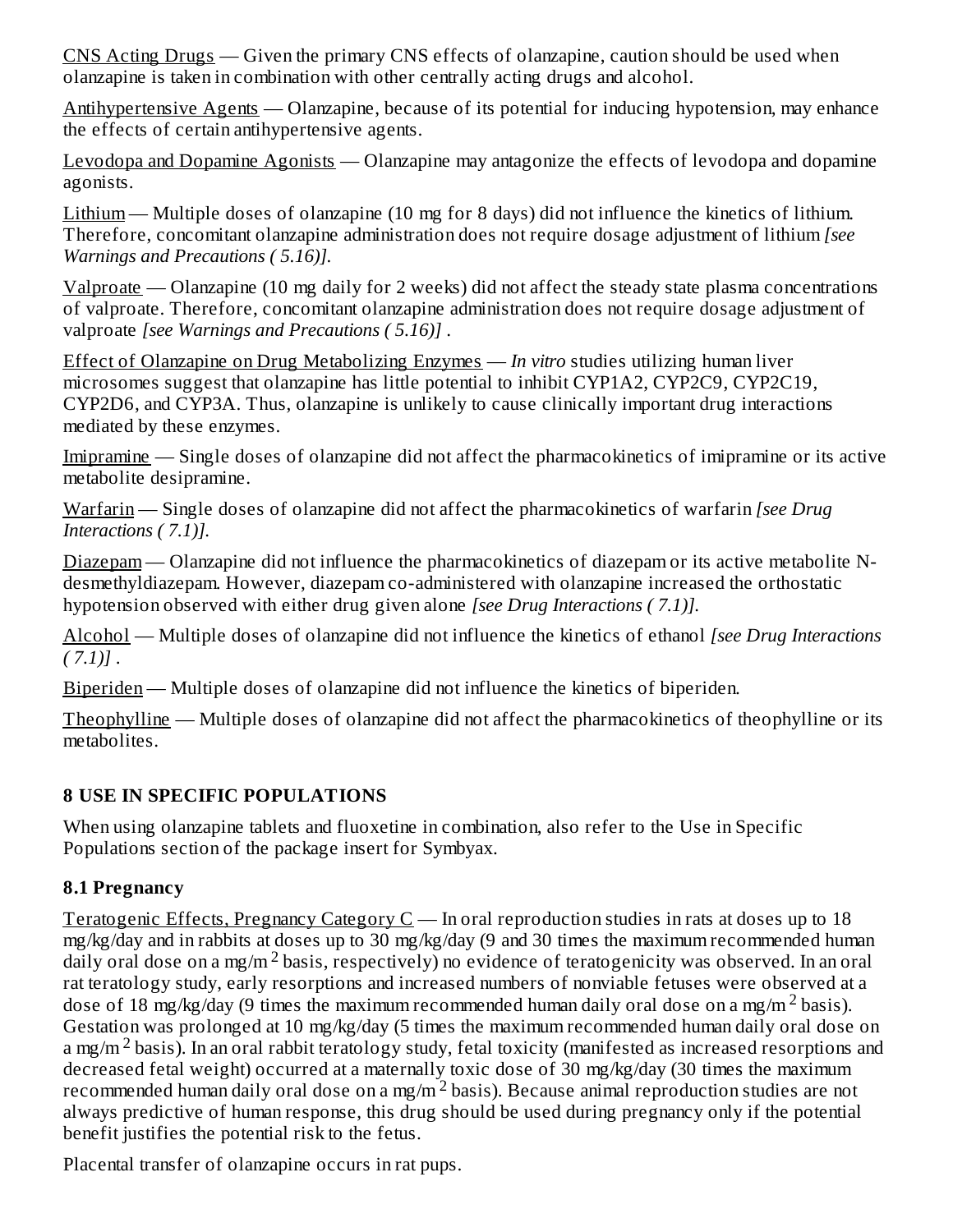CNS Acting Drugs — Given the primary CNS effects of olanzapine, caution should be used when olanzapine is taken in combination with other centrally acting drugs and alcohol.

Antihypertensive Agents — Olanzapine, because of its potential for inducing hypotension, may enhance the effects of certain antihypertensive agents.

Levodopa and Dopamine Agonists — Olanzapine may antagonize the effects of levodopa and dopamine agonists.

Lithium — Multiple doses of olanzapine (10 mg for 8 days) did not influence the kinetics of lithium. Therefore, concomitant olanzapine administration does not require dosage adjustment of lithium *[see Warnings and Precautions ( 5.16)].*

Valproate — Olanzapine (10 mg daily for 2 weeks) did not affect the steady state plasma concentrations of valproate. Therefore, concomitant olanzapine administration does not require dosage adjustment of valproate *[see Warnings and Precautions ( 5.16)]* .

Effect of Olanzapine on Drug Metabolizing Enzymes — *In vitro* studies utilizing human liver microsomes suggest that olanzapine has little potential to inhibit CYP1A2, CYP2C9, CYP2C19, CYP2D6, and CYP3A. Thus, olanzapine is unlikely to cause clinically important drug interactions mediated by these enzymes.

Imipramine — Single doses of olanzapine did not affect the pharmacokinetics of imipramine or its active metabolite desipramine.

Warfarin — Single doses of olanzapine did not affect the pharmacokinetics of warfarin *[see Drug Interactions ( 7.1)].*

Diazepam — Olanzapine did not influence the pharmacokinetics of diazepam or its active metabolite Ndesmethyldiazepam. However, diazepam co-administered with olanzapine increased the orthostatic hypotension observed with either drug given alone *[see Drug Interactions ( 7.1)].*

Alcohol — Multiple doses of olanzapine did not influence the kinetics of ethanol *[see Drug Interactions*  $(7.1)$ .

Biperiden — Multiple doses of olanzapine did not influence the kinetics of biperiden.

Theophylline — Multiple doses of olanzapine did not affect the pharmacokinetics of theophylline or its metabolites.

# **8 USE IN SPECIFIC POPULATIONS**

When using olanzapine tablets and fluoxetine in combination, also refer to the Use in Specific Populations section of the package insert for Symbyax.

# **8.1 Pregnancy**

Teratogenic Effects, Pregnancy Category  $C$  — In oral reproduction studies in rats at doses up to 18 mg/kg/day and in rabbits at doses up to 30 mg/kg/day (9 and 30 times the maximum recommended human daily oral dose on a mg/m<sup>2</sup> basis, respectively) no evidence of teratogenicity was observed. In an oral rat teratology study, early resorptions and increased numbers of nonviable fetuses were observed at a dose of 18 mg/kg/day (9 times the maximum recommended human daily oral dose on a mg/m<sup>2</sup> basis). Gestation was prolonged at 10 mg/kg/day (5 times the maximum recommended human daily oral dose on a mg/m $^2$  basis). In an oral rabbit teratology study, fetal toxicity (manifested as increased resorptions and decreased fetal weight) occurred at a maternally toxic dose of 30 mg/kg/day (30 times the maximum recommended human daily oral dose on a mg/m $^2$  basis). Because animal reproduction studies are not always predictive of human response, this drug should be used during pregnancy only if the potential benefit justifies the potential risk to the fetus.

Placental transfer of olanzapine occurs in rat pups.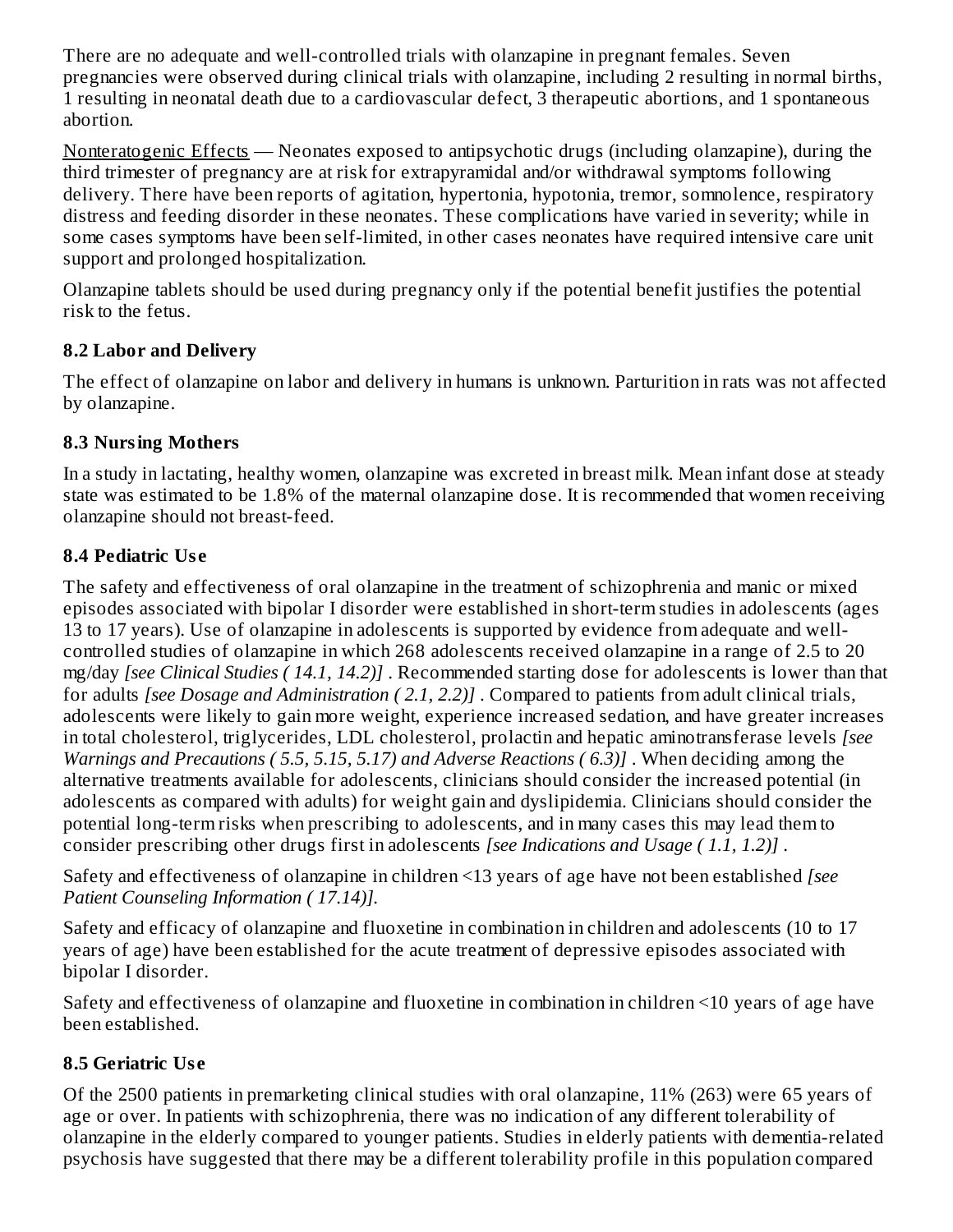There are no adequate and well-controlled trials with olanzapine in pregnant females. Seven pregnancies were observed during clinical trials with olanzapine, including 2 resulting in normal births, 1 resulting in neonatal death due to a cardiovascular defect, 3 therapeutic abortions, and 1 spontaneous abortion.

Nonteratogenic Effects — Neonates exposed to antipsychotic drugs (including olanzapine), during the third trimester of pregnancy are at risk for extrapyramidal and/or withdrawal symptoms following delivery. There have been reports of agitation, hypertonia, hypotonia, tremor, somnolence, respiratory distress and feeding disorder in these neonates. These complications have varied in severity; while in some cases symptoms have been self-limited, in other cases neonates have required intensive care unit support and prolonged hospitalization.

Olanzapine tablets should be used during pregnancy only if the potential benefit justifies the potential risk to the fetus.

# **8.2 Labor and Delivery**

The effect of olanzapine on labor and delivery in humans is unknown. Parturition in rats was not affected by olanzapine.

# **8.3 Nursing Mothers**

In a study in lactating, healthy women, olanzapine was excreted in breast milk. Mean infant dose at steady state was estimated to be 1.8% of the maternal olanzapine dose. It is recommended that women receiving olanzapine should not breast-feed.

# **8.4 Pediatric Us e**

The safety and effectiveness of oral olanzapine in the treatment of schizophrenia and manic or mixed episodes associated with bipolar I disorder were established in short-term studies in adolescents (ages 13 to 17 years). Use of olanzapine in adolescents is supported by evidence from adequate and wellcontrolled studies of olanzapine in which 268 adolescents received olanzapine in a range of 2.5 to 20 mg/day *[see Clinical Studies ( 14.1, 14.2)]* . Recommended starting dose for adolescents is lower than that for adults *[see Dosage and Administration ( 2.1, 2.2)]* . Compared to patients from adult clinical trials, adolescents were likely to gain more weight, experience increased sedation, and have greater increases in total cholesterol, triglycerides, LDL cholesterol, prolactin and hepatic aminotransferase levels *[see Warnings and Precautions ( 5.5, 5.15, 5.17) and Adverse Reactions ( 6.3)]* . When deciding among the alternative treatments available for adolescents, clinicians should consider the increased potential (in adolescents as compared with adults) for weight gain and dyslipidemia. Clinicians should consider the potential long-term risks when prescribing to adolescents, and in many cases this may lead them to consider prescribing other drugs first in adolescents *[see Indications and Usage ( 1.1, 1.2)]* .

Safety and effectiveness of olanzapine in children <13 years of age have not been established *[see Patient Counseling Information ( 17.14)].*

Safety and efficacy of olanzapine and fluoxetine in combination in children and adolescents (10 to 17 years of age) have been established for the acute treatment of depressive episodes associated with bipolar I disorder.

Safety and effectiveness of olanzapine and fluoxetine in combination in children <10 years of age have been established.

# **8.5 Geriatric Us e**

Of the 2500 patients in premarketing clinical studies with oral olanzapine, 11% (263) were 65 years of age or over. In patients with schizophrenia, there was no indication of any different tolerability of olanzapine in the elderly compared to younger patients. Studies in elderly patients with dementia-related psychosis have suggested that there may be a different tolerability profile in this population compared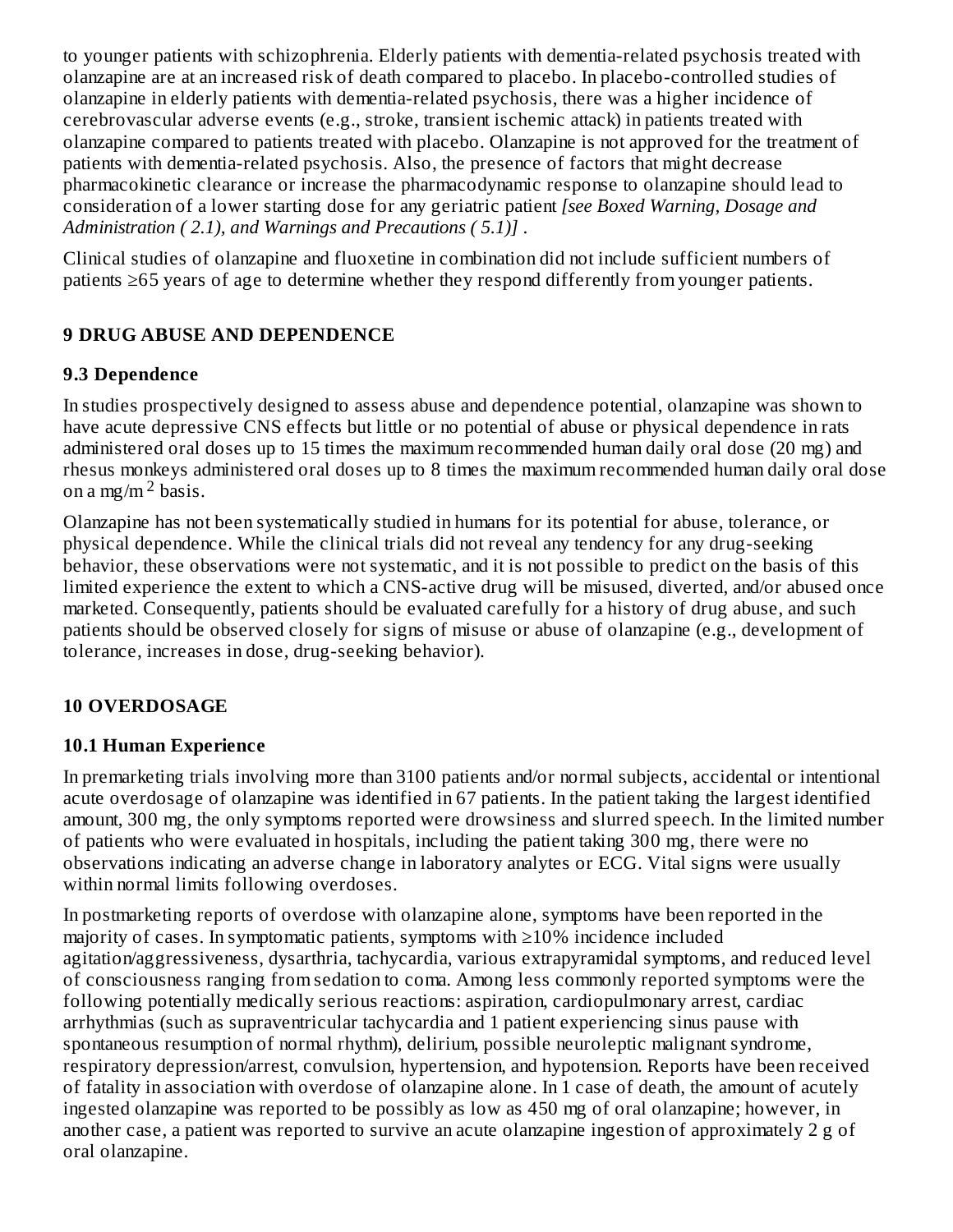to younger patients with schizophrenia. Elderly patients with dementia-related psychosis treated with olanzapine are at an increased risk of death compared to placebo. In placebo-controlled studies of olanzapine in elderly patients with dementia-related psychosis, there was a higher incidence of cerebrovascular adverse events (e.g., stroke, transient ischemic attack) in patients treated with olanzapine compared to patients treated with placebo. Olanzapine is not approved for the treatment of patients with dementia-related psychosis. Also, the presence of factors that might decrease pharmacokinetic clearance or increase the pharmacodynamic response to olanzapine should lead to consideration of a lower starting dose for any geriatric patient *[see Boxed Warning, Dosage and Administration ( 2.1), and Warnings and Precautions ( 5.1)]* .

Clinical studies of olanzapine and fluoxetine in combination did not include sufficient numbers of patients ≥65 years of age to determine whether they respond differently from younger patients.

# **9 DRUG ABUSE AND DEPENDENCE**

### **9.3 Dependence**

In studies prospectively designed to assess abuse and dependence potential, olanzapine was shown to have acute depressive CNS effects but little or no potential of abuse or physical dependence in rats administered oral doses up to 15 times the maximum recommended human daily oral dose (20 mg) and rhesus monkeys administered oral doses up to 8 times the maximum recommended human daily oral dose on a mg/m $^2$  basis.

Olanzapine has not been systematically studied in humans for its potential for abuse, tolerance, or physical dependence. While the clinical trials did not reveal any tendency for any drug-seeking behavior, these observations were not systematic, and it is not possible to predict on the basis of this limited experience the extent to which a CNS-active drug will be misused, diverted, and/or abused once marketed. Consequently, patients should be evaluated carefully for a history of drug abuse, and such patients should be observed closely for signs of misuse or abuse of olanzapine (e.g., development of tolerance, increases in dose, drug-seeking behavior).

### **10 OVERDOSAGE**

### **10.1 Human Experience**

In premarketing trials involving more than 3100 patients and/or normal subjects, accidental or intentional acute overdosage of olanzapine was identified in 67 patients. In the patient taking the largest identified amount, 300 mg, the only symptoms reported were drowsiness and slurred speech. In the limited number of patients who were evaluated in hospitals, including the patient taking 300 mg, there were no observations indicating an adverse change in laboratory analytes or ECG. Vital signs were usually within normal limits following overdoses.

In postmarketing reports of overdose with olanzapine alone, symptoms have been reported in the majority of cases. In symptomatic patients, symptoms with  $\geq 10\%$  incidence included agitation/aggressiveness, dysarthria, tachycardia, various extrapyramidal symptoms, and reduced level of consciousness ranging from sedation to coma. Among less commonly reported symptoms were the following potentially medically serious reactions: aspiration, cardiopulmonary arrest, cardiac arrhythmias (such as supraventricular tachycardia and 1 patient experiencing sinus pause with spontaneous resumption of normal rhythm), delirium, possible neuroleptic malignant syndrome, respiratory depression/arrest, convulsion, hypertension, and hypotension. Reports have been received of fatality in association with overdose of olanzapine alone. In 1 case of death, the amount of acutely ingested olanzapine was reported to be possibly as low as 450 mg of oral olanzapine; however, in another case, a patient was reported to survive an acute olanzapine ingestion of approximately 2 g of oral olanzapine.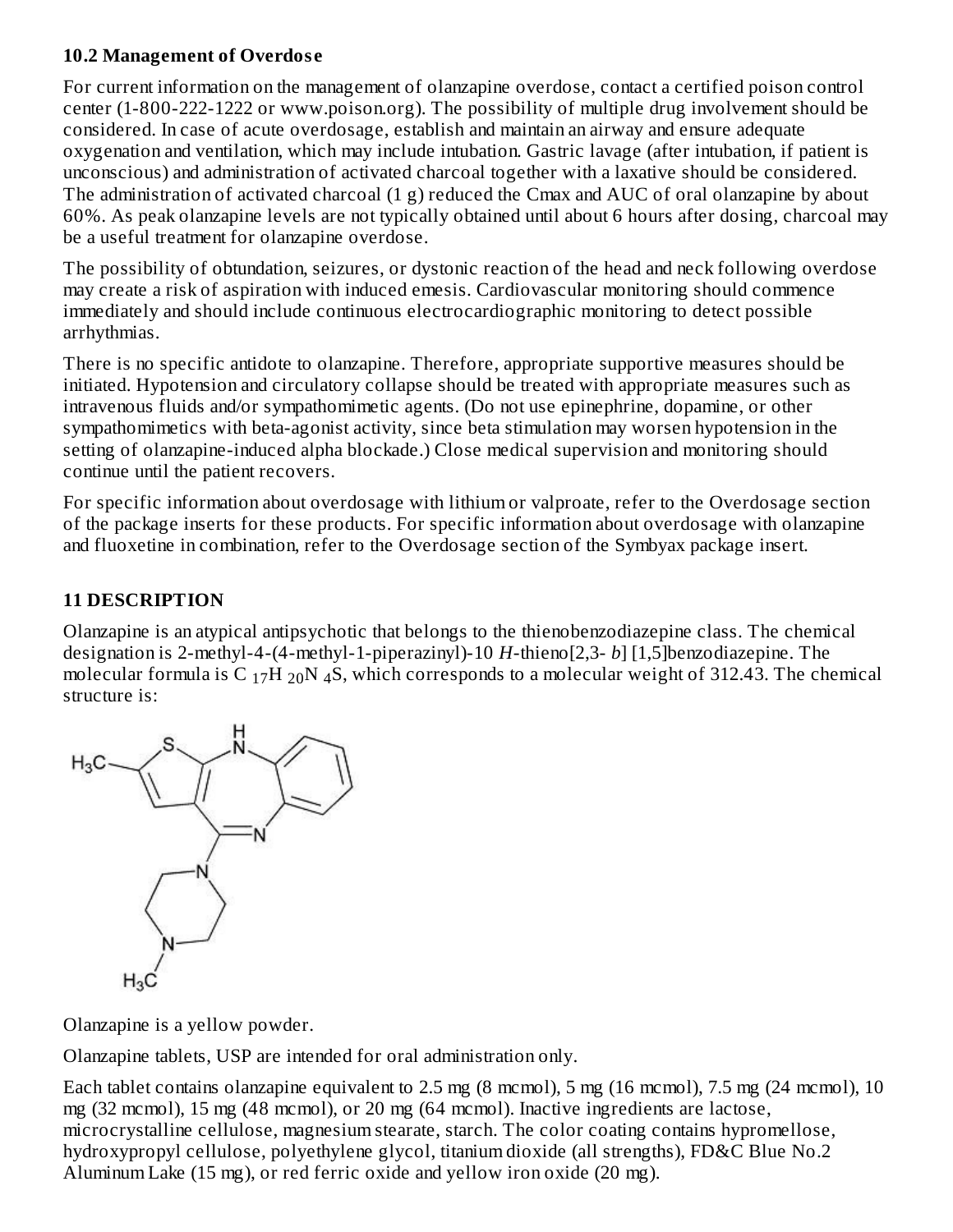### **10.2 Management of Overdos e**

For current information on the management of olanzapine overdose, contact a certified poison control center (1-800-222-1222 or www.poison.org). The possibility of multiple drug involvement should be considered. In case of acute overdosage, establish and maintain an airway and ensure adequate oxygenation and ventilation, which may include intubation. Gastric lavage (after intubation, if patient is unconscious) and administration of activated charcoal together with a laxative should be considered. The administration of activated charcoal (1 g) reduced the Cmax and AUC of oral olanzapine by about 60%. As peak olanzapine levels are not typically obtained until about 6 hours after dosing, charcoal may be a useful treatment for olanzapine overdose.

The possibility of obtundation, seizures, or dystonic reaction of the head and neck following overdose may create a risk of aspiration with induced emesis. Cardiovascular monitoring should commence immediately and should include continuous electrocardiographic monitoring to detect possible arrhythmias.

There is no specific antidote to olanzapine. Therefore, appropriate supportive measures should be initiated. Hypotension and circulatory collapse should be treated with appropriate measures such as intravenous fluids and/or sympathomimetic agents. (Do not use epinephrine, dopamine, or other sympathomimetics with beta-agonist activity, since beta stimulation may worsen hypotension in the setting of olanzapine-induced alpha blockade.) Close medical supervision and monitoring should continue until the patient recovers.

For specific information about overdosage with lithium or valproate, refer to the Overdosage section of the package inserts for these products. For specific information about overdosage with olanzapine and fluoxetine in combination, refer to the Overdosage section of the Symbyax package insert.

# **11 DESCRIPTION**

Olanzapine is an atypical antipsychotic that belongs to the thienobenzodiazepine class. The chemical designation is 2-methyl-4-(4-methyl-1-piperazinyl)-10 *H*-thieno[2,3- *b*] [1,5]benzodiazepine. The molecular formula is C  $_{17}$ H  $_{20}$ N  $_{4}$ S, which corresponds to a molecular weight of 312.43. The chemical structure is:



Olanzapine is a yellow powder.

Olanzapine tablets, USP are intended for oral administration only.

Each tablet contains olanzapine equivalent to 2.5 mg (8 mcmol), 5 mg (16 mcmol), 7.5 mg (24 mcmol), 10 mg (32 mcmol), 15 mg (48 mcmol), or 20 mg (64 mcmol). Inactive ingredients are lactose, microcrystalline cellulose, magnesium stearate, starch. The color coating contains hypromellose, hydroxypropyl cellulose, polyethylene glycol, titanium dioxide (all strengths), FD&C Blue No.2 Aluminum Lake (15 mg), or red ferric oxide and yellow iron oxide (20 mg).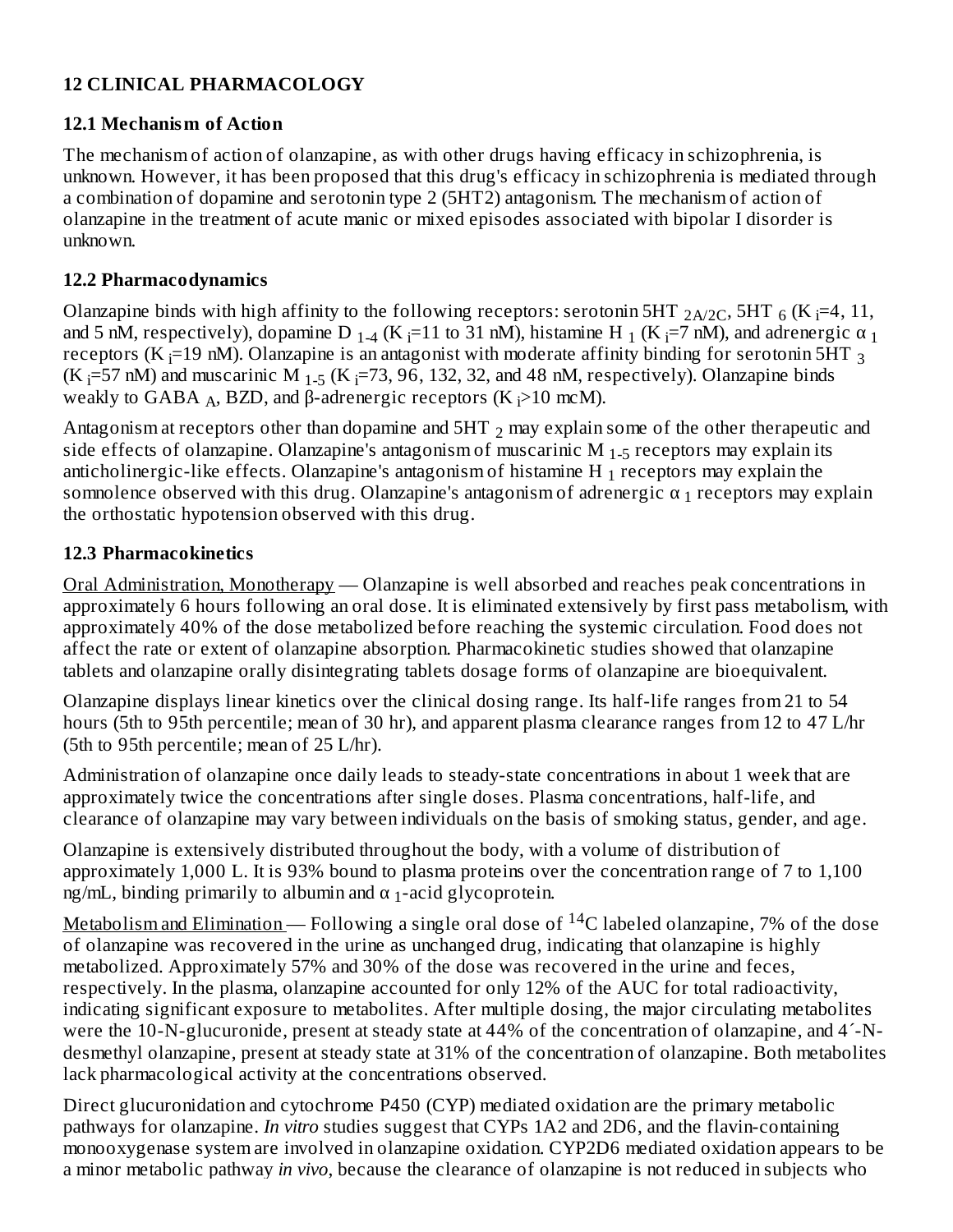# **12 CLINICAL PHARMACOLOGY**

# **12.1 Mechanism of Action**

The mechanism of action of olanzapine, as with other drugs having efficacy in schizophrenia, is unknown. However, it has been proposed that this drug's efficacy in schizophrenia is mediated through a combination of dopamine and serotonin type 2 (5HT2) antagonism. The mechanism of action of olanzapine in the treatment of acute manic or mixed episodes associated with bipolar I disorder is unknown.

# **12.2 Pharmacodynamics**

Olanzapine binds with high affinity to the following receptors: serotonin 5HT  $_{2A/2C}$ , 5HT  $_6$  (K  $_1$ =4, 11, and 5 nM, respectively), dopamine D  $_{1\text{-}4}$  (K  $_{\rm}$ =11 to 31 nM), histamine H  $_{\rm 1}$  (K  $_{\rm}$ =7 nM), and adrenergic  $\alpha$   $_{\rm 1}$ receptors (K  $\rm _i$ =19 nM). Olanzapine is an antagonist with moderate affinity binding for serotonin 5HT  $\rm _3$ (K<sub>i</sub>=57 nM) and muscarinic M<sub>1-5</sub> (K<sub>i</sub>=73, 96, 132, 32, and 48 nM, respectively). Olanzapine binds weakly to GABA <sub>A</sub>, BZD, and β-adrenergic receptors (K<sub>i</sub>>10 mcM).

Antagonism at receptors other than dopamine and  $5HT_2$  may explain some of the other therapeutic and side effects of olanzapine. Olanzapine's antagonism of muscarinic M  $_{1\text{-}5}$  receptors may explain its anticholinergic-like effects. Olanzapine's antagonism of histamine H  $_1$  receptors may explain the somnolence observed with this drug. Olanzapine's antagonism of adrenergic  $\alpha_1$  receptors may explain the orthostatic hypotension observed with this drug.

# **12.3 Pharmacokinetics**

Oral Administration, Monotherapy — Olanzapine is well absorbed and reaches peak concentrations in approximately 6 hours following an oral dose. It is eliminated extensively by first pass metabolism, with approximately 40% of the dose metabolized before reaching the systemic circulation. Food does not affect the rate or extent of olanzapine absorption. Pharmacokinetic studies showed that olanzapine tablets and olanzapine orally disintegrating tablets dosage forms of olanzapine are bioequivalent.

Olanzapine displays linear kinetics over the clinical dosing range. Its half-life ranges from 21 to 54 hours (5th to 95th percentile; mean of 30 hr), and apparent plasma clearance ranges from 12 to 47 L/hr (5th to 95th percentile; mean of 25 L/hr).

Administration of olanzapine once daily leads to steady-state concentrations in about 1 week that are approximately twice the concentrations after single doses. Plasma concentrations, half-life, and clearance of olanzapine may vary between individuals on the basis of smoking status, gender, and age.

Olanzapine is extensively distributed throughout the body, with a volume of distribution of approximately 1,000 L. It is 93% bound to plasma proteins over the concentration range of 7 to 1,100 ng/mL, binding primarily to albumin and  $\alpha_1$ -acid glycoprotein.

<u>Metabolism and Elimination —</u> Following a single oral dose of  $^{14}$ C labeled olanzapine, 7% of the dose of olanzapine was recovered in the urine as unchanged drug, indicating that olanzapine is highly metabolized. Approximately 57% and 30% of the dose was recovered in the urine and feces, respectively. In the plasma, olanzapine accounted for only 12% of the AUC for total radioactivity, indicating significant exposure to metabolites. After multiple dosing, the major circulating metabolites were the 10-N-glucuronide, present at steady state at 44% of the concentration of olanzapine, and 4´-Ndesmethyl olanzapine, present at steady state at 31% of the concentration of olanzapine. Both metabolites lack pharmacological activity at the concentrations observed.

Direct glucuronidation and cytochrome P450 (CYP) mediated oxidation are the primary metabolic pathways for olanzapine. *In vitro* studies suggest that CYPs 1A2 and 2D6, and the flavin-containing monooxygenase system are involved in olanzapine oxidation. CYP2D6 mediated oxidation appears to be a minor metabolic pathway *in vivo*, because the clearance of olanzapine is not reduced in subjects who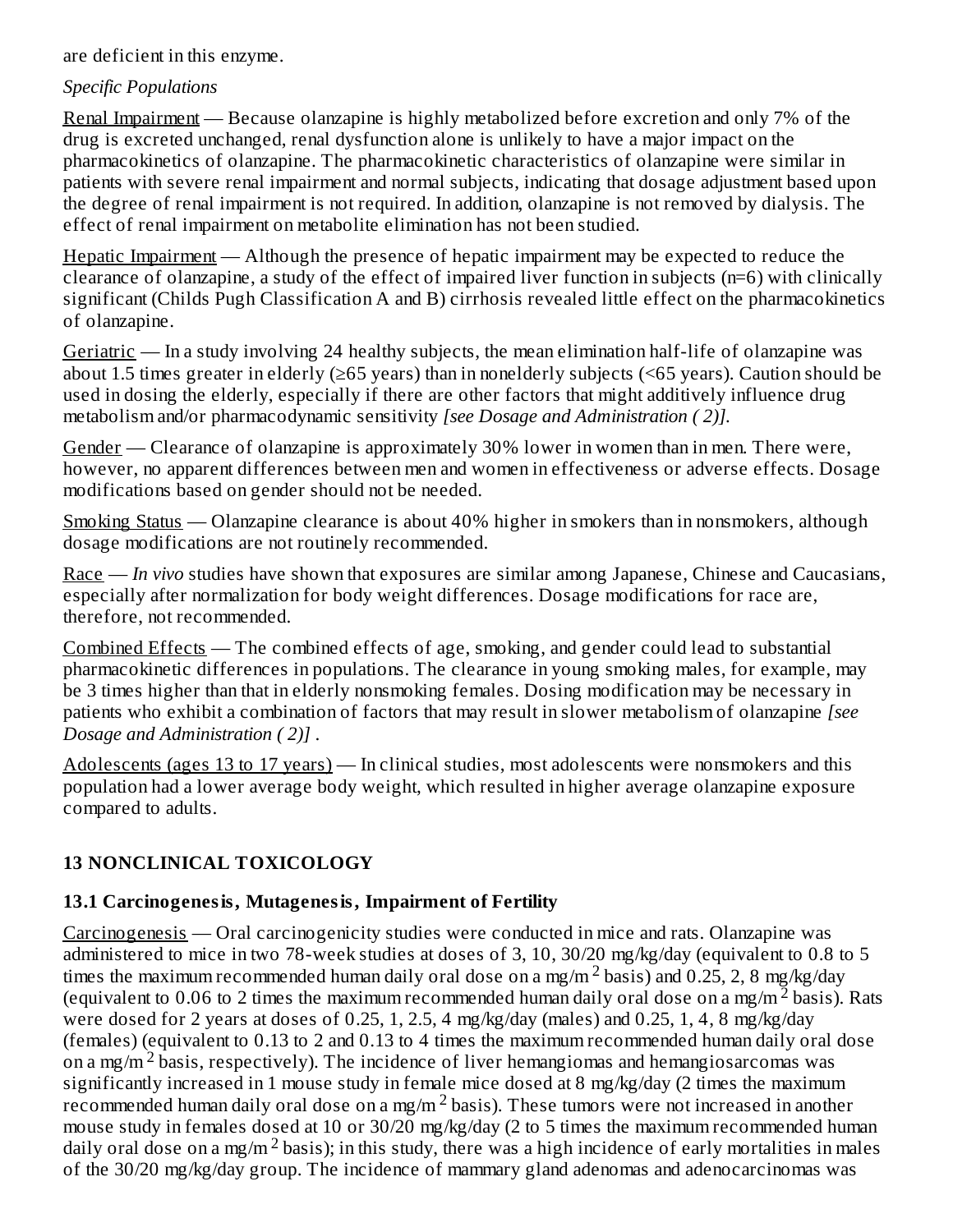are deficient in this enzyme.

#### *Specific Populations*

Renal Impairment — Because olanzapine is highly metabolized before excretion and only 7% of the drug is excreted unchanged, renal dysfunction alone is unlikely to have a major impact on the pharmacokinetics of olanzapine. The pharmacokinetic characteristics of olanzapine were similar in patients with severe renal impairment and normal subjects, indicating that dosage adjustment based upon the degree of renal impairment is not required. In addition, olanzapine is not removed by dialysis. The effect of renal impairment on metabolite elimination has not been studied.

Hepatic Impairment — Although the presence of hepatic impairment may be expected to reduce the clearance of olanzapine, a study of the effect of impaired liver function in subjects (n=6) with clinically significant (Childs Pugh Classification A and B) cirrhosis revealed little effect on the pharmacokinetics of olanzapine.

Geriatric — In a study involving 24 healthy subjects, the mean elimination half-life of olanzapine was about 1.5 times greater in elderly (≥65 years) than in nonelderly subjects (<65 years). Caution should be used in dosing the elderly, especially if there are other factors that might additively influence drug metabolism and/or pharmacodynamic sensitivity *[see Dosage and Administration ( 2)].*

Gender — Clearance of olanzapine is approximately 30% lower in women than in men. There were, however, no apparent differences between men and women in effectiveness or adverse effects. Dosage modifications based on gender should not be needed.

Smoking Status — Olanzapine clearance is about 40% higher in smokers than in nonsmokers, although dosage modifications are not routinely recommended.

Race — *In vivo* studies have shown that exposures are similar among Japanese, Chinese and Caucasians, especially after normalization for body weight differences. Dosage modifications for race are, therefore, not recommended.

Combined Effects — The combined effects of age, smoking, and gender could lead to substantial pharmacokinetic differences in populations. The clearance in young smoking males, for example, may be 3 times higher than that in elderly nonsmoking females. Dosing modification may be necessary in patients who exhibit a combination of factors that may result in slower metabolism of olanzapine *[see Dosage and Administration ( 2)]* .

Adolescents (ages 13 to 17 years) — In clinical studies, most adolescents were nonsmokers and this population had a lower average body weight, which resulted in higher average olanzapine exposure compared to adults.

# **13 NONCLINICAL TOXICOLOGY**

# **13.1 Carcinogenesis, Mutagenesis, Impairment of Fertility**

Carcinogenesis — Oral carcinogenicity studies were conducted in mice and rats. Olanzapine was administered to mice in two 78-week studies at doses of 3, 10, 30/20 mg/kg/day (equivalent to 0.8 to 5 times the maximum recommended human daily oral dose on a mg/m<sup>2</sup> basis) and 0.25, 2, 8 mg/kg/day (equivalent to 0.06 to 2 times the maximum recommended human daily oral dose on a mg/m<sup>2</sup> basis). Rats were dosed for 2 years at doses of 0.25, 1, 2.5, 4 mg/kg/day (males) and 0.25, 1, 4, 8 mg/kg/day (females) (equivalent to 0.13 to 2 and 0.13 to 4 times the maximum recommended human daily oral dose on a mg/m<sup>2</sup> basis, respectively). The incidence of liver hemangiomas and hemangiosarcomas was significantly increased in 1 mouse study in female mice dosed at 8 mg/kg/day (2 times the maximum recommended human daily oral dose on a mg/m  $2$  basis). These tumors were not increased in another mouse study in females dosed at 10 or 30/20 mg/kg/day (2 to 5 times the maximum recommended human daily oral dose on a mg/m  $^2$  basis); in this study, there was a high incidence of early mortalities in males of the 30/20 mg/kg/day group. The incidence of mammary gland adenomas and adenocarcinomas was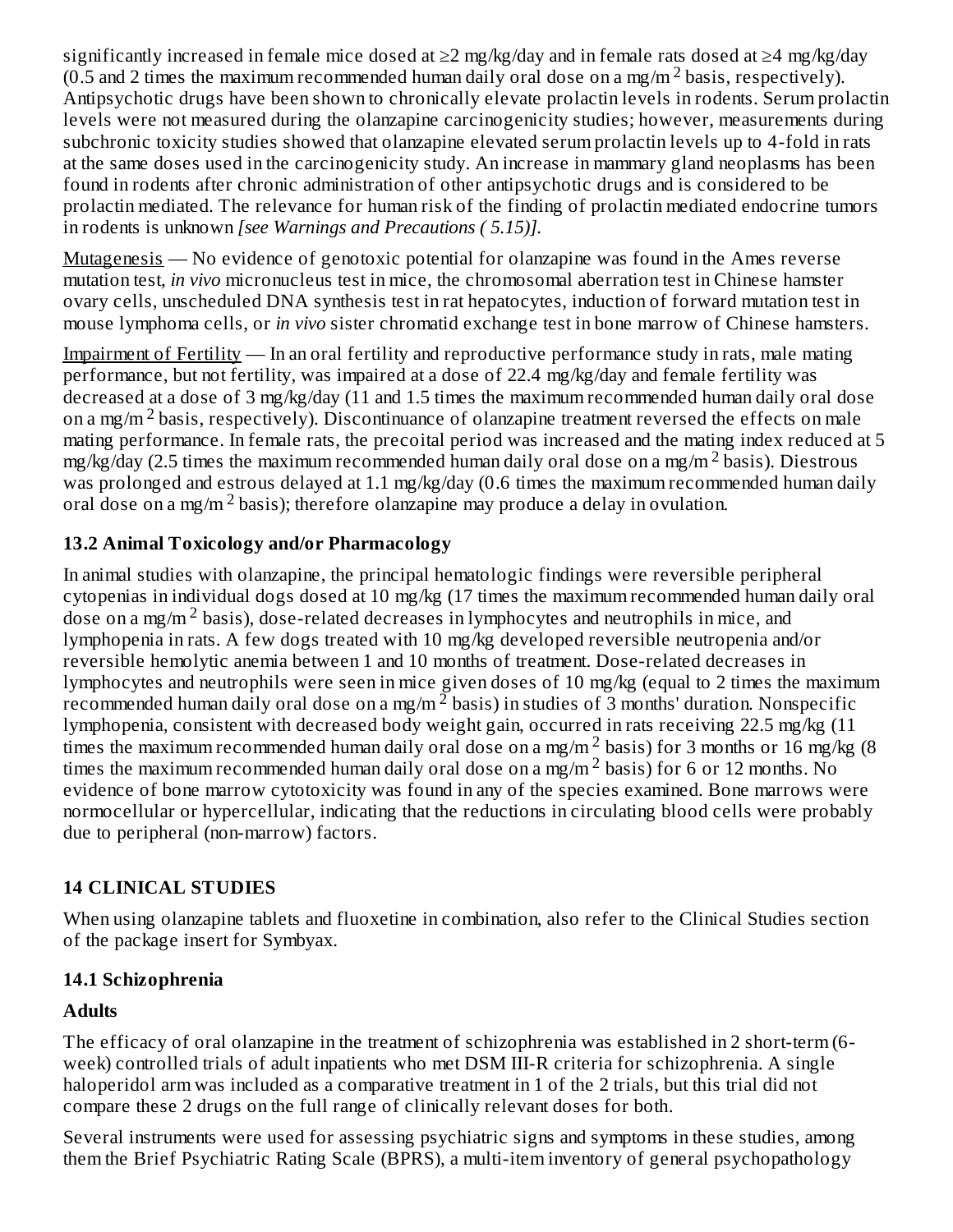significantly increased in female mice dosed at ≥2 mg/kg/day and in female rats dosed at ≥4 mg/kg/day (0.5 and 2 times the maximum recommended human daily oral dose on a mg/m<sup>2</sup> basis, respectively). Antipsychotic drugs have been shown to chronically elevate prolactin levels in rodents. Serum prolactin levels were not measured during the olanzapine carcinogenicity studies; however, measurements during subchronic toxicity studies showed that olanzapine elevated serum prolactin levels up to 4-fold in rats at the same doses used in the carcinogenicity study. An increase in mammary gland neoplasms has been found in rodents after chronic administration of other antipsychotic drugs and is considered to be prolactin mediated. The relevance for human risk of the finding of prolactin mediated endocrine tumors in rodents is unknown *[see Warnings and Precautions ( 5.15)].*

Mutagenesis — No evidence of genotoxic potential for olanzapine was found in the Ames reverse mutation test, *in vivo* micronucleus test in mice, the chromosomal aberration test in Chinese hamster ovary cells, unscheduled DNA synthesis test in rat hepatocytes, induction of forward mutation test in mouse lymphoma cells, or *in vivo* sister chromatid exchange test in bone marrow of Chinese hamsters.

Impairment of Fertility — In an oral fertility and reproductive performance study in rats, male mating performance, but not fertility, was impaired at a dose of 22.4 mg/kg/day and female fertility was decreased at a dose of 3 mg/kg/day (11 and 1.5 times the maximum recommended human daily oral dose on a mg/m  $2$  basis, respectively). Discontinuance of olanzapine treatment reversed the effects on male mating performance. In female rats, the precoital period was increased and the mating index reduced at 5 mg/kg/day (2.5 times the maximum recommended human daily oral dose on a mg/m  $^2$  basis). Diestrous was prolonged and estrous delayed at 1.1 mg/kg/day (0.6 times the maximum recommended human daily oral dose on a mg/m<sup>2</sup> basis); therefore olanzapine may produce a delay in ovulation.

# **13.2 Animal Toxicology and/or Pharmacology**

In animal studies with olanzapine, the principal hematologic findings were reversible peripheral cytopenias in individual dogs dosed at 10 mg/kg (17 times the maximum recommended human daily oral dose on a mg/m<sup>2</sup> basis), dose-related decreases in lymphocytes and neutrophils in mice, and lymphopenia in rats. A few dogs treated with 10 mg/kg developed reversible neutropenia and/or reversible hemolytic anemia between 1 and 10 months of treatment. Dose-related decreases in lymphocytes and neutrophils were seen in mice given doses of 10 mg/kg (equal to 2 times the maximum recommended human daily oral dose on a mg/m<sup>2</sup> basis) in studies of 3 months' duration. Nonspecific lymphopenia, consistent with decreased body weight gain, occurred in rats receiving 22.5 mg/kg (11 times the maximum recommended human daily oral dose on a mg/m<sup>2</sup> basis) for 3 months or 16 mg/kg (8 times the maximum recommended human daily oral dose on a mg/m<sup>2</sup> basis) for 6 or 12 months. No evidence of bone marrow cytotoxicity was found in any of the species examined. Bone marrows were normocellular or hypercellular, indicating that the reductions in circulating blood cells were probably due to peripheral (non-marrow) factors.

### **14 CLINICAL STUDIES**

When using olanzapine tablets and fluoxetine in combination, also refer to the Clinical Studies section of the package insert for Symbyax.

# **14.1 Schizophrenia**

# **Adults**

The efficacy of oral olanzapine in the treatment of schizophrenia was established in 2 short-term (6 week) controlled trials of adult inpatients who met DSM III-R criteria for schizophrenia. A single haloperidol arm was included as a comparative treatment in 1 of the 2 trials, but this trial did not compare these 2 drugs on the full range of clinically relevant doses for both.

Several instruments were used for assessing psychiatric signs and symptoms in these studies, among them the Brief Psychiatric Rating Scale (BPRS), a multi-item inventory of general psychopathology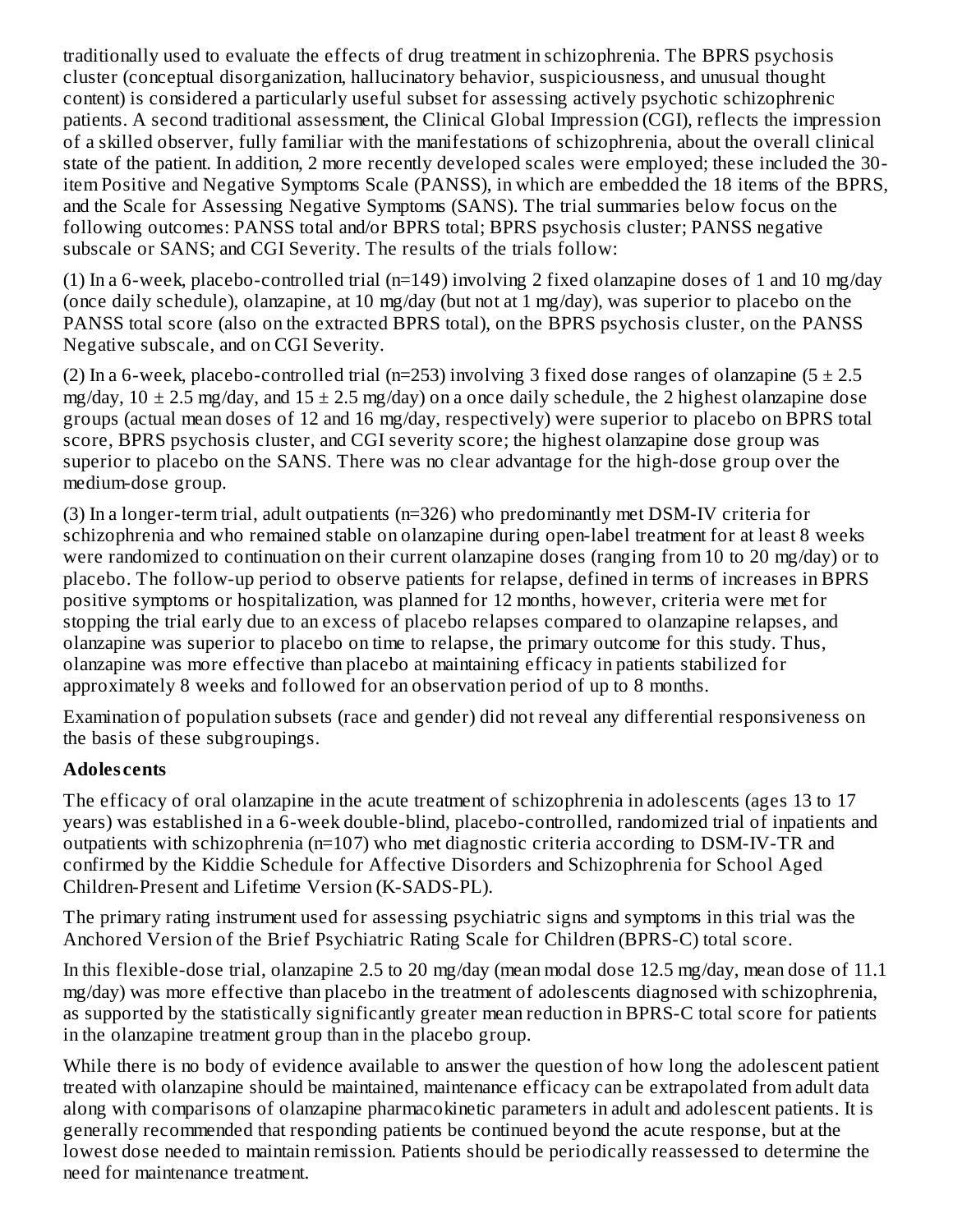traditionally used to evaluate the effects of drug treatment in schizophrenia. The BPRS psychosis cluster (conceptual disorganization, hallucinatory behavior, suspiciousness, and unusual thought content) is considered a particularly useful subset for assessing actively psychotic schizophrenic patients. A second traditional assessment, the Clinical Global Impression (CGI), reflects the impression of a skilled observer, fully familiar with the manifestations of schizophrenia, about the overall clinical state of the patient. In addition, 2 more recently developed scales were employed; these included the 30 item Positive and Negative Symptoms Scale (PANSS), in which are embedded the 18 items of the BPRS, and the Scale for Assessing Negative Symptoms (SANS). The trial summaries below focus on the following outcomes: PANSS total and/or BPRS total; BPRS psychosis cluster; PANSS negative subscale or SANS; and CGI Severity. The results of the trials follow:

(1) In a 6-week, placebo-controlled trial (n=149) involving 2 fixed olanzapine doses of 1 and 10 mg/day (once daily schedule), olanzapine, at 10 mg/day (but not at 1 mg/day), was superior to placebo on the PANSS total score (also on the extracted BPRS total), on the BPRS psychosis cluster, on the PANSS Negative subscale, and on CGI Severity.

(2) In a 6-week, placebo-controlled trial (n=253) involving 3 fixed dose ranges of olanzapine (5  $\pm$  2.5 mg/day,  $10 \pm 2.5$  mg/day, and  $15 \pm 2.5$  mg/day) on a once daily schedule, the 2 highest olanzapine dose groups (actual mean doses of 12 and 16 mg/day, respectively) were superior to placebo on BPRS total score, BPRS psychosis cluster, and CGI severity score; the highest olanzapine dose group was superior to placebo on the SANS. There was no clear advantage for the high-dose group over the medium-dose group.

(3) In a longer-term trial, adult outpatients (n=326) who predominantly met DSM-IV criteria for schizophrenia and who remained stable on olanzapine during open-label treatment for at least 8 weeks were randomized to continuation on their current olanzapine doses (ranging from 10 to 20 mg/day) or to placebo. The follow-up period to observe patients for relapse, defined in terms of increases in BPRS positive symptoms or hospitalization, was planned for 12 months, however, criteria were met for stopping the trial early due to an excess of placebo relapses compared to olanzapine relapses, and olanzapine was superior to placebo on time to relapse, the primary outcome for this study. Thus, olanzapine was more effective than placebo at maintaining efficacy in patients stabilized for approximately 8 weeks and followed for an observation period of up to 8 months.

Examination of population subsets (race and gender) did not reveal any differential responsiveness on the basis of these subgroupings.

### **Adoles cents**

The efficacy of oral olanzapine in the acute treatment of schizophrenia in adolescents (ages 13 to 17 years) was established in a 6-week double-blind, placebo-controlled, randomized trial of inpatients and outpatients with schizophrenia (n=107) who met diagnostic criteria according to DSM-IV-TR and confirmed by the Kiddie Schedule for Affective Disorders and Schizophrenia for School Aged Children-Present and Lifetime Version (K-SADS-PL).

The primary rating instrument used for assessing psychiatric signs and symptoms in this trial was the Anchored Version of the Brief Psychiatric Rating Scale for Children (BPRS-C) total score.

In this flexible-dose trial, olanzapine 2.5 to 20 mg/day (mean modal dose 12.5 mg/day, mean dose of 11.1 mg/day) was more effective than placebo in the treatment of adolescents diagnosed with schizophrenia, as supported by the statistically significantly greater mean reduction in BPRS-C total score for patients in the olanzapine treatment group than in the placebo group.

While there is no body of evidence available to answer the question of how long the adolescent patient treated with olanzapine should be maintained, maintenance efficacy can be extrapolated from adult data along with comparisons of olanzapine pharmacokinetic parameters in adult and adolescent patients. It is generally recommended that responding patients be continued beyond the acute response, but at the lowest dose needed to maintain remission. Patients should be periodically reassessed to determine the need for maintenance treatment.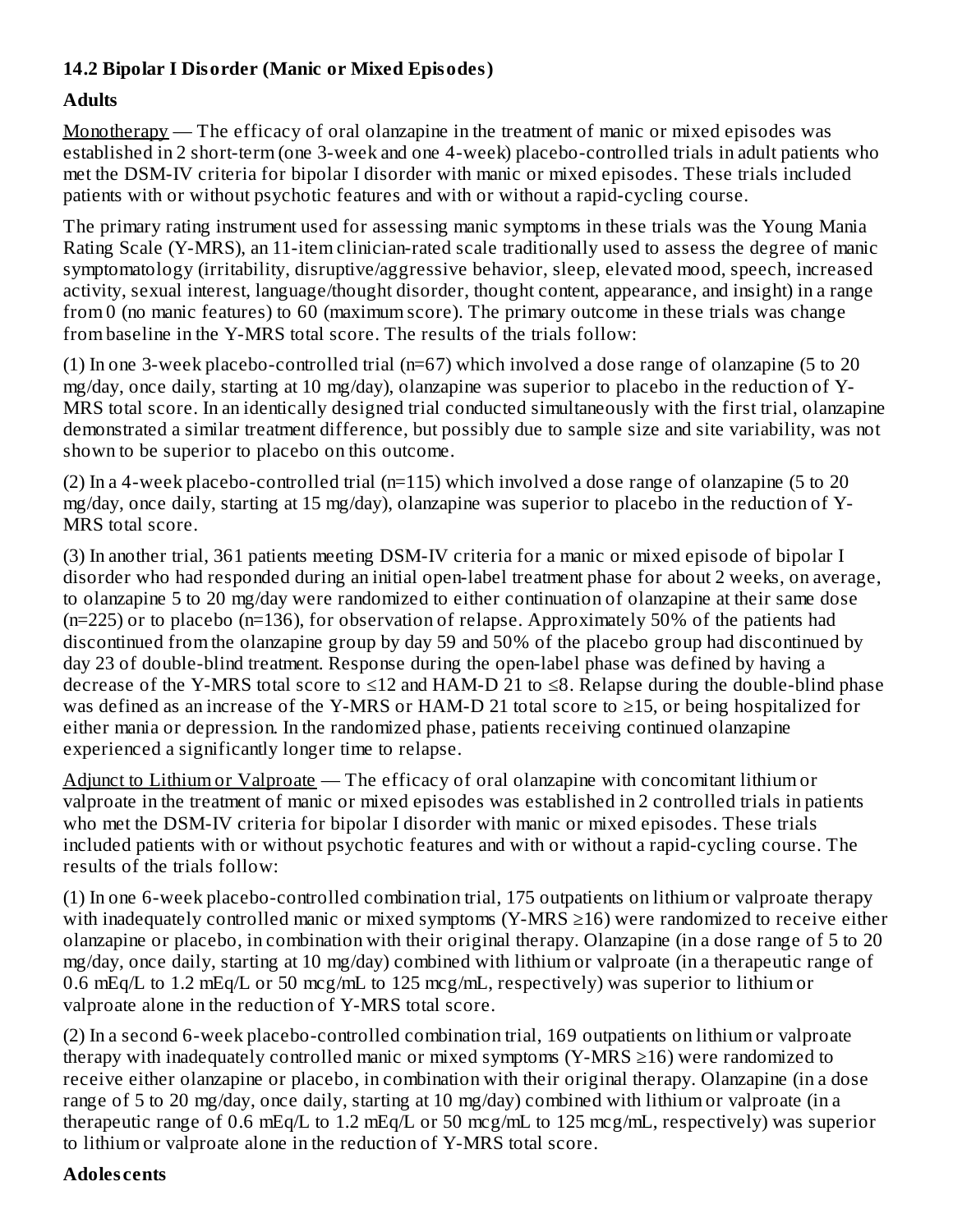# **14.2 Bipolar I Disorder (Manic or Mixed Episodes)**

### **Adults**

Monotherapy — The efficacy of oral olanzapine in the treatment of manic or mixed episodes was established in 2 short-term (one 3-week and one 4-week) placebo-controlled trials in adult patients who met the DSM-IV criteria for bipolar I disorder with manic or mixed episodes. These trials included patients with or without psychotic features and with or without a rapid-cycling course.

The primary rating instrument used for assessing manic symptoms in these trials was the Young Mania Rating Scale (Y-MRS), an 11-item clinician-rated scale traditionally used to assess the degree of manic symptomatology (irritability, disruptive/aggressive behavior, sleep, elevated mood, speech, increased activity, sexual interest, language/thought disorder, thought content, appearance, and insight) in a range from 0 (no manic features) to 60 (maximum score). The primary outcome in these trials was change from baseline in the Y-MRS total score. The results of the trials follow:

(1) In one 3-week placebo-controlled trial (n=67) which involved a dose range of olanzapine (5 to 20 mg/day, once daily, starting at 10 mg/day), olanzapine was superior to placebo in the reduction of Y-MRS total score. In an identically designed trial conducted simultaneously with the first trial, olanzapine demonstrated a similar treatment difference, but possibly due to sample size and site variability, was not shown to be superior to placebo on this outcome.

(2) In a 4-week placebo-controlled trial (n=115) which involved a dose range of olanzapine (5 to 20 mg/day, once daily, starting at 15 mg/day), olanzapine was superior to placebo in the reduction of Y-MRS total score.

(3) In another trial, 361 patients meeting DSM-IV criteria for a manic or mixed episode of bipolar I disorder who had responded during an initial open-label treatment phase for about 2 weeks, on average, to olanzapine 5 to 20 mg/day were randomized to either continuation of olanzapine at their same dose (n=225) or to placebo (n=136), for observation of relapse. Approximately 50% of the patients had discontinued from the olanzapine group by day 59 and 50% of the placebo group had discontinued by day 23 of double-blind treatment. Response during the open-label phase was defined by having a decrease of the Y-MRS total score to ≤12 and HAM-D 21 to ≤8. Relapse during the double-blind phase was defined as an increase of the Y-MRS or HAM-D 21 total score to ≥15, or being hospitalized for either mania or depression. In the randomized phase, patients receiving continued olanzapine experienced a significantly longer time to relapse.

Adjunct to Lithium or Valproate — The efficacy of oral olanzapine with concomitant lithium or valproate in the treatment of manic or mixed episodes was established in 2 controlled trials in patients who met the DSM-IV criteria for bipolar I disorder with manic or mixed episodes. These trials included patients with or without psychotic features and with or without a rapid-cycling course. The results of the trials follow:

(1) In one 6-week placebo-controlled combination trial, 175 outpatients on lithium or valproate therapy with inadequately controlled manic or mixed symptoms (Y-MRS  $\geq$ 16) were randomized to receive either olanzapine or placebo, in combination with their original therapy. Olanzapine (in a dose range of 5 to 20 mg/day, once daily, starting at 10 mg/day) combined with lithium or valproate (in a therapeutic range of 0.6 mEq/L to 1.2 mEq/L or 50 mcg/mL to 125 mcg/mL, respectively) was superior to lithium or valproate alone in the reduction of Y-MRS total score.

(2) In a second 6-week placebo-controlled combination trial, 169 outpatients on lithium or valproate therapy with inadequately controlled manic or mixed symptoms (Y-MRS  $\geq$ 16) were randomized to receive either olanzapine or placebo, in combination with their original therapy. Olanzapine (in a dose range of 5 to 20 mg/day, once daily, starting at 10 mg/day) combined with lithium or valproate (in a therapeutic range of 0.6 mEq/L to 1.2 mEq/L or 50 mcg/mL to 125 mcg/mL, respectively) was superior to lithium or valproate alone in the reduction of Y-MRS total score.

### **Adoles cents**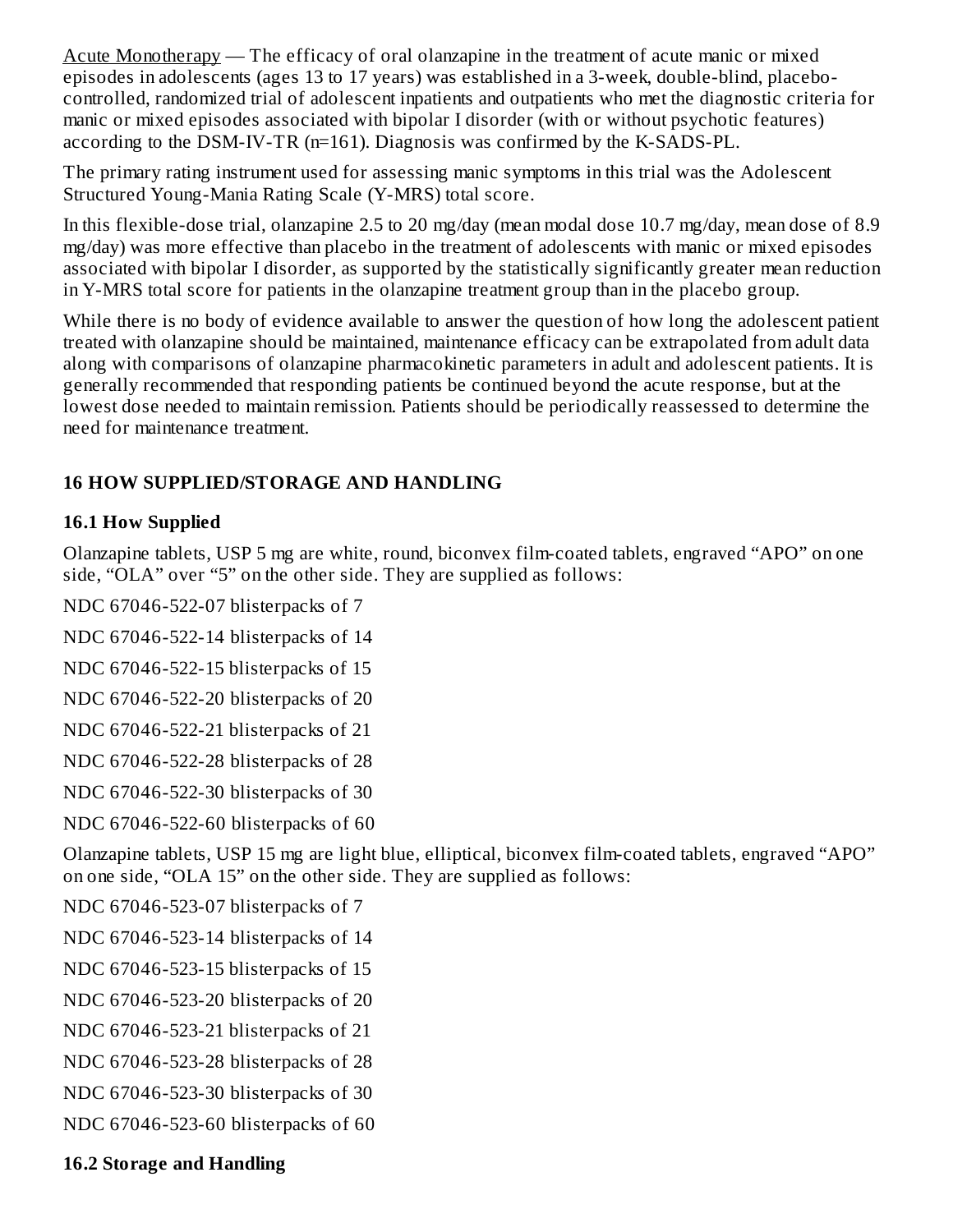Acute Monotherapy — The efficacy of oral olanzapine in the treatment of acute manic or mixed episodes in adolescents (ages 13 to 17 years) was established in a 3-week, double-blind, placebocontrolled, randomized trial of adolescent inpatients and outpatients who met the diagnostic criteria for manic or mixed episodes associated with bipolar I disorder (with or without psychotic features) according to the DSM-IV-TR (n=161). Diagnosis was confirmed by the K-SADS-PL.

The primary rating instrument used for assessing manic symptoms in this trial was the Adolescent Structured Young-Mania Rating Scale (Y-MRS) total score.

In this flexible-dose trial, olanzapine 2.5 to 20 mg/day (mean modal dose 10.7 mg/day, mean dose of 8.9 mg/day) was more effective than placebo in the treatment of adolescents with manic or mixed episodes associated with bipolar I disorder, as supported by the statistically significantly greater mean reduction in Y-MRS total score for patients in the olanzapine treatment group than in the placebo group.

While there is no body of evidence available to answer the question of how long the adolescent patient treated with olanzapine should be maintained, maintenance efficacy can be extrapolated from adult data along with comparisons of olanzapine pharmacokinetic parameters in adult and adolescent patients. It is generally recommended that responding patients be continued beyond the acute response, but at the lowest dose needed to maintain remission. Patients should be periodically reassessed to determine the need for maintenance treatment.

# **16 HOW SUPPLIED/STORAGE AND HANDLING**

# **16.1 How Supplied**

Olanzapine tablets, USP 5 mg are white, round, biconvex film-coated tablets, engraved "APO" on one side, "OLA" over "5" on the other side. They are supplied as follows:

NDC 67046-522-07 blisterpacks of 7

NDC 67046-522-14 blisterpacks of 14

NDC 67046-522-15 blisterpacks of 15

NDC 67046-522-20 blisterpacks of 20

NDC 67046-522-21 blisterpacks of 21

NDC 67046-522-28 blisterpacks of 28

NDC 67046-522-30 blisterpacks of 30

NDC 67046-522-60 blisterpacks of 60

Olanzapine tablets, USP 15 mg are light blue, elliptical, biconvex film-coated tablets, engraved "APO" on one side, "OLA 15" on the other side. They are supplied as follows:

NDC 67046-523-07 blisterpacks of 7

NDC 67046-523-14 blisterpacks of 14

NDC 67046-523-15 blisterpacks of 15

NDC 67046-523-20 blisterpacks of 20

NDC 67046-523-21 blisterpacks of 21

NDC 67046-523-28 blisterpacks of 28

NDC 67046-523-30 blisterpacks of 30

NDC 67046-523-60 blisterpacks of 60

# **16.2 Storage and Handling**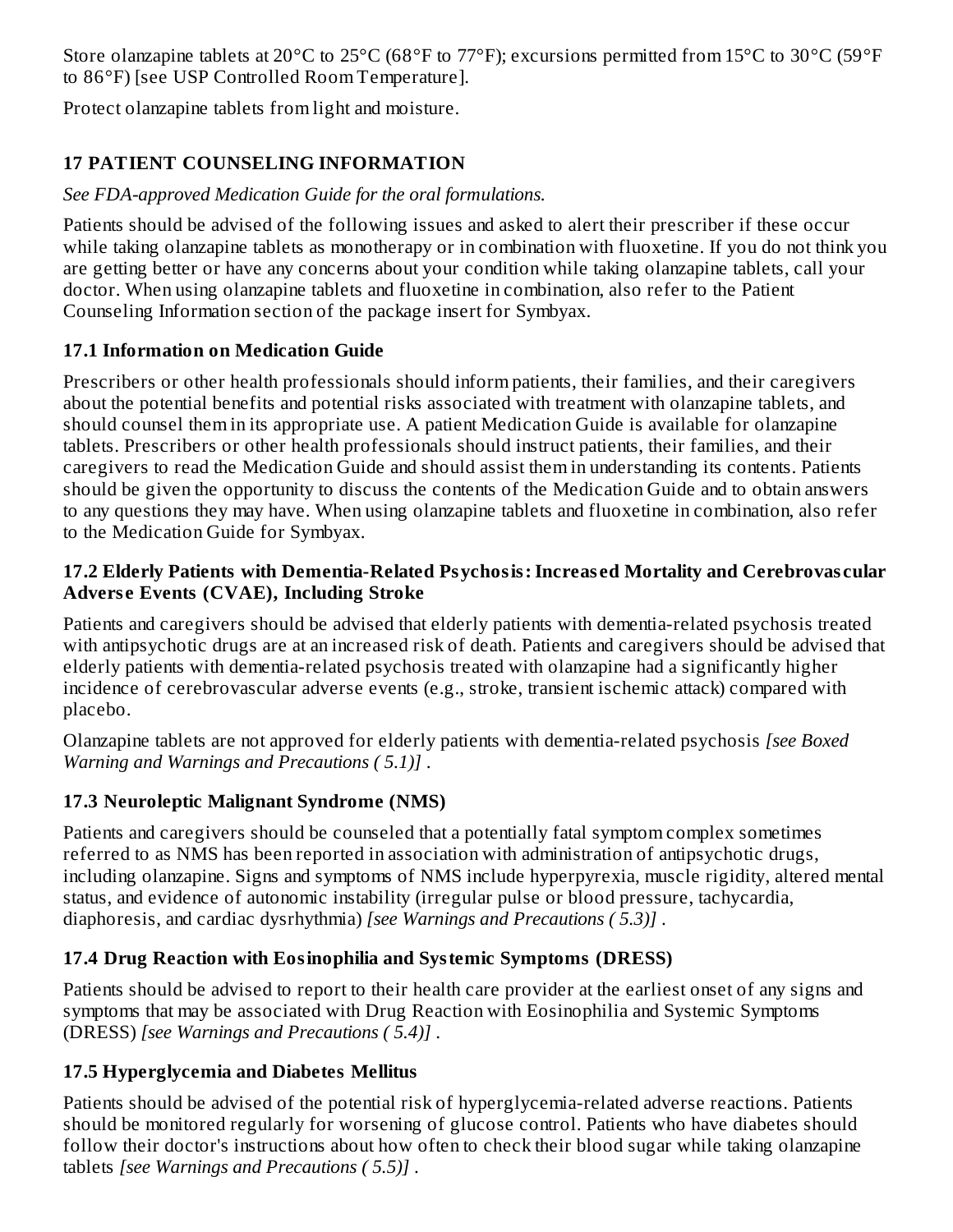Store olanzapine tablets at 20°C to 25°C (68°F to 77°F); excursions permitted from 15°C to 30°C (59°F to 86°F) [see USP Controlled Room Temperature].

Protect olanzapine tablets from light and moisture.

# **17 PATIENT COUNSELING INFORMATION**

# *See FDA-approved Medication Guide for the oral formulations.*

Patients should be advised of the following issues and asked to alert their prescriber if these occur while taking olanzapine tablets as monotherapy or in combination with fluoxetine. If you do not think you are getting better or have any concerns about your condition while taking olanzapine tablets, call your doctor. When using olanzapine tablets and fluoxetine in combination, also refer to the Patient Counseling Information section of the package insert for Symbyax.

# **17.1 Information on Medication Guide**

Prescribers or other health professionals should inform patients, their families, and their caregivers about the potential benefits and potential risks associated with treatment with olanzapine tablets, and should counsel them in its appropriate use. A patient Medication Guide is available for olanzapine tablets. Prescribers or other health professionals should instruct patients, their families, and their caregivers to read the Medication Guide and should assist them in understanding its contents. Patients should be given the opportunity to discuss the contents of the Medication Guide and to obtain answers to any questions they may have. When using olanzapine tablets and fluoxetine in combination, also refer to the Medication Guide for Symbyax.

# **17.2 Elderly Patients with Dementia-Related Psychosis:Increas ed Mortality and Cerebrovas cular Advers e Events (CVAE), Including Stroke**

Patients and caregivers should be advised that elderly patients with dementia-related psychosis treated with antipsychotic drugs are at an increased risk of death. Patients and caregivers should be advised that elderly patients with dementia-related psychosis treated with olanzapine had a significantly higher incidence of cerebrovascular adverse events (e.g., stroke, transient ischemic attack) compared with placebo.

Olanzapine tablets are not approved for elderly patients with dementia-related psychosis *[see Boxed Warning and Warnings and Precautions ( 5.1)]* .

# **17.3 Neuroleptic Malignant Syndrome (NMS)**

Patients and caregivers should be counseled that a potentially fatal symptom complex sometimes referred to as NMS has been reported in association with administration of antipsychotic drugs, including olanzapine. Signs and symptoms of NMS include hyperpyrexia, muscle rigidity, altered mental status, and evidence of autonomic instability (irregular pulse or blood pressure, tachycardia, diaphoresis, and cardiac dysrhythmia) *[see Warnings and Precautions ( 5.3)]* .

# **17.4 Drug Reaction with Eosinophilia and Systemic Symptoms (DRESS)**

Patients should be advised to report to their health care provider at the earliest onset of any signs and symptoms that may be associated with Drug Reaction with Eosinophilia and Systemic Symptoms (DRESS) *[see Warnings and Precautions ( 5.4)]* .

# **17.5 Hyperglycemia and Diabetes Mellitus**

Patients should be advised of the potential risk of hyperglycemia-related adverse reactions. Patients should be monitored regularly for worsening of glucose control. Patients who have diabetes should follow their doctor's instructions about how often to check their blood sugar while taking olanzapine tablets *[see Warnings and Precautions ( 5.5)]* .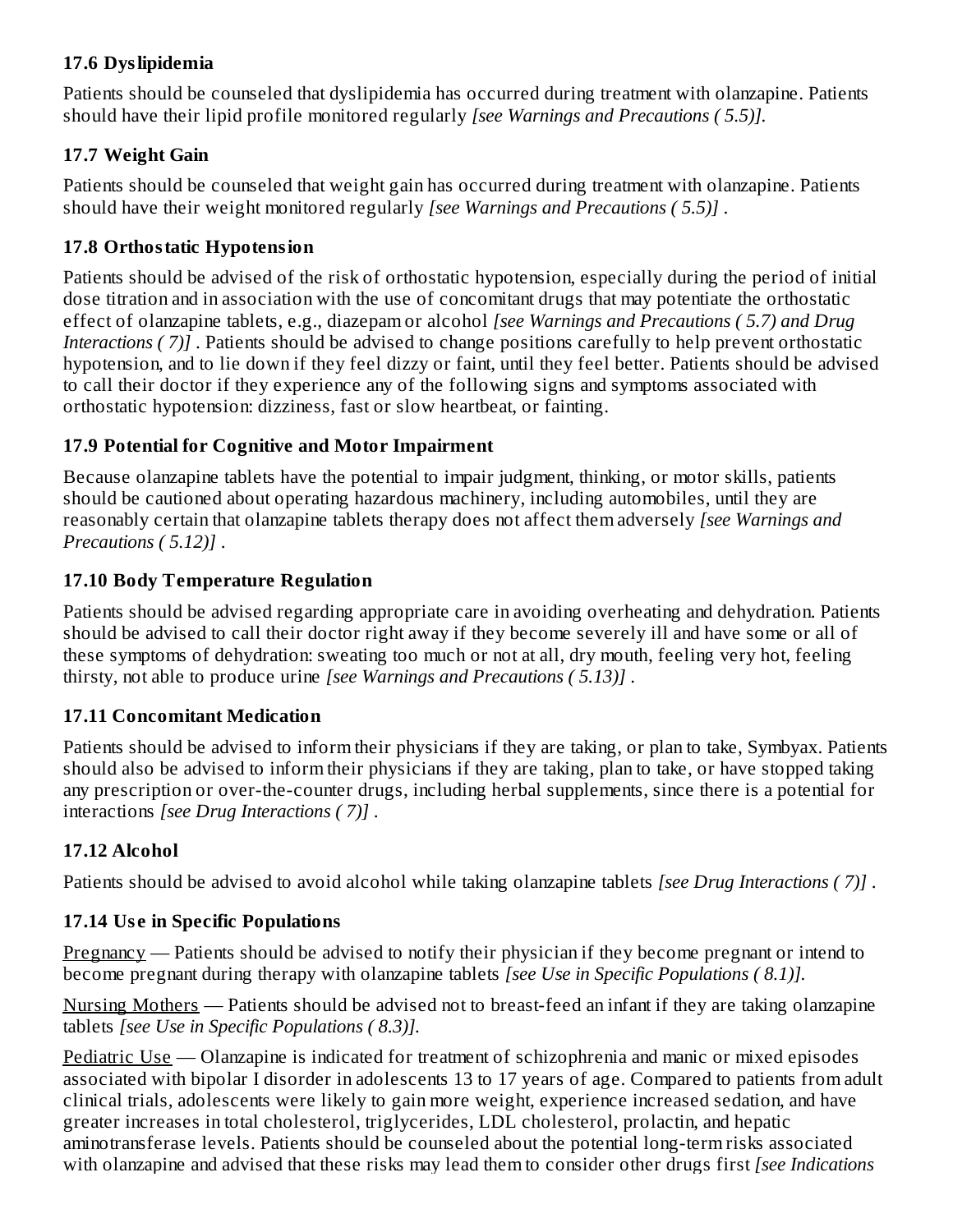### **17.6 Dyslipidemia**

Patients should be counseled that dyslipidemia has occurred during treatment with olanzapine. Patients should have their lipid profile monitored regularly *[see Warnings and Precautions ( 5.5)].*

# **17.7 Weight Gain**

Patients should be counseled that weight gain has occurred during treatment with olanzapine. Patients should have their weight monitored regularly *[see Warnings and Precautions ( 5.5)]* .

# **17.8 Orthostatic Hypotension**

Patients should be advised of the risk of orthostatic hypotension, especially during the period of initial dose titration and in association with the use of concomitant drugs that may potentiate the orthostatic effect of olanzapine tablets, e.g., diazepam or alcohol *[see Warnings and Precautions ( 5.7) and Drug Interactions ( 7)]* . Patients should be advised to change positions carefully to help prevent orthostatic hypotension, and to lie down if they feel dizzy or faint, until they feel better. Patients should be advised to call their doctor if they experience any of the following signs and symptoms associated with orthostatic hypotension: dizziness, fast or slow heartbeat, or fainting.

# **17.9 Potential for Cognitive and Motor Impairment**

Because olanzapine tablets have the potential to impair judgment, thinking, or motor skills, patients should be cautioned about operating hazardous machinery, including automobiles, until they are reasonably certain that olanzapine tablets therapy does not affect them adversely *[see Warnings and Precautions ( 5.12)]* .

# **17.10 Body Temperature Regulation**

Patients should be advised regarding appropriate care in avoiding overheating and dehydration. Patients should be advised to call their doctor right away if they become severely ill and have some or all of these symptoms of dehydration: sweating too much or not at all, dry mouth, feeling very hot, feeling thirsty, not able to produce urine *[see Warnings and Precautions ( 5.13)]* .

# **17.11 Concomitant Medication**

Patients should be advised to inform their physicians if they are taking, or plan to take, Symbyax. Patients should also be advised to inform their physicians if they are taking, plan to take, or have stopped taking any prescription or over-the-counter drugs, including herbal supplements, since there is a potential for interactions *[see Drug Interactions ( 7)]* .

# **17.12 Alcohol**

Patients should be advised to avoid alcohol while taking olanzapine tablets *[see Drug Interactions ( 7)]* .

# **17.14 Us e in Specific Populations**

Pregnancy — Patients should be advised to notify their physician if they become pregnant or intend to become pregnant during therapy with olanzapine tablets *[see Use in Specific Populations ( 8.1)].*

Nursing Mothers — Patients should be advised not to breast-feed an infant if they are taking olanzapine tablets *[see Use in Specific Populations ( 8.3)].*

Pediatric Use — Olanzapine is indicated for treatment of schizophrenia and manic or mixed episodes associated with bipolar I disorder in adolescents 13 to 17 years of age. Compared to patients from adult clinical trials, adolescents were likely to gain more weight, experience increased sedation, and have greater increases in total cholesterol, triglycerides, LDL cholesterol, prolactin, and hepatic aminotransferase levels. Patients should be counseled about the potential long-term risks associated with olanzapine and advised that these risks may lead them to consider other drugs first *[see Indications*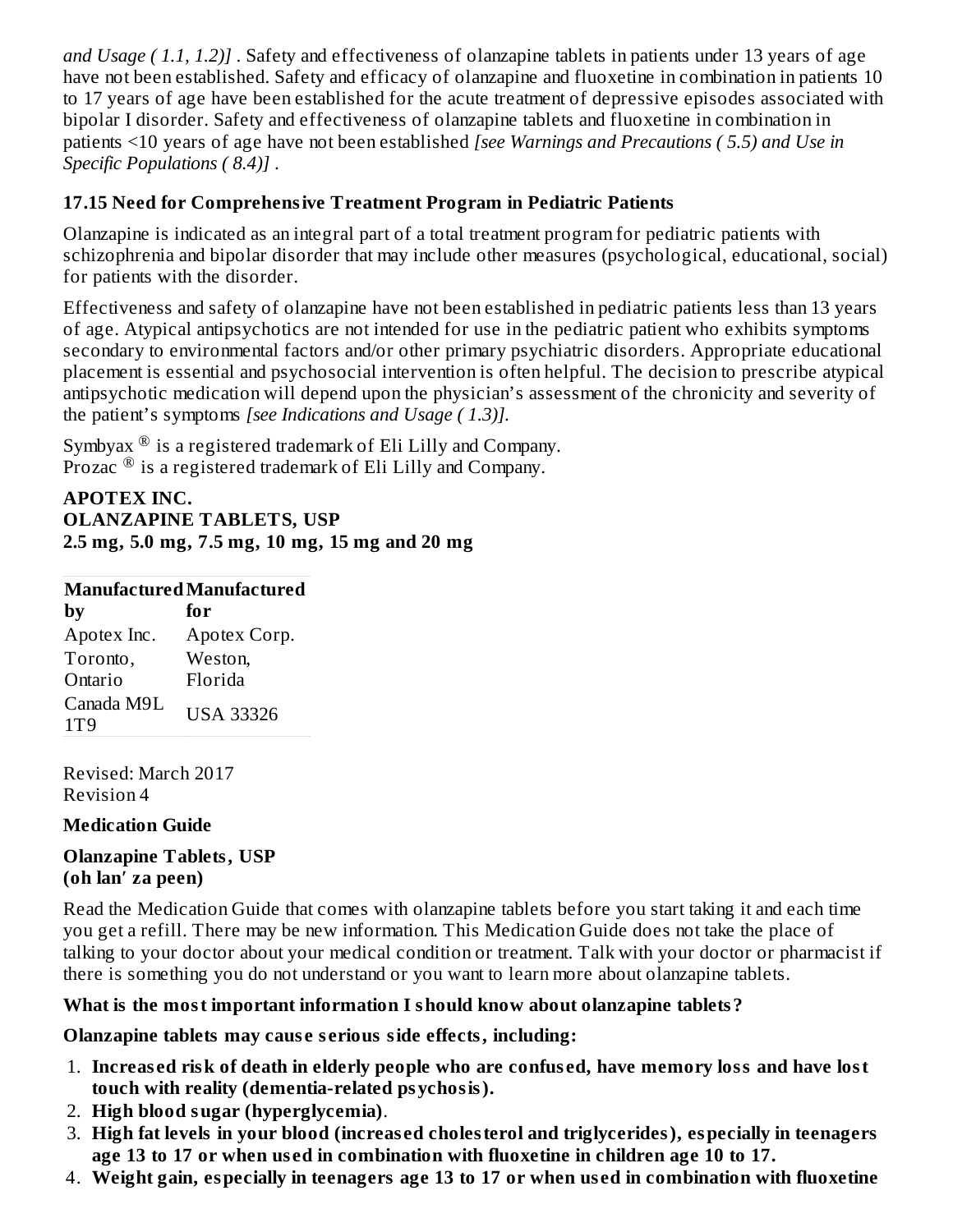*and Usage ( 1.1, 1.2)]* . Safety and effectiveness of olanzapine tablets in patients under 13 years of age have not been established. Safety and efficacy of olanzapine and fluoxetine in combination in patients 10 to 17 years of age have been established for the acute treatment of depressive episodes associated with bipolar I disorder. Safety and effectiveness of olanzapine tablets and fluoxetine in combination in patients <10 years of age have not been established *[see Warnings and Precautions ( 5.5) and Use in Specific Populations ( 8.4)]* .

### **17.15 Need for Comprehensive Treatment Program in Pediatric Patients**

Olanzapine is indicated as an integral part of a total treatment program for pediatric patients with schizophrenia and bipolar disorder that may include other measures (psychological, educational, social) for patients with the disorder.

Effectiveness and safety of olanzapine have not been established in pediatric patients less than 13 years of age. Atypical antipsychotics are not intended for use in the pediatric patient who exhibits symptoms secondary to environmental factors and/or other primary psychiatric disorders. Appropriate educational placement is essential and psychosocial intervention is often helpful. The decision to prescribe atypical antipsychotic medication will depend upon the physician's assessment of the chronicity and severity of the patient's symptoms *[see Indications and Usage ( 1.3)].*

Symbyax  $^{\circledR}$  is a registered trademark of Eli Lilly and Company. Prozac  $\mathcal{R}$  is a registered trademark of Eli Lilly and Company.

**APOTEX INC. OLANZAPINE TABLETS, USP 2.5 mg, 5.0 mg, 7.5 mg, 10 mg, 15 mg and 20 mg**

### **Manufactured Manufactured**

**by for** Apotex Inc. Apotex Corp. Toronto, Ontario Weston, Florida Canada M9L 1T9 USA 33326

Revised: March 2017 Revision 4

### **Medication Guide**

### **Olanzapine Tablets, USP (oh lan′ za peen)**

Read the Medication Guide that comes with olanzapine tablets before you start taking it and each time you get a refill. There may be new information. This Medication Guide does not take the place of talking to your doctor about your medical condition or treatment. Talk with your doctor or pharmacist if there is something you do not understand or you want to learn more about olanzapine tablets.

# **What is the most important information I should know about olanzapine tablets?**

### **Olanzapine tablets may caus e s erious side effects, including:**

- 1. **Increas ed risk of death in elderly people who are confus ed, have memory loss and have lost touch with reality (dementia-related psychosis).**
- 2. **High blood sugar (hyperglycemia)**.
- 3. **High fat levels in your blood (increas ed cholesterol and triglycerides), especially in teenagers age 13 to 17 or when us ed in combination with fluoxetine in children age 10 to 17.**
- 4. **Weight gain, especially in teenagers age 13 to 17 or when us ed in combination with fluoxetine**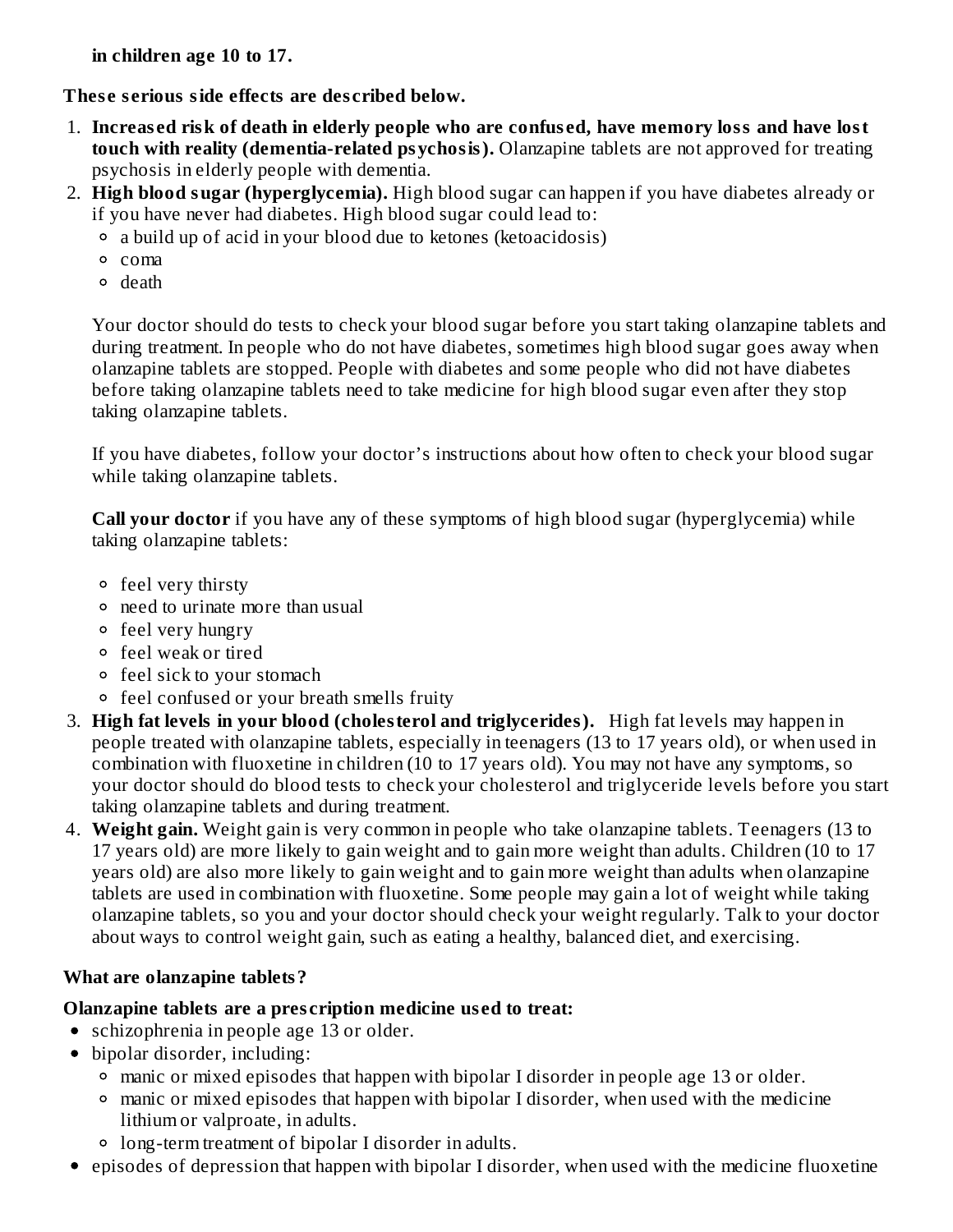**in children age 10 to 17.**

**Thes e s erious side effects are des cribed below.**

- 1. **Increas ed risk of death in elderly people who are confus ed, have memory loss and have lost touch with reality (dementia-related psychosis).** Olanzapine tablets are not approved for treating psychosis in elderly people with dementia.
- 2. **High blood sugar (hyperglycemia).** High blood sugar can happen if you have diabetes already or if you have never had diabetes. High blood sugar could lead to:
	- a build up of acid in your blood due to ketones (ketoacidosis)
	- coma
	- death

Your doctor should do tests to check your blood sugar before you start taking olanzapine tablets and during treatment. In people who do not have diabetes, sometimes high blood sugar goes away when olanzapine tablets are stopped. People with diabetes and some people who did not have diabetes before taking olanzapine tablets need to take medicine for high blood sugar even after they stop taking olanzapine tablets.

If you have diabetes, follow your doctor's instructions about how often to check your blood sugar while taking olanzapine tablets.

**Call your doctor** if you have any of these symptoms of high blood sugar (hyperglycemia) while taking olanzapine tablets:

- feel very thirsty
- need to urinate more than usual
- feel very hungry
- feel weak or tired
- feel sick to your stomach
- feel confused or your breath smells fruity
- 3. **High fat levels in your blood (cholesterol and triglycerides).** High fat levels may happen in people treated with olanzapine tablets, especially in teenagers (13 to 17 years old), or when used in combination with fluoxetine in children (10 to 17 years old). You may not have any symptoms, so your doctor should do blood tests to check your cholesterol and triglyceride levels before you start taking olanzapine tablets and during treatment.
- 4. **Weight gain.** Weight gain is very common in people who take olanzapine tablets. Teenagers (13 to 17 years old) are more likely to gain weight and to gain more weight than adults. Children (10 to 17 years old) are also more likely to gain weight and to gain more weight than adults when olanzapine tablets are used in combination with fluoxetine. Some people may gain a lot of weight while taking olanzapine tablets, so you and your doctor should check your weight regularly. Talk to your doctor about ways to control weight gain, such as eating a healthy, balanced diet, and exercising.

# **What are olanzapine tablets?**

# **Olanzapine tablets are a pres cription medicine us ed to treat:**

- schizophrenia in people age 13 or older.
- bipolar disorder, including:
	- manic or mixed episodes that happen with bipolar I disorder in people age 13 or older.
	- manic or mixed episodes that happen with bipolar I disorder, when used with the medicine lithium or valproate, in adults.
	- long-term treatment of bipolar I disorder in adults.
- $\bullet$  episodes of depression that happen with bipolar I disorder, when used with the medicine fluoxetine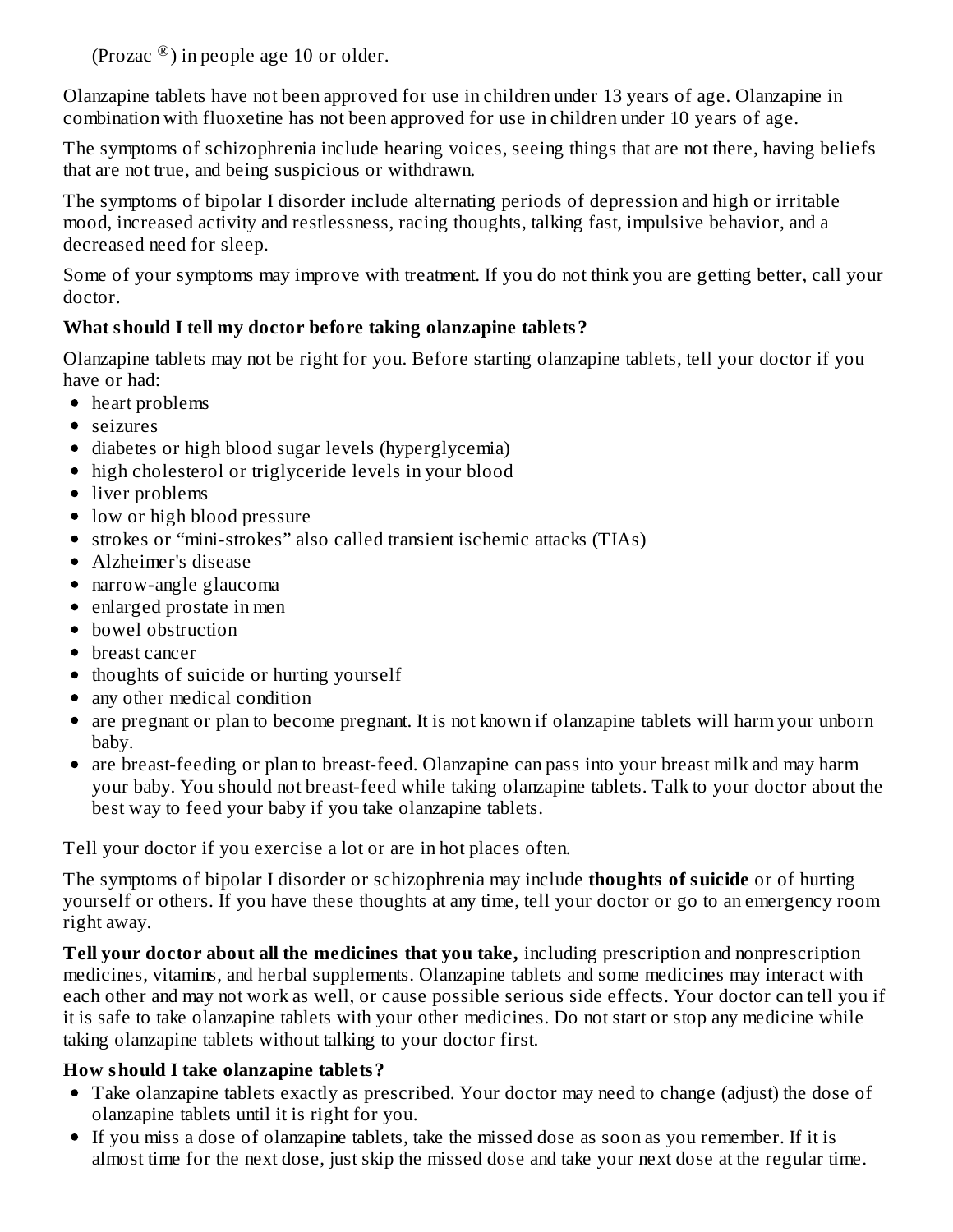(Prozac  $^{\circledR}$ ) in people age 10 or older.

Olanzapine tablets have not been approved for use in children under 13 years of age. Olanzapine in combination with fluoxetine has not been approved for use in children under 10 years of age.

The symptoms of schizophrenia include hearing voices, seeing things that are not there, having beliefs that are not true, and being suspicious or withdrawn.

The symptoms of bipolar I disorder include alternating periods of depression and high or irritable mood, increased activity and restlessness, racing thoughts, talking fast, impulsive behavior, and a decreased need for sleep.

Some of your symptoms may improve with treatment. If you do not think you are getting better, call your doctor.

# **What should I tell my doctor before taking olanzapine tablets?**

Olanzapine tablets may not be right for you. Before starting olanzapine tablets, tell your doctor if you have or had:

- heart problems
- seizures
- diabetes or high blood sugar levels (hyperglycemia)
- high cholesterol or triglyceride levels in your blood
- liver problems
- low or high blood pressure
- strokes or "mini-strokes" also called transient ischemic attacks (TIAs)
- Alzheimer's disease
- narrow-angle glaucoma
- enlarged prostate in men
- bowel obstruction
- breast cancer
- thoughts of suicide or hurting yourself
- any other medical condition
- are pregnant or plan to become pregnant. It is not known if olanzapine tablets will harm your unborn baby.
- are breast-feeding or plan to breast-feed. Olanzapine can pass into your breast milk and may harm your baby. You should not breast-feed while taking olanzapine tablets. Talk to your doctor about the best way to feed your baby if you take olanzapine tablets.

Tell your doctor if you exercise a lot or are in hot places often.

The symptoms of bipolar I disorder or schizophrenia may include **thoughts of suicide** or of hurting yourself or others. If you have these thoughts at any time, tell your doctor or go to an emergency room right away.

**Tell your doctor about all the medicines that you take,** including prescription and nonprescription medicines, vitamins, and herbal supplements. Olanzapine tablets and some medicines may interact with each other and may not work as well, or cause possible serious side effects. Your doctor can tell you if it is safe to take olanzapine tablets with your other medicines. Do not start or stop any medicine while taking olanzapine tablets without talking to your doctor first.

# **How should I take olanzapine tablets?**

- Take olanzapine tablets exactly as prescribed. Your doctor may need to change (adjust) the dose of olanzapine tablets until it is right for you.
- If you miss a dose of olanzapine tablets, take the missed dose as soon as you remember. If it is almost time for the next dose, just skip the missed dose and take your next dose at the regular time.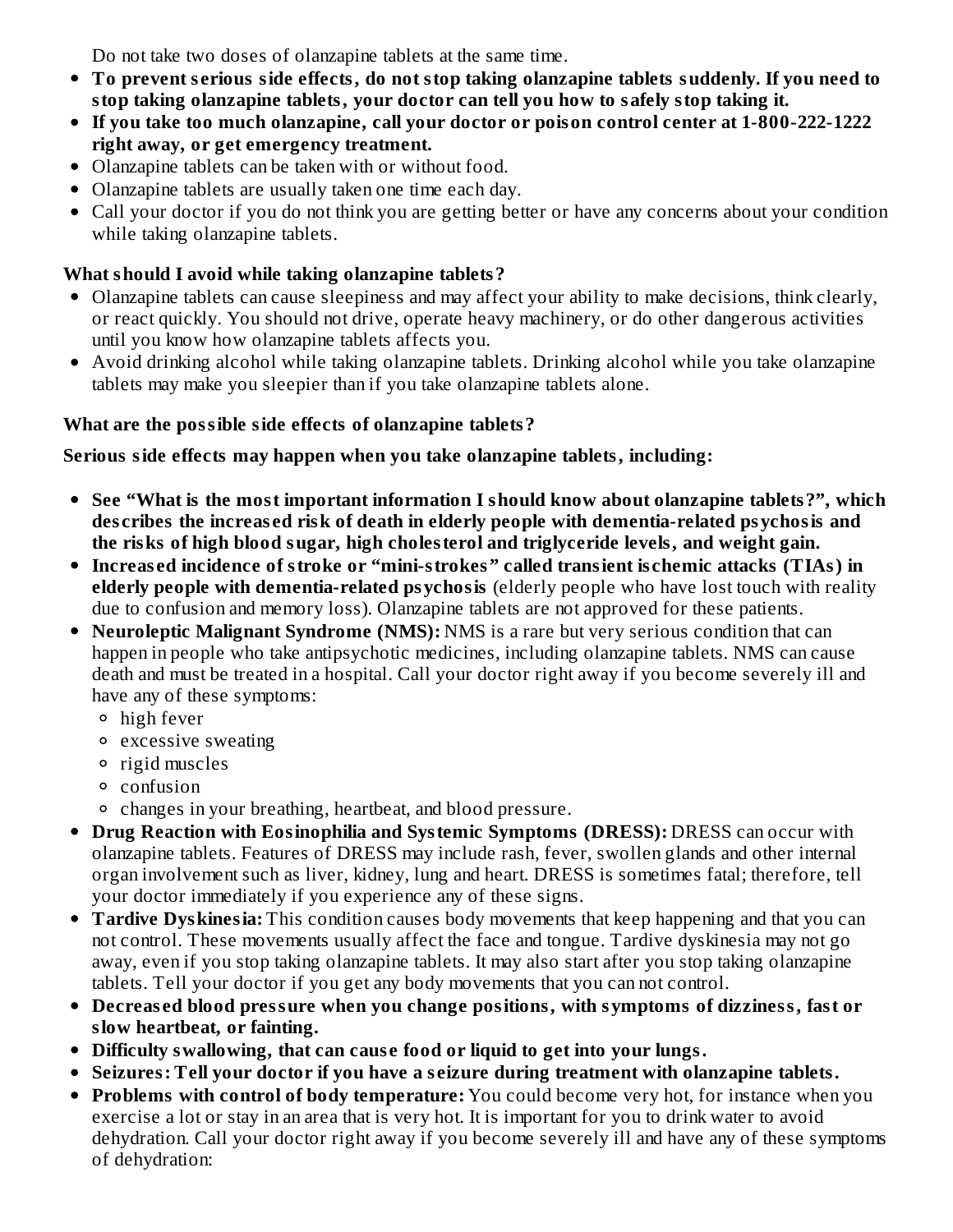Do not take two doses of olanzapine tablets at the same time.

- **To prevent s erious side effects, do not stop taking olanzapine tablets suddenly. If you need to stop taking olanzapine tablets, your doctor can tell you how to safely stop taking it.**
- **If you take too much olanzapine, call your doctor or poison control center at 1-800-222-1222 right away, or get emergency treatment.**
- Olanzapine tablets can be taken with or without food.
- Olanzapine tablets are usually taken one time each day.
- Call your doctor if you do not think you are getting better or have any concerns about your condition while taking olanzapine tablets.

# **What should I avoid while taking olanzapine tablets?**

- Olanzapine tablets can cause sleepiness and may affect your ability to make decisions, think clearly, or react quickly. You should not drive, operate heavy machinery, or do other dangerous activities until you know how olanzapine tablets affects you.
- Avoid drinking alcohol while taking olanzapine tablets. Drinking alcohol while you take olanzapine tablets may make you sleepier than if you take olanzapine tablets alone.

# **What are the possible side effects of olanzapine tablets?**

# **Serious side effects may happen when you take olanzapine tablets, including:**

- **See "What is the most important information I should know about olanzapine tablets?", which des cribes the increas ed risk of death in elderly people with dementia-related psychosis and the risks of high blood sugar, high cholesterol and triglyceride levels, and weight gain.**
- **Increas ed incidence of stroke or "mini-strokes" called transient is chemic attacks (TIAs) in elderly people with dementia-related psychosis** (elderly people who have lost touch with reality due to confusion and memory loss). Olanzapine tablets are not approved for these patients.
- **Neuroleptic Malignant Syndrome (NMS):** NMS is a rare but very serious condition that can happen in people who take antipsychotic medicines, including olanzapine tablets. NMS can cause death and must be treated in a hospital. Call your doctor right away if you become severely ill and have any of these symptoms:
	- high fever
	- excessive sweating
	- rigid muscles
	- confusion
	- changes in your breathing, heartbeat, and blood pressure.
- **Drug Reaction with Eosinophilia and Systemic Symptoms (DRESS):** DRESS can occur with olanzapine tablets. Features of DRESS may include rash, fever, swollen glands and other internal organ involvement such as liver, kidney, lung and heart. DRESS is sometimes fatal; therefore, tell your doctor immediately if you experience any of these signs.
- **Tardive Dyskinesia:** This condition causes body movements that keep happening and that you can not control. These movements usually affect the face and tongue. Tardive dyskinesia may not go away, even if you stop taking olanzapine tablets. It may also start after you stop taking olanzapine tablets. Tell your doctor if you get any body movements that you can not control.
- **Decreas ed blood pressure when you change positions, with symptoms of dizziness, fast or slow heartbeat, or fainting.**
- **Difficulty swallowing, that can caus e food or liquid to get into your lungs.**
- **Seizures: Tell your doctor if you have a s eizure during treatment with olanzapine tablets.**
- **Problems with control of body temperature:** You could become very hot, for instance when you exercise a lot or stay in an area that is very hot. It is important for you to drink water to avoid dehydration. Call your doctor right away if you become severely ill and have any of these symptoms of dehydration: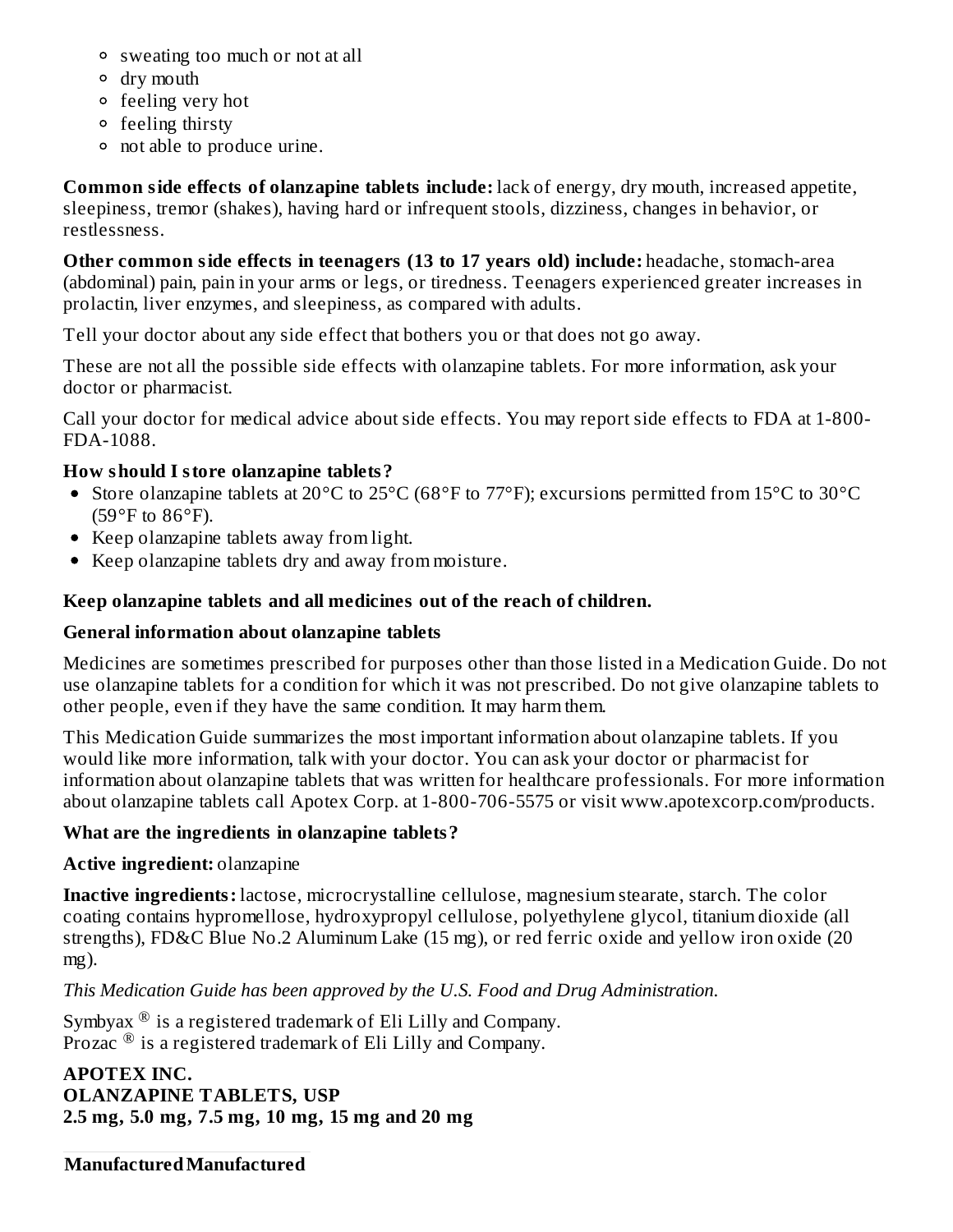- sweating too much or not at all
- dry mouth
- feeling very hot
- feeling thirsty
- not able to produce urine.

**Common side effects of olanzapine tablets include:** lack of energy, dry mouth, increased appetite, sleepiness, tremor (shakes), having hard or infrequent stools, dizziness, changes in behavior, or restlessness.

**Other common side effects in teenagers (13 to 17 years old) include:** headache, stomach-area (abdominal) pain, pain in your arms or legs, or tiredness. Teenagers experienced greater increases in prolactin, liver enzymes, and sleepiness, as compared with adults.

Tell your doctor about any side effect that bothers you or that does not go away.

These are not all the possible side effects with olanzapine tablets. For more information, ask your doctor or pharmacist.

Call your doctor for medical advice about side effects. You may report side effects to FDA at 1-800- FDA-1088.

# **How should I store olanzapine tablets?**

- Store olanzapine tablets at 20°C to 25°C (68°F to 77°F); excursions permitted from 15°C to 30°C  $(59°F to 86°F).$
- Keep olanzapine tablets away from light.
- Keep olanzapine tablets dry and away from moisture.

# **Keep olanzapine tablets and all medicines out of the reach of children.**

# **General information about olanzapine tablets**

Medicines are sometimes prescribed for purposes other than those listed in a Medication Guide. Do not use olanzapine tablets for a condition for which it was not prescribed. Do not give olanzapine tablets to other people, even if they have the same condition. It may harm them.

This Medication Guide summarizes the most important information about olanzapine tablets. If you would like more information, talk with your doctor. You can ask your doctor or pharmacist for information about olanzapine tablets that was written for healthcare professionals. For more information about olanzapine tablets call Apotex Corp. at 1-800-706-5575 or visit www.apotexcorp.com/products.

# **What are the ingredients in olanzapine tablets?**

# **Active ingredient:** olanzapine

**Inactive ingredients:** lactose, microcrystalline cellulose, magnesium stearate, starch. The color coating contains hypromellose, hydroxypropyl cellulose, polyethylene glycol, titanium dioxide (all strengths), FD&C Blue No.2 Aluminum Lake (15 mg), or red ferric oxide and yellow iron oxide (20 mg).

*This Medication Guide has been approved by the U.S. Food and Drug Administration.*

Symbyax  $^{\circledR}$  is a registered trademark of Eli Lilly and Company. Prozac  $\mathcal{R}$  is a registered trademark of Eli Lilly and Company.

**APOTEX INC. OLANZAPINE TABLETS, USP 2.5 mg, 5.0 mg, 7.5 mg, 10 mg, 15 mg and 20 mg**

**ManufacturedManufactured**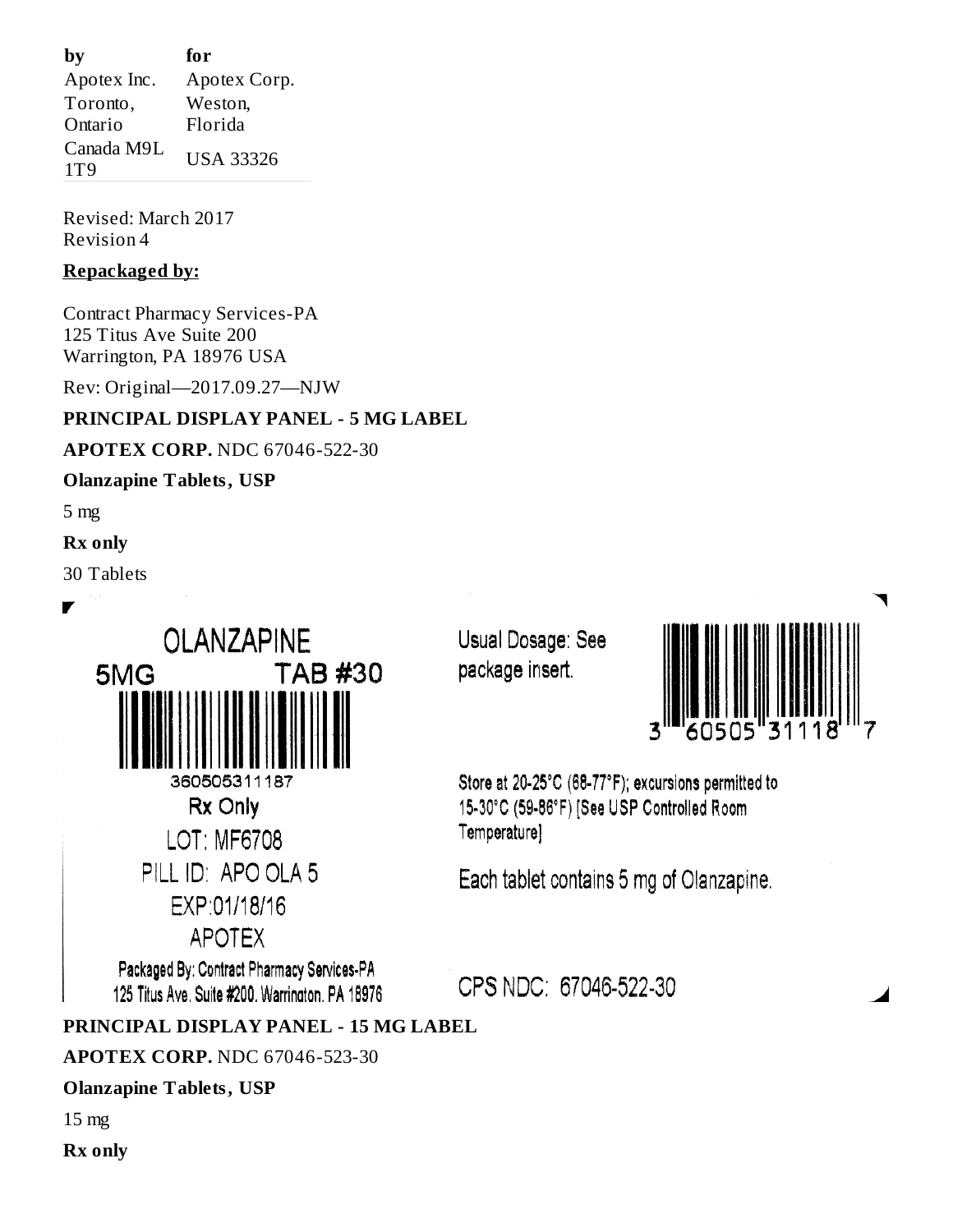**by for** Apotex Inc. Apotex Corp. Toronto, Ontario Weston, Florida Canada M9L 1T9 USA 33326

Revised: March 2017 Revision 4

#### **Repackaged by:**

Contract Pharmacy Services-PA 125 Titus Ave Suite 200 Warrington, PA 18976 USA

Rev: Original—2017.09.27—NJW

# **PRINCIPAL DISPLAY PANEL - 5 MG LABEL**

**APOTEX CORP.** NDC 67046-522-30

**Olanzapine Tablets, USP**

5 mg

### **Rx only**

30 Tablets





Usual Dosage: See package insert.



Store at 20-25°C (68-77°F); excursions permitted to 15-30°C (59-86°F) [See USP Controlled Room Temperature]

Each tablet contains 5 mg of Olanzapine.

CPS NDC: 67046-522-30

# **PRINCIPAL DISPLAY PANEL - 15 MG LABEL**

# **APOTEX CORP.** NDC 67046-523-30

# **Olanzapine Tablets, USP**

15 mg

**Rx only**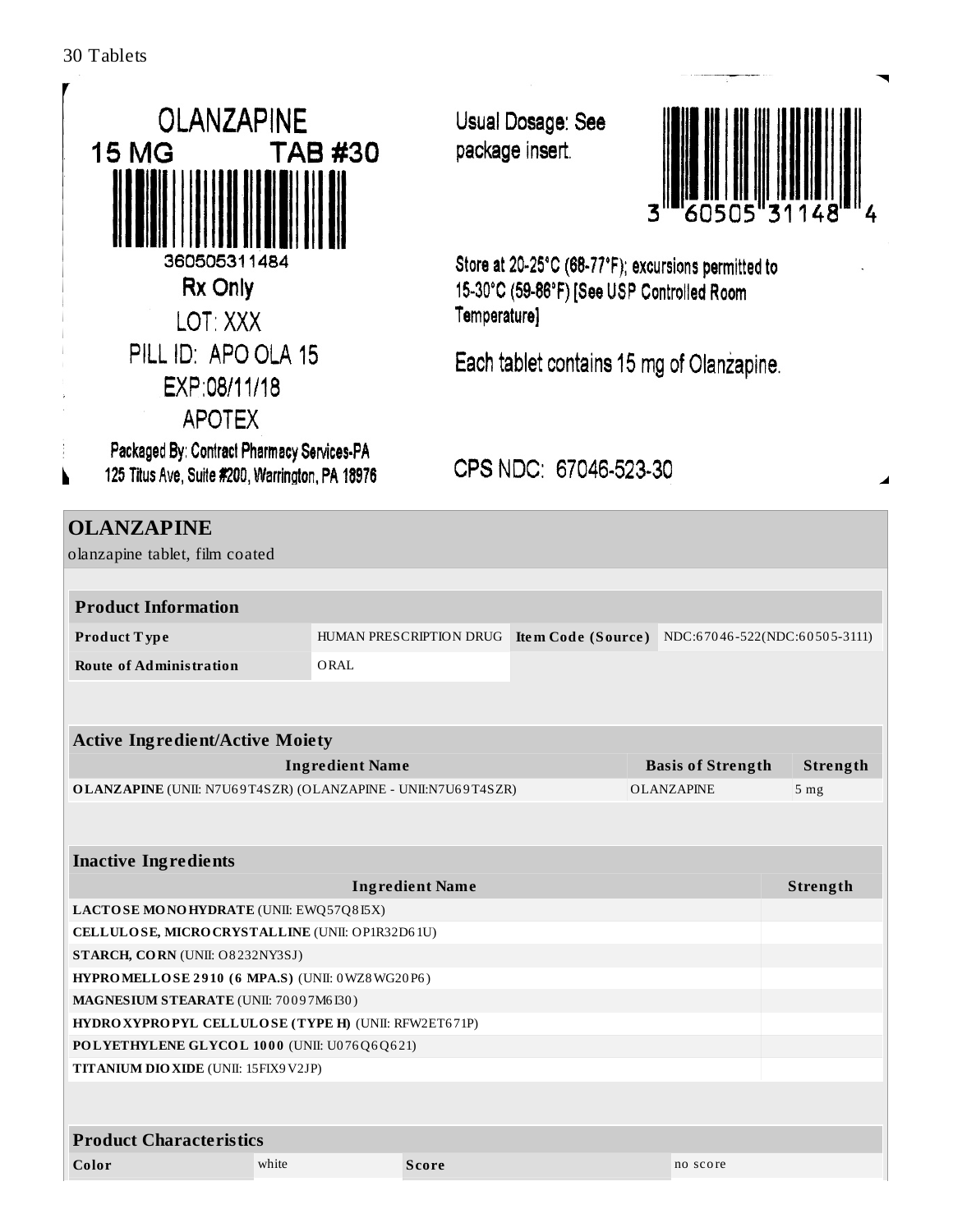

Usual Dosage: See package insert.



Store at 20-25°C (68-77°F); excursions permitted to 15-30°C (59-86°F) [See USP Controlled Room Temperature]

Each tablet contains 15 mg of Olanzapine.

CPS NDC: 67046-523-30

◢

| <b>OLANZAPINE</b>                                            |                                                 |                         |                                                  |                   |                          |                 |  |
|--------------------------------------------------------------|-------------------------------------------------|-------------------------|--------------------------------------------------|-------------------|--------------------------|-----------------|--|
| olanzapine tablet, film coated                               |                                                 |                         |                                                  |                   |                          |                 |  |
|                                                              |                                                 |                         |                                                  |                   |                          |                 |  |
| <b>Product Information</b>                                   |                                                 |                         |                                                  |                   |                          |                 |  |
| Product Type                                                 |                                                 | HUMAN PRESCRIPTION DRUG | Item Code (Source) NDC:67046-522(NDC:60505-3111) |                   |                          |                 |  |
| <b>Route of Administration</b>                               | ORAL                                            |                         |                                                  |                   |                          |                 |  |
|                                                              |                                                 |                         |                                                  |                   |                          |                 |  |
|                                                              |                                                 |                         |                                                  |                   |                          |                 |  |
| <b>Active Ingredient/Active Moiety</b>                       |                                                 |                         |                                                  |                   |                          |                 |  |
|                                                              | <b>Ingredient Name</b>                          |                         |                                                  |                   | <b>Basis of Strength</b> | Strength        |  |
| OLANZAPINE (UNII: N7U69T4SZR) (OLANZAPINE - UNII:N7U69T4SZR) |                                                 |                         |                                                  | <b>OLANZAPINE</b> |                          | 5 <sub>mg</sub> |  |
|                                                              |                                                 |                         |                                                  |                   |                          |                 |  |
| <b>Inactive Ingredients</b>                                  |                                                 |                         |                                                  |                   |                          |                 |  |
|                                                              |                                                 | <b>Ingredient Name</b>  |                                                  |                   |                          | Strength        |  |
| LACTOSE MONOHYDRATE (UNII: EWQ57Q8I5X)                       |                                                 |                         |                                                  |                   |                          |                 |  |
|                                                              | CELLULOSE, MICRO CRYSTALLINE (UNII: OP1R32D61U) |                         |                                                  |                   |                          |                 |  |
| STARCH, CORN (UNII: O8232NY3SJ)                              |                                                 |                         |                                                  |                   |                          |                 |  |
| HYPROMELLOSE 2910 (6 MPA.S) (UNII: 0WZ8WG20P6)               |                                                 |                         |                                                  |                   |                          |                 |  |
| MAGNESIUM STEARATE (UNII: 70097M6I30)                        |                                                 |                         |                                                  |                   |                          |                 |  |
| HYDROXYPROPYL CELLULOSE (TYPE H) (UNII: RFW2ET671P)          |                                                 |                         |                                                  |                   |                          |                 |  |
| POLYETHYLENE GLYCOL 1000 (UNII: U076Q6Q621)                  |                                                 |                         |                                                  |                   |                          |                 |  |
| TITANIUM DIO XIDE (UNII: 15FIX9 V2JP)                        |                                                 |                         |                                                  |                   |                          |                 |  |
|                                                              |                                                 |                         |                                                  |                   |                          |                 |  |
| <b>Product Characteristics</b>                               |                                                 |                         |                                                  |                   |                          |                 |  |
| Color<br>white                                               |                                                 | <b>Score</b>            |                                                  |                   | no score                 |                 |  |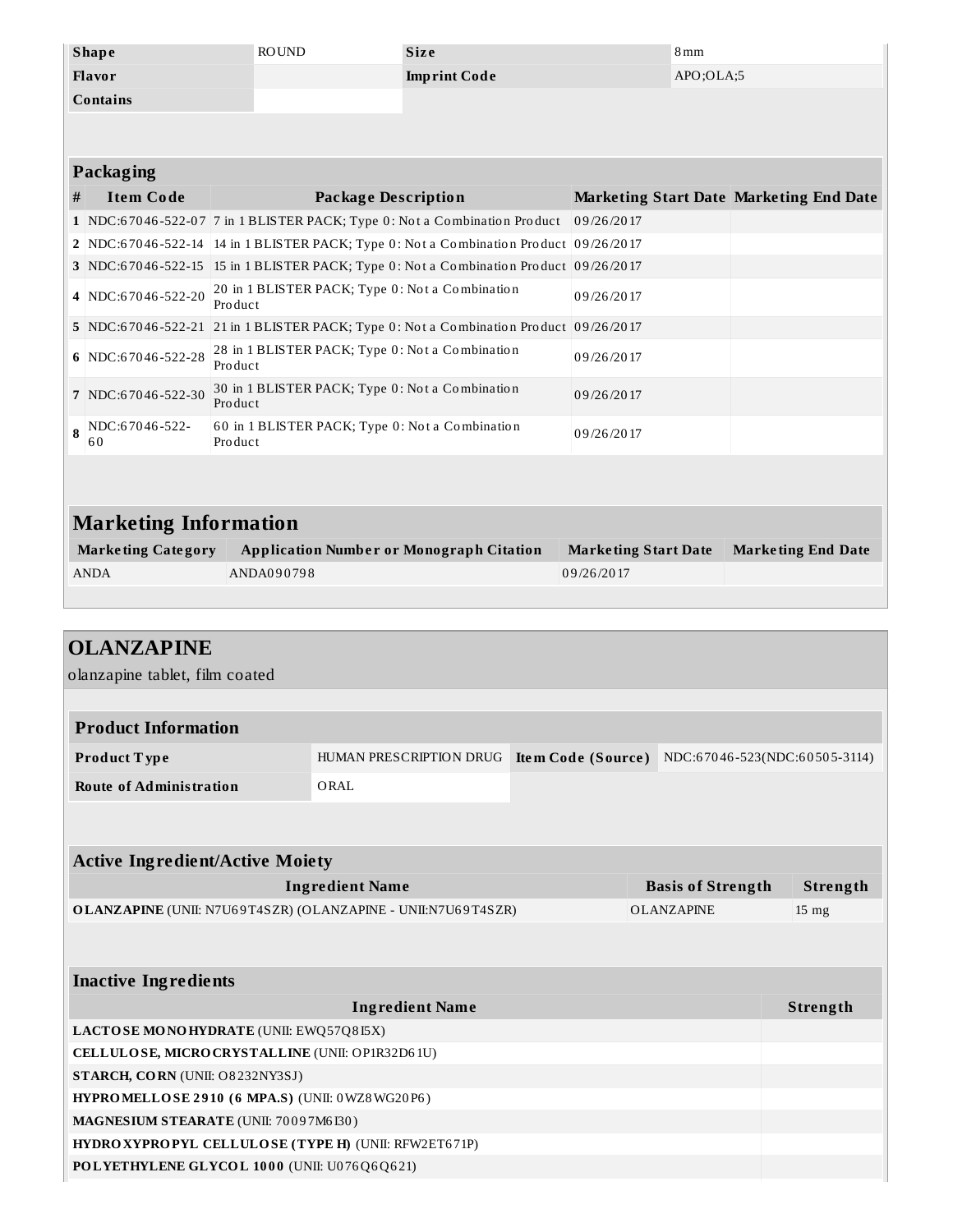|   | <b>Shape</b>                         |         | <b>ROUND</b>                                    | <b>Size</b>                                                                           |                             | 8mm |                                                |
|---|--------------------------------------|---------|-------------------------------------------------|---------------------------------------------------------------------------------------|-----------------------------|-----|------------------------------------------------|
|   | <b>Flavor</b><br><b>Imprint Code</b> |         |                                                 | APO;OLA;5                                                                             |                             |     |                                                |
|   | <b>Contains</b>                      |         |                                                 |                                                                                       |                             |     |                                                |
|   |                                      |         |                                                 |                                                                                       |                             |     |                                                |
|   |                                      |         |                                                 |                                                                                       |                             |     |                                                |
|   | <b>Packaging</b>                     |         |                                                 |                                                                                       |                             |     |                                                |
| # | <b>Item Code</b>                     |         | <b>Package Description</b>                      |                                                                                       |                             |     | <b>Marketing Start Date Marketing End Date</b> |
|   |                                      |         |                                                 | 1 NDC:67046-522-07 7 in 1 BLISTER PACK; Type 0: Not a Combination Product             | 09/26/2017                  |     |                                                |
|   |                                      |         |                                                 | 2 NDC:67046-522-14 14 in 1 BLISTER PACK; Type 0: Not a Combination Product 09/26/2017 |                             |     |                                                |
|   |                                      |         |                                                 | 3 NDC:67046-522-15 15 in 1 BLISTER PACK; Type 0: Not a Combination Product 09/26/2017 |                             |     |                                                |
|   | 4 NDC:67046-522-20                   | Product | 20 in 1 BLISTER PACK; Type 0: Not a Combination |                                                                                       | 09/26/2017                  |     |                                                |
|   |                                      |         |                                                 | 5 NDC:67046-522-21 21 in 1 BLISTER PACK; Type 0: Not a Combination Product 09/26/2017 |                             |     |                                                |
|   | 6 NDC:67046-522-28                   | Product | 28 in 1 BLISTER PACK; Type 0: Not a Combination |                                                                                       | 09/26/2017                  |     |                                                |
|   | 7 NDC:67046-522-30                   | Product | 30 in 1 BLISTER PACK; Type 0: Not a Combination |                                                                                       | 09/26/2017                  |     |                                                |
| 8 | NDC:67046-522-<br>60                 | Product | 60 in 1 BLISTER PACK; Type 0: Not a Combination |                                                                                       | 09/26/2017                  |     |                                                |
|   |                                      |         |                                                 |                                                                                       |                             |     |                                                |
|   |                                      |         |                                                 |                                                                                       |                             |     |                                                |
|   | <b>Marketing Information</b>         |         |                                                 |                                                                                       |                             |     |                                                |
|   | <b>Marketing Category</b>            |         | <b>Application Number or Monograph Citation</b> |                                                                                       | <b>Marketing Start Date</b> |     | <b>Marketing End Date</b>                      |
|   | <b>ANDA</b>                          |         | ANDA090798                                      |                                                                                       | 09/26/2017                  |     |                                                |
|   |                                      |         |                                                 |                                                                                       |                             |     |                                                |

| <b>OLANZAPINE</b>                                                                        |                                                                             |  |  |                          |                 |
|------------------------------------------------------------------------------------------|-----------------------------------------------------------------------------|--|--|--------------------------|-----------------|
| olanzapine tablet, film coated                                                           |                                                                             |  |  |                          |                 |
|                                                                                          |                                                                             |  |  |                          |                 |
| <b>Product Information</b>                                                               |                                                                             |  |  |                          |                 |
| Product Type                                                                             | Item Code (Source) NDC:67046-523(NDC:60505-3114)<br>HUMAN PRESCRIPTION DRUG |  |  |                          |                 |
| <b>Route of Administration</b>                                                           | ORAL                                                                        |  |  |                          |                 |
|                                                                                          |                                                                             |  |  |                          |                 |
|                                                                                          |                                                                             |  |  |                          |                 |
| <b>Active Ingredient/Active Moiety</b>                                                   |                                                                             |  |  |                          |                 |
|                                                                                          | <b>Ingredient Name</b>                                                      |  |  | <b>Basis of Strength</b> | Strength        |
| <b>OLANZAPINE</b> (UNII: N7U69T4SZR) (OLANZAPINE - UNII:N7U69T4SZR)<br><b>OLANZAPINE</b> |                                                                             |  |  |                          | $15 \text{ mg}$ |
|                                                                                          |                                                                             |  |  |                          |                 |
|                                                                                          |                                                                             |  |  |                          |                 |
| <b>Inactive Ingredients</b>                                                              |                                                                             |  |  |                          |                 |
|                                                                                          | <b>Ingredient Name</b>                                                      |  |  |                          | Strength        |
| LACTOSE MONOHYDRATE (UNII: EWQ57Q8I5X)                                                   |                                                                             |  |  |                          |                 |
| CELLULOSE, MICRO CRYSTALLINE (UNII: OP1R32D61U)                                          |                                                                             |  |  |                          |                 |
| STARCH, CORN (UNII: O8232NY3SJ)                                                          |                                                                             |  |  |                          |                 |
| <b>HYPROMELLOSE 2910 (6 MPA.S) (UNII: 0WZ8WG20P6)</b>                                    |                                                                             |  |  |                          |                 |
| MAGNESIUM STEARATE (UNII: 70097M6I30)                                                    |                                                                             |  |  |                          |                 |
| HYDRO XYPROPYL CELLULOSE (TYPE H) (UNII: RFW2ET671P)                                     |                                                                             |  |  |                          |                 |
| POLYETHYLENE GLYCOL 1000 (UNII: U076Q6Q621)                                              |                                                                             |  |  |                          |                 |